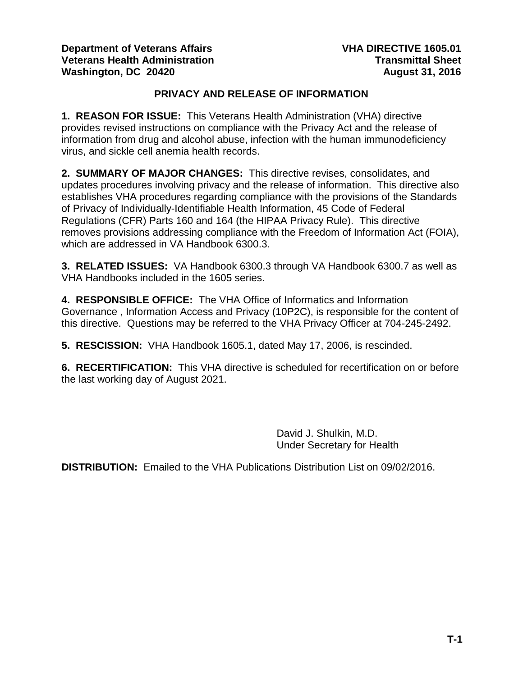### **PRIVACY AND RELEASE OF INFORMATION**

**1. REASON FOR ISSUE:** This Veterans Health Administration (VHA) directive provides revised instructions on compliance with the Privacy Act and the release of information from drug and alcohol abuse, infection with the human immunodeficiency virus, and sickle cell anemia health records.

**2. SUMMARY OF MAJOR CHANGES:** This directive revises, consolidates, and updates procedures involving privacy and the release of information. This directive also establishes VHA procedures regarding compliance with the provisions of the Standards of Privacy of Individually-Identifiable Health Information, 45 Code of Federal Regulations (CFR) Parts 160 and 164 (the HIPAA Privacy Rule). This directive removes provisions addressing compliance with the Freedom of Information Act (FOIA), which are addressed in VA Handbook 6300.3.

**3. RELATED ISSUES:** VA Handbook 6300.3 through VA Handbook 6300.7 as well as VHA Handbooks included in the 1605 series.

**4. RESPONSIBLE OFFICE:** The VHA Office of Informatics and Information Governance , Information Access and Privacy (10P2C), is responsible for the content of this directive. Questions may be referred to the VHA Privacy Officer at 704-245-2492.

**5. RESCISSION:** VHA Handbook 1605.1, dated May 17, 2006, is rescinded.

**6. RECERTIFICATION:** This VHA directive is scheduled for recertification on or before the last working day of August 2021.

> David J. Shulkin, M.D. Under Secretary for Health

**DISTRIBUTION:** Emailed to the VHA Publications Distribution List on 09/02/2016.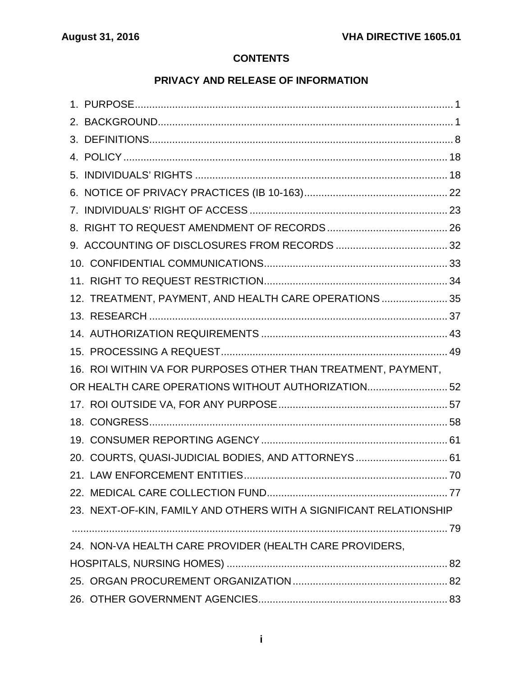# **CONTENTS**

## **PRIVACY AND RELEASE OF INFORMATION**

|  | 12. TREATMENT, PAYMENT, AND HEALTH CARE OPERATIONS  35             |  |  |
|--|--------------------------------------------------------------------|--|--|
|  |                                                                    |  |  |
|  |                                                                    |  |  |
|  |                                                                    |  |  |
|  | 16. ROI WITHIN VA FOR PURPOSES OTHER THAN TREATMENT, PAYMENT,      |  |  |
|  | OR HEALTH CARE OPERATIONS WITHOUT AUTHORIZATION52                  |  |  |
|  |                                                                    |  |  |
|  |                                                                    |  |  |
|  |                                                                    |  |  |
|  | 20. COURTS, QUASI-JUDICIAL BODIES, AND ATTORNEYS 61                |  |  |
|  |                                                                    |  |  |
|  |                                                                    |  |  |
|  | 23. NEXT-OF-KIN, FAMILY AND OTHERS WITH A SIGNIFICANT RELATIONSHIP |  |  |
|  |                                                                    |  |  |
|  | 24. NON-VA HEALTH CARE PROVIDER (HEALTH CARE PROVIDERS,            |  |  |
|  |                                                                    |  |  |
|  |                                                                    |  |  |
|  |                                                                    |  |  |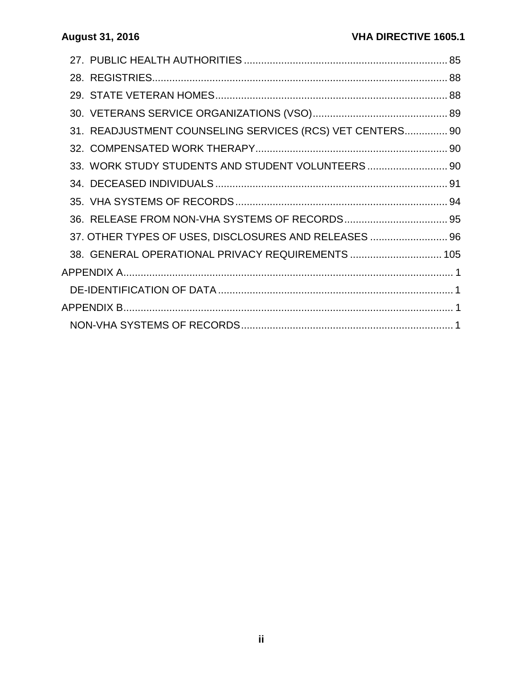| 31. READJUSTMENT COUNSELING SERVICES (RCS) VET CENTERS 90 |  |  |
|-----------------------------------------------------------|--|--|
|                                                           |  |  |
| 33. WORK STUDY STUDENTS AND STUDENT VOLUNTEERS 90         |  |  |
|                                                           |  |  |
|                                                           |  |  |
|                                                           |  |  |
| 37. OTHER TYPES OF USES, DISCLOSURES AND RELEASES  96     |  |  |
| 38. GENERAL OPERATIONAL PRIVACY REQUIREMENTS  105         |  |  |
|                                                           |  |  |
|                                                           |  |  |
|                                                           |  |  |
|                                                           |  |  |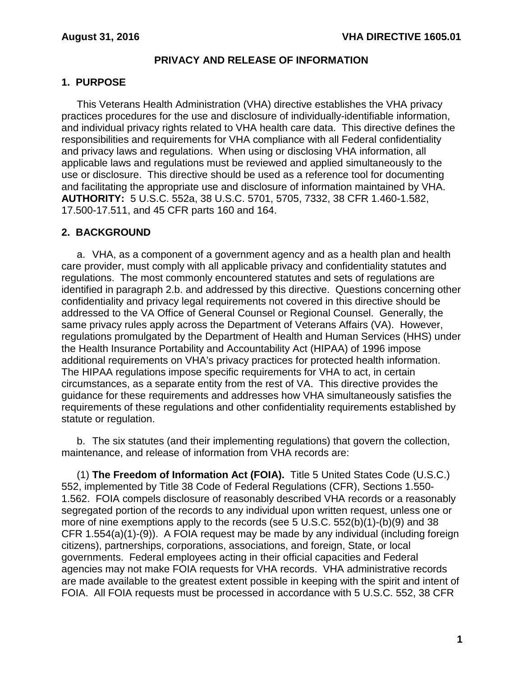### **PRIVACY AND RELEASE OF INFORMATION**

### <span id="page-3-0"></span>**1. PURPOSE**

This Veterans Health Administration (VHA) directive establishes the VHA privacy practices procedures for the use and disclosure of individually-identifiable information, and individual privacy rights related to VHA health care data. This directive defines the responsibilities and requirements for VHA compliance with all Federal confidentiality and privacy laws and regulations. When using or disclosing VHA information, all applicable laws and regulations must be reviewed and applied simultaneously to the use or disclosure. This directive should be used as a reference tool for documenting and facilitating the appropriate use and disclosure of information maintained by VHA. **AUTHORITY:** 5 U.S.C. 552a, 38 U.S.C. 5701, 5705, 7332, 38 CFR 1.460-1.582, 17.500-17.511, and 45 CFR parts 160 and 164.

### <span id="page-3-1"></span>**2. BACKGROUND**

a. VHA, as a component of a government agency and as a health plan and health care provider, must comply with all applicable privacy and confidentiality statutes and regulations. The most commonly encountered statutes and sets of regulations are identified in paragraph 2.b. and addressed by this directive. Questions concerning other confidentiality and privacy legal requirements not covered in this directive should be addressed to the VA Office of General Counsel or Regional Counsel. Generally, the same privacy rules apply across the Department of Veterans Affairs (VA). However, regulations promulgated by the Department of Health and Human Services (HHS) under the Health Insurance Portability and Accountability Act (HIPAA) of 1996 impose additional requirements on VHA's privacy practices for protected health information. The HIPAA regulations impose specific requirements for VHA to act, in certain circumstances, as a separate entity from the rest of VA. This directive provides the guidance for these requirements and addresses how VHA simultaneously satisfies the requirements of these regulations and other confidentiality requirements established by statute or regulation.

b. The six statutes (and their implementing regulations) that govern the collection, maintenance, and release of information from VHA records are:

(1) **The Freedom of Information Act (FOIA).** Title 5 United States Code (U.S.C.) 552, implemented by Title 38 Code of Federal Regulations (CFR), Sections 1.550- 1.562. FOIA compels disclosure of reasonably described VHA records or a reasonably segregated portion of the records to any individual upon written request, unless one or more of nine exemptions apply to the records (see 5 U.S.C. 552(b)(1)-(b)(9) and 38 CFR 1.554(a)(1)-(9)). A FOIA request may be made by any individual (including foreign citizens), partnerships, corporations, associations, and foreign, State, or local governments. Federal employees acting in their official capacities and Federal agencies may not make FOIA requests for VHA records. VHA administrative records are made available to the greatest extent possible in keeping with the spirit and intent of FOIA. All FOIA requests must be processed in accordance with 5 U.S.C. 552, 38 CFR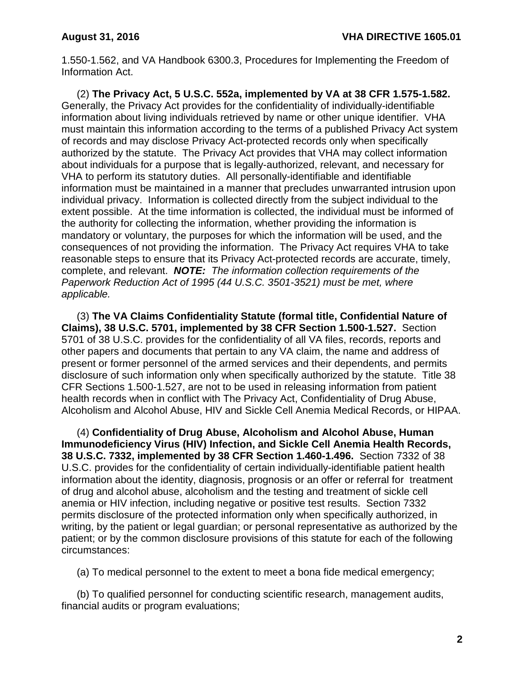1.550-1.562, and VA Handbook 6300.3, Procedures for Implementing the Freedom of Information Act.

(2) **The Privacy Act, 5 U.S.C. 552a, implemented by VA at 38 CFR 1.575-1.582.** Generally, the Privacy Act provides for the confidentiality of individually-identifiable information about living individuals retrieved by name or other unique identifier. VHA must maintain this information according to the terms of a published Privacy Act system of records and may disclose Privacy Act-protected records only when specifically authorized by the statute. The Privacy Act provides that VHA may collect information about individuals for a purpose that is legally-authorized, relevant, and necessary for VHA to perform its statutory duties. All personally-identifiable and identifiable information must be maintained in a manner that precludes unwarranted intrusion upon individual privacy. Information is collected directly from the subject individual to the extent possible. At the time information is collected, the individual must be informed of the authority for collecting the information, whether providing the information is mandatory or voluntary, the purposes for which the information will be used, and the consequences of not providing the information. The Privacy Act requires VHA to take reasonable steps to ensure that its Privacy Act-protected records are accurate, timely, complete, and relevant. *NOTE: The information collection requirements of the Paperwork Reduction Act of 1995 (44 U.S.C. 3501-3521) must be met, where applicable.*

(3) **The VA Claims Confidentiality Statute (formal title, Confidential Nature of Claims), 38 U.S.C. 5701, implemented by 38 CFR Section 1.500-1.527.** Section 5701 of 38 U.S.C. provides for the confidentiality of all VA files, records, reports and other papers and documents that pertain to any VA claim, the name and address of present or former personnel of the armed services and their dependents, and permits disclosure of such information only when specifically authorized by the statute. Title 38 CFR Sections 1.500-1.527, are not to be used in releasing information from patient health records when in conflict with The Privacy Act, Confidentiality of Drug Abuse, Alcoholism and Alcohol Abuse, HIV and Sickle Cell Anemia Medical Records, or HIPAA.

(4) **Confidentiality of Drug Abuse, Alcoholism and Alcohol Abuse, Human Immunodeficiency Virus (HIV) Infection, and Sickle Cell Anemia Health Records, 38 U.S.C. 7332, implemented by 38 CFR Section 1.460-1.496.** Section 7332 of 38 U.S.C. provides for the confidentiality of certain individually-identifiable patient health information about the identity, diagnosis, prognosis or an offer or referral for treatment of drug and alcohol abuse, alcoholism and the testing and treatment of sickle cell anemia or HIV infection, including negative or positive test results. Section 7332 permits disclosure of the protected information only when specifically authorized, in writing, by the patient or legal guardian; or personal representative as authorized by the patient; or by the common disclosure provisions of this statute for each of the following circumstances:

(a) To medical personnel to the extent to meet a bona fide medical emergency;

(b) To qualified personnel for conducting scientific research, management audits, financial audits or program evaluations;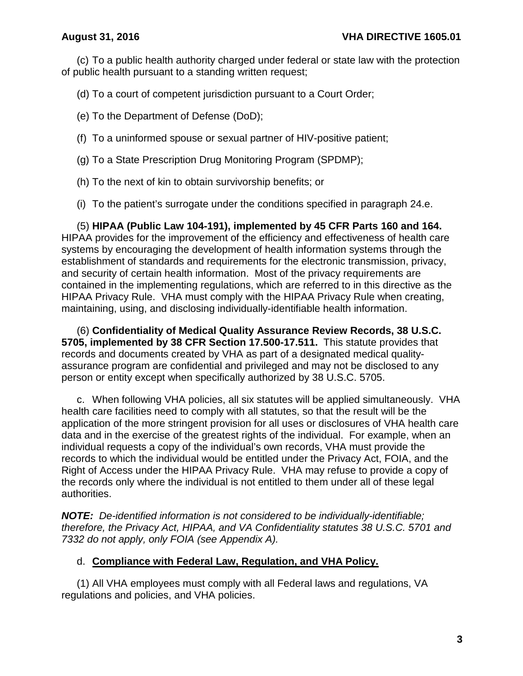(c) To a public health authority charged under federal or state law with the protection of public health pursuant to a standing written request;

(d) To a court of competent jurisdiction pursuant to a Court Order;

(e) To the Department of Defense (DoD);

- (f) To a uninformed spouse or sexual partner of HIV-positive patient;
- (g) To a State Prescription Drug Monitoring Program (SPDMP);
- (h) To the next of kin to obtain survivorship benefits; or
- (i) To the patient's surrogate under the conditions specified in paragraph 24.e.

(5) **HIPAA (Public Law 104-191), implemented by 45 CFR Parts 160 and 164.** HIPAA provides for the improvement of the efficiency and effectiveness of health care systems by encouraging the development of health information systems through the establishment of standards and requirements for the electronic transmission, privacy, and security of certain health information. Most of the privacy requirements are contained in the implementing regulations, which are referred to in this directive as the HIPAA Privacy Rule. VHA must comply with the HIPAA Privacy Rule when creating, maintaining, using, and disclosing individually-identifiable health information.

(6) **Confidentiality of Medical Quality Assurance Review Records, 38 U.S.C. 5705, implemented by 38 CFR Section 17.500-17.511.** This statute provides that records and documents created by VHA as part of a designated medical qualityassurance program are confidential and privileged and may not be disclosed to any person or entity except when specifically authorized by 38 U.S.C. 5705.

c. When following VHA policies, all six statutes will be applied simultaneously. VHA health care facilities need to comply with all statutes, so that the result will be the application of the more stringent provision for all uses or disclosures of VHA health care data and in the exercise of the greatest rights of the individual. For example, when an individual requests a copy of the individual's own records, VHA must provide the records to which the individual would be entitled under the Privacy Act, FOIA, and the Right of Access under the HIPAA Privacy Rule. VHA may refuse to provide a copy of the records only where the individual is not entitled to them under all of these legal authorities.

*NOTE: De-identified information is not considered to be individually-identifiable; therefore, the Privacy Act, HIPAA, and VA Confidentiality statutes 38 U.S.C. 5701 and 7332 do not apply, only FOIA (see Appendix A).*

## d. **Compliance with Federal Law, Regulation, and VHA Policy.**

(1) All VHA employees must comply with all Federal laws and regulations, VA regulations and policies, and VHA policies.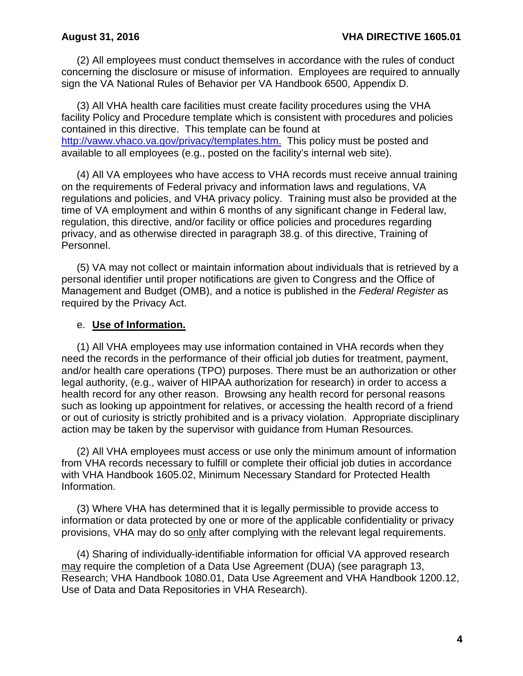(2) All employees must conduct themselves in accordance with the rules of conduct concerning the disclosure or misuse of information. Employees are required to annually sign the VA National Rules of Behavior per VA Handbook 6500, Appendix D.

(3) All VHA health care facilities must create facility procedures using the VHA facility Policy and Procedure template which is consistent with procedures and policies contained in this directive. This template can be found at [http://vaww.vhaco.va.gov/privacy/templates.htm.](http://vaww.vhaco.va.gov/privacy/templates.htm) This policy must be posted and available to all employees (e.g., posted on the facility's internal web site).

(4) All VA employees who have access to VHA records must receive annual training on the requirements of Federal privacy and information laws and regulations, VA regulations and policies, and VHA privacy policy. Training must also be provided at the time of VA employment and within 6 months of any significant change in Federal law, regulation, this directive, and/or facility or office policies and procedures regarding privacy, and as otherwise directed in paragraph 38.g. of this directive, Training of Personnel.

(5) VA may not collect or maintain information about individuals that is retrieved by a personal identifier until proper notifications are given to Congress and the Office of Management and Budget (OMB), and a notice is published in the *Federal Register* as required by the Privacy Act.

### e. **Use of Information.**

(1) All VHA employees may use information contained in VHA records when they need the records in the performance of their official job duties for treatment, payment, and/or health care operations (TPO) purposes. There must be an authorization or other legal authority, (e.g., waiver of HIPAA authorization for research) in order to access a health record for any other reason. Browsing any health record for personal reasons such as looking up appointment for relatives, or accessing the health record of a friend or out of curiosity is strictly prohibited and is a privacy violation. Appropriate disciplinary action may be taken by the supervisor with guidance from Human Resources.

(2) All VHA employees must access or use only the minimum amount of information from VHA records necessary to fulfill or complete their official job duties in accordance with VHA Handbook 1605.02, Minimum Necessary Standard for Protected Health Information.

(3) Where VHA has determined that it is legally permissible to provide access to information or data protected by one or more of the applicable confidentiality or privacy provisions, VHA may do so only after complying with the relevant legal requirements.

(4) Sharing of individually-identifiable information for official VA approved research may require the completion of a Data Use Agreement (DUA) (see paragraph 13, Research; VHA Handbook 1080.01, Data Use Agreement and VHA Handbook 1200.12, Use of Data and Data Repositories in VHA Research).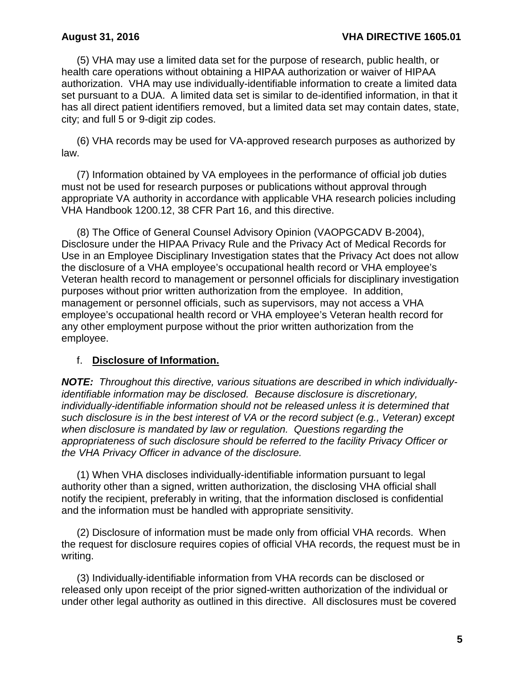(5) VHA may use a limited data set for the purpose of research, public health, or health care operations without obtaining a HIPAA authorization or waiver of HIPAA authorization. VHA may use individually-identifiable information to create a limited data set pursuant to a DUA. A limited data set is similar to de-identified information, in that it has all direct patient identifiers removed, but a limited data set may contain dates, state, city; and full 5 or 9-digit zip codes.

(6) VHA records may be used for VA-approved research purposes as authorized by law.

(7) Information obtained by VA employees in the performance of official job duties must not be used for research purposes or publications without approval through appropriate VA authority in accordance with applicable VHA research policies including VHA Handbook 1200.12, 38 CFR Part 16, and this directive.

(8) The Office of General Counsel Advisory Opinion (VAOPGCADV B-2004), Disclosure under the HIPAA Privacy Rule and the Privacy Act of Medical Records for Use in an Employee Disciplinary Investigation states that the Privacy Act does not allow the disclosure of a VHA employee's occupational health record or VHA employee's Veteran health record to management or personnel officials for disciplinary investigation purposes without prior written authorization from the employee. In addition, management or personnel officials, such as supervisors, may not access a VHA employee's occupational health record or VHA employee's Veteran health record for any other employment purpose without the prior written authorization from the employee.

## f. **Disclosure of Information.**

*NOTE: Throughout this directive, various situations are described in which individuallyidentifiable information may be disclosed. Because disclosure is discretionary, individually-identifiable information should not be released unless it is determined that such disclosure is in the best interest of VA or the record subject (e.g., Veteran) except when disclosure is mandated by law or regulation. Questions regarding the appropriateness of such disclosure should be referred to the facility Privacy Officer or the VHA Privacy Officer in advance of the disclosure.*

(1) When VHA discloses individually-identifiable information pursuant to legal authority other than a signed, written authorization, the disclosing VHA official shall notify the recipient, preferably in writing, that the information disclosed is confidential and the information must be handled with appropriate sensitivity.

(2) Disclosure of information must be made only from official VHA records. When the request for disclosure requires copies of official VHA records, the request must be in writing.

(3) Individually-identifiable information from VHA records can be disclosed or released only upon receipt of the prior signed-written authorization of the individual or under other legal authority as outlined in this directive. All disclosures must be covered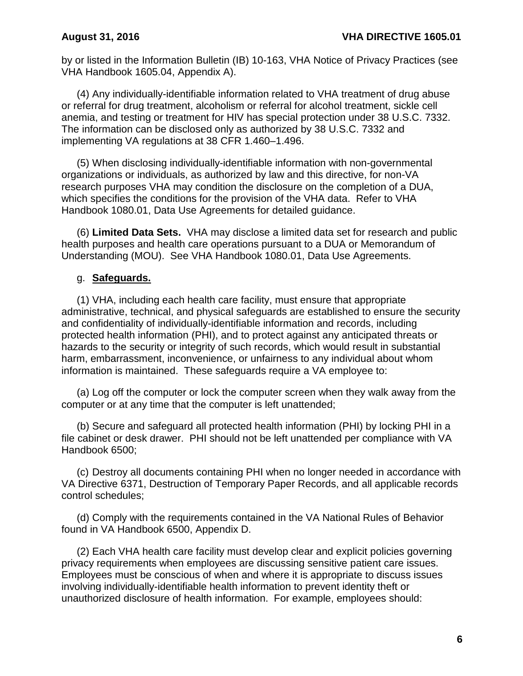by or listed in the Information Bulletin (IB) 10-163, VHA Notice of Privacy Practices (see VHA Handbook 1605.04, Appendix A).

(4) Any individually-identifiable information related to VHA treatment of drug abuse or referral for drug treatment, alcoholism or referral for alcohol treatment, sickle cell anemia, and testing or treatment for HIV has special protection under 38 U.S.C. 7332. The information can be disclosed only as authorized by 38 U.S.C. 7332 and implementing VA regulations at 38 CFR 1.460–1.496.

(5) When disclosing individually-identifiable information with non-governmental organizations or individuals, as authorized by law and this directive, for non-VA research purposes VHA may condition the disclosure on the completion of a DUA, which specifies the conditions for the provision of the VHA data. Refer to VHA Handbook 1080.01, Data Use Agreements for detailed guidance.

(6) **Limited Data Sets.** VHA may disclose a limited data set for research and public health purposes and health care operations pursuant to a DUA or Memorandum of Understanding (MOU). See VHA Handbook 1080.01, Data Use Agreements.

### g. **Safeguards.**

(1) VHA, including each health care facility, must ensure that appropriate administrative, technical, and physical safeguards are established to ensure the security and confidentiality of individually-identifiable information and records, including protected health information (PHI), and to protect against any anticipated threats or hazards to the security or integrity of such records, which would result in substantial harm, embarrassment, inconvenience, or unfairness to any individual about whom information is maintained. These safeguards require a VA employee to:

(a) Log off the computer or lock the computer screen when they walk away from the computer or at any time that the computer is left unattended;

(b) Secure and safeguard all protected health information (PHI) by locking PHI in a file cabinet or desk drawer. PHI should not be left unattended per compliance with VA Handbook 6500;

(c) Destroy all documents containing PHI when no longer needed in accordance with VA Directive 6371, Destruction of Temporary Paper Records, and all applicable records control schedules;

(d) Comply with the requirements contained in the VA National Rules of Behavior found in VA Handbook 6500, Appendix D.

(2) Each VHA health care facility must develop clear and explicit policies governing privacy requirements when employees are discussing sensitive patient care issues. Employees must be conscious of when and where it is appropriate to discuss issues involving individually-identifiable health information to prevent identity theft or unauthorized disclosure of health information. For example, employees should: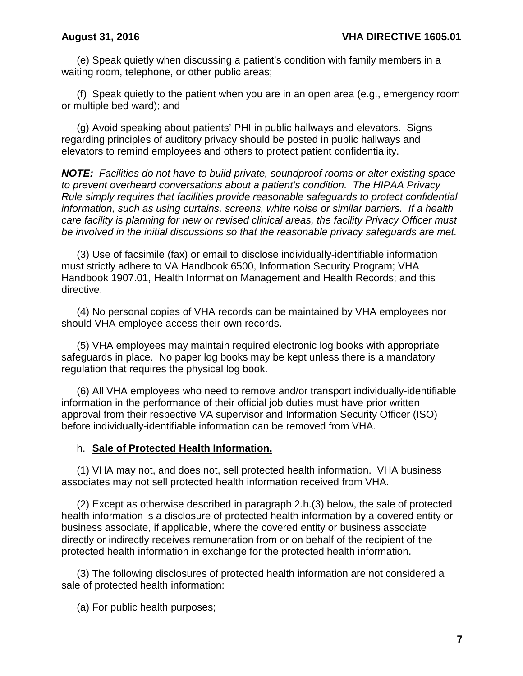(e) Speak quietly when discussing a patient's condition with family members in a waiting room, telephone, or other public areas;

(f) Speak quietly to the patient when you are in an open area (e.g., emergency room or multiple bed ward); and

(g) Avoid speaking about patients' PHI in public hallways and elevators. Signs regarding principles of auditory privacy should be posted in public hallways and elevators to remind employees and others to protect patient confidentiality.

*NOTE: Facilities do not have to build private, soundproof rooms or alter existing space to prevent overheard conversations about a patient's condition. The HIPAA Privacy Rule simply requires that facilities provide reasonable safeguards to protect confidential information, such as using curtains, screens, white noise or similar barriers. If a health care facility is planning for new or revised clinical areas, the facility Privacy Officer must be involved in the initial discussions so that the reasonable privacy safeguards are met.*

(3) Use of facsimile (fax) or email to disclose individually-identifiable information must strictly adhere to VA Handbook 6500, Information Security Program; VHA Handbook 1907.01, Health Information Management and Health Records; and this directive.

(4) No personal copies of VHA records can be maintained by VHA employees nor should VHA employee access their own records.

(5) VHA employees may maintain required electronic log books with appropriate safeguards in place. No paper log books may be kept unless there is a mandatory regulation that requires the physical log book.

(6) All VHA employees who need to remove and/or transport individually-identifiable information in the performance of their official job duties must have prior written approval from their respective VA supervisor and Information Security Officer (ISO) before individually-identifiable information can be removed from VHA.

### h. **Sale of Protected Health Information.**

(1) VHA may not, and does not, sell protected health information. VHA business associates may not sell protected health information received from VHA.

(2) Except as otherwise described in paragraph 2.h.(3) below, the sale of protected health information is a disclosure of protected health information by a covered entity or business associate, if applicable, where the covered entity or business associate directly or indirectly receives remuneration from or on behalf of the recipient of the protected health information in exchange for the protected health information.

(3) The following disclosures of protected health information are not considered a sale of protected health information:

(a) For public health purposes;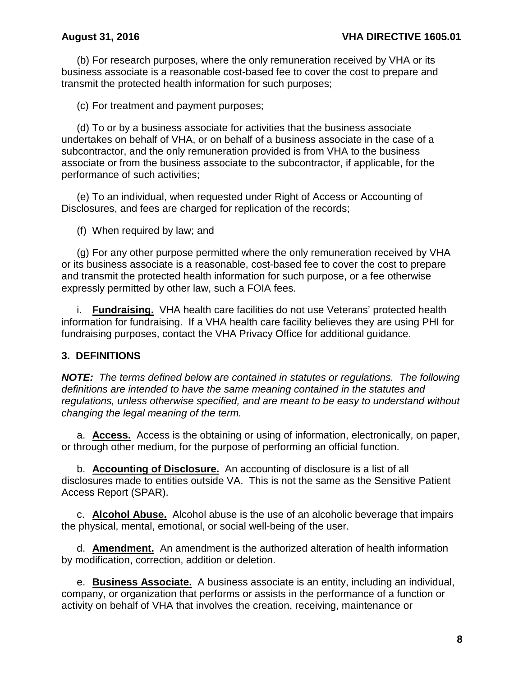(b) For research purposes, where the only remuneration received by VHA or its business associate is a reasonable cost-based fee to cover the cost to prepare and transmit the protected health information for such purposes;

(c) For treatment and payment purposes;

(d) To or by a business associate for activities that the business associate undertakes on behalf of VHA, or on behalf of a business associate in the case of a subcontractor, and the only remuneration provided is from VHA to the business associate or from the business associate to the subcontractor, if applicable, for the performance of such activities;

(e) To an individual, when requested under Right of Access or Accounting of Disclosures, and fees are charged for replication of the records;

(f) When required by law; and

(g) For any other purpose permitted where the only remuneration received by VHA or its business associate is a reasonable, cost-based fee to cover the cost to prepare and transmit the protected health information for such purpose, or a fee otherwise expressly permitted by other law, such a FOIA fees.

i. **Fundraising.** VHA health care facilities do not use Veterans' protected health information for fundraising. If a VHA health care facility believes they are using PHI for fundraising purposes, contact the VHA Privacy Office for additional guidance.

## <span id="page-10-0"></span>**3. DEFINITIONS**

*NOTE: The terms defined below are contained in statutes or regulations. The following definitions are intended to have the same meaning contained in the statutes and regulations, unless otherwise specified, and are meant to be easy to understand without changing the legal meaning of the term.* 

a. **Access.** Access is the obtaining or using of information, electronically, on paper, or through other medium, for the purpose of performing an official function.

b. **Accounting of Disclosure.** An accounting of disclosure is a list of all disclosures made to entities outside VA. This is not the same as the Sensitive Patient Access Report (SPAR).

c. **Alcohol Abuse.** Alcohol abuse is the use of an alcoholic beverage that impairs the physical, mental, emotional, or social well-being of the user.

d. **Amendment.** An amendment is the authorized alteration of health information by modification, correction, addition or deletion.

e. **Business Associate.** A business associate is an entity, including an individual, company, or organization that performs or assists in the performance of a function or activity on behalf of VHA that involves the creation, receiving, maintenance or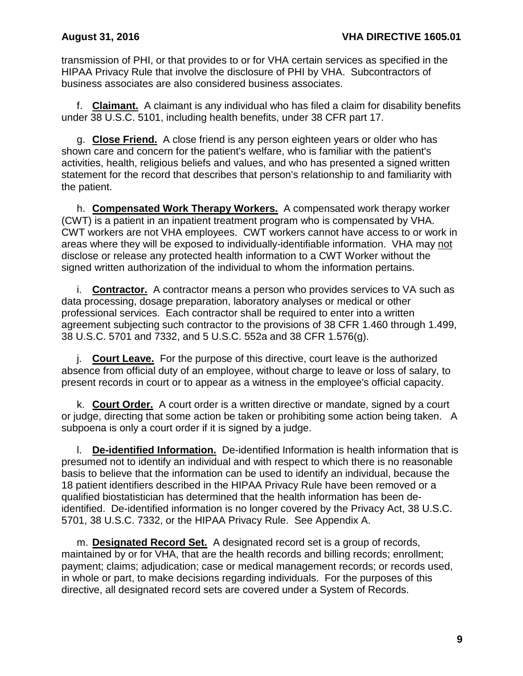transmission of PHI, or that provides to or for VHA certain services as specified in the HIPAA Privacy Rule that involve the disclosure of PHI by VHA. Subcontractors of business associates are also considered business associates.

f. **Claimant.** A claimant is any individual who has filed a claim for disability benefits under 38 U.S.C. 5101, including health benefits, under 38 CFR part 17.

g. **Close Friend.** A close friend is any person eighteen years or older who has shown care and concern for the patient's welfare, who is familiar with the patient's activities, health, religious beliefs and values, and who has presented a signed written statement for the record that describes that person's relationship to and familiarity with the patient.

h. **Compensated Work Therapy Workers.** A compensated work therapy worker (CWT) is a patient in an inpatient treatment program who is compensated by VHA. CWT workers are not VHA employees. CWT workers cannot have access to or work in areas where they will be exposed to individually-identifiable information. VHA may not disclose or release any protected health information to a CWT Worker without the signed written authorization of the individual to whom the information pertains.

i. **Contractor.** A contractor means a person who provides services to VA such as data processing, dosage preparation, laboratory analyses or medical or other professional services. Each contractor shall be required to enter into a written agreement subjecting such contractor to the provisions of 38 CFR 1.460 through 1.499, 38 U.S.C. 5701 and 7332, and 5 U.S.C. 552a and 38 CFR 1.576(g).

j. **Court Leave.** For the purpose of this directive, court leave is the authorized absence from official duty of an employee, without charge to leave or loss of salary, to present records in court or to appear as a witness in the employee's official capacity.

k. **Court Order.** A court order is a written directive or mandate, signed by a court or judge, directing that some action be taken or prohibiting some action being taken. A subpoena is only a court order if it is signed by a judge.

l. **De-identified Information.** De-identified Information is health information that is presumed not to identify an individual and with respect to which there is no reasonable basis to believe that the information can be used to identify an individual, because the 18 patient identifiers described in the HIPAA Privacy Rule have been removed or a qualified biostatistician has determined that the health information has been deidentified. De-identified information is no longer covered by the Privacy Act, 38 U.S.C. 5701, 38 U.S.C. 7332, or the HIPAA Privacy Rule. See Appendix A.

m. **Designated Record Set.** A designated record set is a group of records, maintained by or for VHA, that are the health records and billing records; enrollment; payment; claims; adjudication; case or medical management records; or records used, in whole or part, to make decisions regarding individuals. For the purposes of this directive, all designated record sets are covered under a System of Records.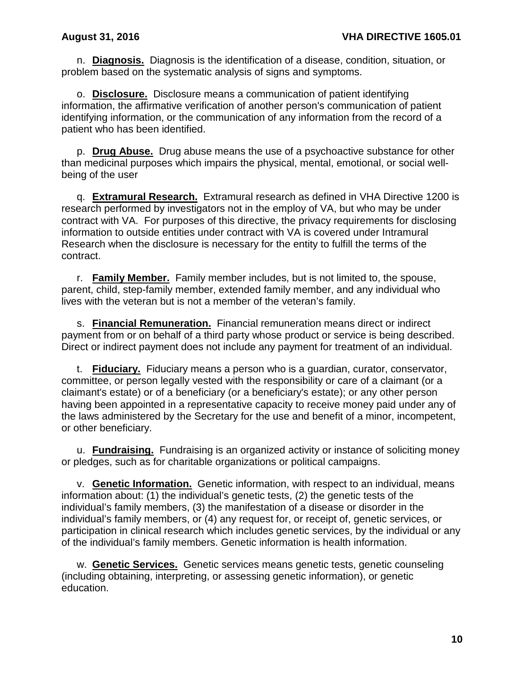n. **Diagnosis.** Diagnosis is the identification of a disease, condition, situation, or problem based on the systematic analysis of signs and symptoms.

o. **Disclosure.** Disclosure means a communication of patient identifying information, the affirmative verification of another person's communication of patient identifying information, or the communication of any information from the record of a patient who has been identified.

p. **Drug Abuse.** Drug abuse means the use of a psychoactive substance for other than medicinal purposes which impairs the physical, mental, emotional, or social wellbeing of the user

q. **Extramural Research.** Extramural research as defined in VHA Directive 1200 is research performed by investigators not in the employ of VA, but who may be under contract with VA. For purposes of this directive, the privacy requirements for disclosing information to outside entities under contract with VA is covered under Intramural Research when the disclosure is necessary for the entity to fulfill the terms of the contract.

r. **Family Member.** Family member includes, but is not limited to, the spouse, parent, child, step-family member, extended family member, and any individual who lives with the veteran but is not a member of the veteran's family.

s. **Financial Remuneration.** Financial remuneration means direct or indirect payment from or on behalf of a third party whose product or service is being described. Direct or indirect payment does not include any payment for treatment of an individual.

t. **Fiduciary.** Fiduciary means a person who is a guardian, curator, conservator, committee, or person legally vested with the responsibility or care of a claimant (or a claimant's estate) or of a beneficiary (or a beneficiary's estate); or any other person having been appointed in a representative capacity to receive money paid under any of the laws administered by the Secretary for the use and benefit of a minor, incompetent, or other beneficiary.

u. **Fundraising.** Fundraising is an organized activity or instance of soliciting money or pledges, such as for charitable organizations or political campaigns.

v. **Genetic Information.** Genetic information, with respect to an individual, means information about: (1) the individual's genetic tests, (2) the genetic tests of the individual's family members, (3) the manifestation of a disease or disorder in the individual's family members, or (4) any request for, or receipt of, genetic services, or participation in clinical research which includes genetic services, by the individual or any of the individual's family members. Genetic information is health information.

w. **Genetic Services.** Genetic services means genetic tests, genetic counseling (including obtaining, interpreting, or assessing genetic information), or genetic education.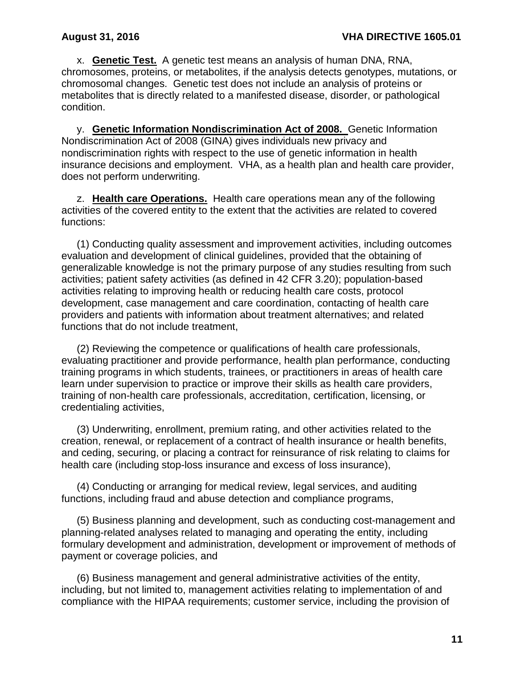x. **Genetic Test.** A genetic test means an analysis of human DNA, RNA, chromosomes, proteins, or metabolites, if the analysis detects genotypes, mutations, or chromosomal changes. Genetic test does not include an analysis of proteins or metabolites that is directly related to a manifested disease, disorder, or pathological condition.

y. **Genetic Information Nondiscrimination Act of 2008.** Genetic Information Nondiscrimination Act of 2008 (GINA) gives individuals new privacy and nondiscrimination rights with respect to the use of genetic information in health insurance decisions and employment. VHA, as a health plan and health care provider, does not perform underwriting.

z. **Health care Operations.** Health care operations mean any of the following activities of the covered entity to the extent that the activities are related to covered functions:

(1) Conducting quality assessment and improvement activities, including outcomes evaluation and development of clinical guidelines, provided that the obtaining of generalizable knowledge is not the primary purpose of any studies resulting from such activities; patient safety activities (as defined in 42 CFR 3.20); population-based activities relating to improving health or reducing health care costs, protocol development, case management and care coordination, contacting of health care providers and patients with information about treatment alternatives; and related functions that do not include treatment,

(2) Reviewing the competence or qualifications of health care professionals, evaluating practitioner and provide performance, health plan performance, conducting training programs in which students, trainees, or practitioners in areas of health care learn under supervision to practice or improve their skills as health care providers, training of non-health care professionals, accreditation, certification, licensing, or credentialing activities,

(3) Underwriting, enrollment, premium rating, and other activities related to the creation, renewal, or replacement of a contract of health insurance or health benefits, and ceding, securing, or placing a contract for reinsurance of risk relating to claims for health care (including stop-loss insurance and excess of loss insurance),

(4) Conducting or arranging for medical review, legal services, and auditing functions, including fraud and abuse detection and compliance programs,

(5) Business planning and development, such as conducting cost-management and planning-related analyses related to managing and operating the entity, including formulary development and administration, development or improvement of methods of payment or coverage policies, and

(6) Business management and general administrative activities of the entity, including, but not limited to, management activities relating to implementation of and compliance with the HIPAA requirements; customer service, including the provision of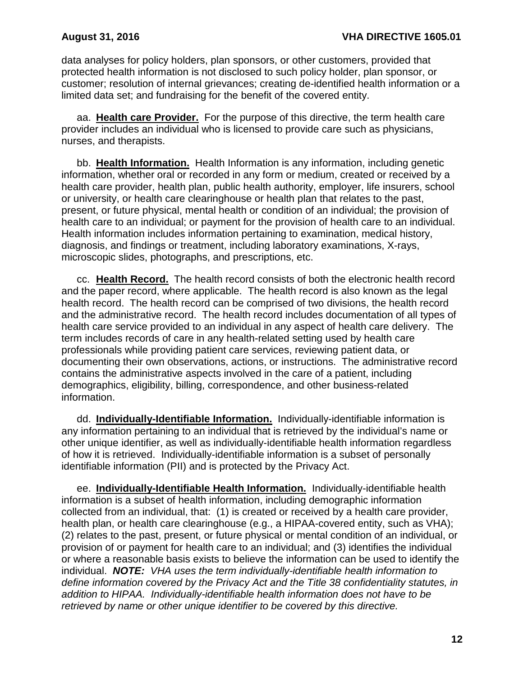data analyses for policy holders, plan sponsors, or other customers, provided that protected health information is not disclosed to such policy holder, plan sponsor, or customer; resolution of internal grievances; creating de-identified health information or a limited data set; and fundraising for the benefit of the covered entity.

aa. **Health care Provider.** For the purpose of this directive, the term health care provider includes an individual who is licensed to provide care such as physicians, nurses, and therapists.

bb. **Health Information.** Health Information is any information, including genetic information, whether oral or recorded in any form or medium, created or received by a health care provider, health plan, public health authority, employer, life insurers, school or university, or health care clearinghouse or health plan that relates to the past, present, or future physical, mental health or condition of an individual; the provision of health care to an individual; or payment for the provision of health care to an individual. Health information includes information pertaining to examination, medical history, diagnosis, and findings or treatment, including laboratory examinations, X-rays, microscopic slides, photographs, and prescriptions, etc.

cc. **Health Record.** The health record consists of both the electronic health record and the paper record, where applicable. The health record is also known as the legal health record. The health record can be comprised of two divisions, the health record and the administrative record. The health record includes documentation of all types of health care service provided to an individual in any aspect of health care delivery. The term includes records of care in any health-related setting used by health care professionals while providing patient care services, reviewing patient data, or documenting their own observations, actions, or instructions. The administrative record contains the administrative aspects involved in the care of a patient, including demographics, eligibility, billing, correspondence, and other business-related information.

dd. **Individually-Identifiable Information.** Individually-identifiable information is any information pertaining to an individual that is retrieved by the individual's name or other unique identifier, as well as individually-identifiable health information regardless of how it is retrieved. Individually-identifiable information is a subset of personally identifiable information (PII) and is protected by the Privacy Act.

ee. **Individually-Identifiable Health Information.** Individually-identifiable health information is a subset of health information, including demographic information collected from an individual, that: (1) is created or received by a health care provider, health plan, or health care clearinghouse (e.g., a HIPAA-covered entity, such as VHA); (2) relates to the past, present, or future physical or mental condition of an individual, or provision of or payment for health care to an individual; and (3) identifies the individual or where a reasonable basis exists to believe the information can be used to identify the individual. *NOTE: VHA uses the term individually-identifiable health information to define information covered by the Privacy Act and the Title 38 confidentiality statutes, in addition to HIPAA. Individually-identifiable health information does not have to be retrieved by name or other unique identifier to be covered by this directive.*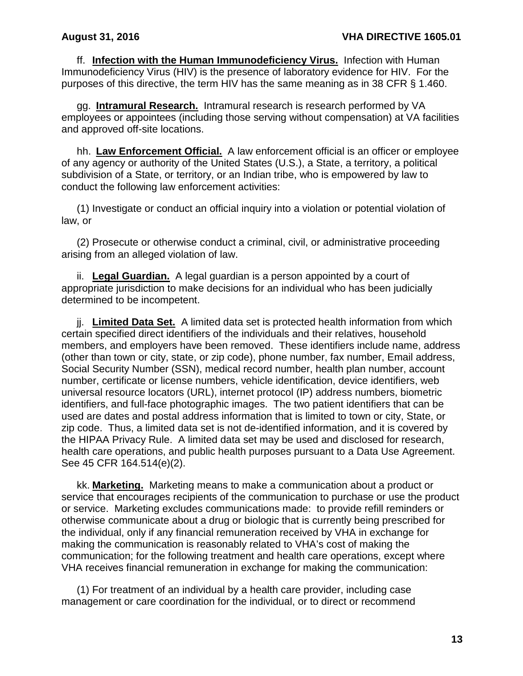ff. **Infection with the Human Immunodeficiency Virus.** Infection with Human Immunodeficiency Virus (HIV) is the presence of laboratory evidence for HIV. For the purposes of this directive, the term HIV has the same meaning as in 38 CFR § 1.460.

gg. **Intramural Research.** Intramural research is research performed by VA employees or appointees (including those serving without compensation) at VA facilities and approved off-site locations.

hh. **Law Enforcement Official.** A law enforcement official is an officer or employee of any agency or authority of the United States (U.S.), a State, a territory, a political subdivision of a State, or territory, or an Indian tribe, who is empowered by law to conduct the following law enforcement activities:

(1) Investigate or conduct an official inquiry into a violation or potential violation of law, or

(2) Prosecute or otherwise conduct a criminal, civil, or administrative proceeding arising from an alleged violation of law.

ii. **Legal Guardian.** A legal guardian is a person appointed by a court of appropriate jurisdiction to make decisions for an individual who has been judicially determined to be incompetent.

jj. **Limited Data Set.** A limited data set is protected health information from which certain specified direct identifiers of the individuals and their relatives, household members, and employers have been removed. These identifiers include name, address (other than town or city, state, or zip code), phone number, fax number, Email address, Social Security Number (SSN), medical record number, health plan number, account number, certificate or license numbers, vehicle identification, device identifiers, web universal resource locators (URL), internet protocol (IP) address numbers, biometric identifiers, and full-face photographic images. The two patient identifiers that can be used are dates and postal address information that is limited to town or city, State, or zip code. Thus, a limited data set is not de-identified information, and it is covered by the HIPAA Privacy Rule. A limited data set may be used and disclosed for research, health care operations, and public health purposes pursuant to a Data Use Agreement. See 45 CFR 164.514(e)(2).

kk. **Marketing.** Marketing means to make a communication about a product or service that encourages recipients of the communication to purchase or use the product or service. Marketing excludes communications made: to provide refill reminders or otherwise communicate about a drug or biologic that is currently being prescribed for the individual, only if any financial remuneration received by VHA in exchange for making the communication is reasonably related to VHA's cost of making the communication; for the following treatment and health care operations, except where VHA receives financial remuneration in exchange for making the communication:

(1) For treatment of an individual by a health care provider, including case management or care coordination for the individual, or to direct or recommend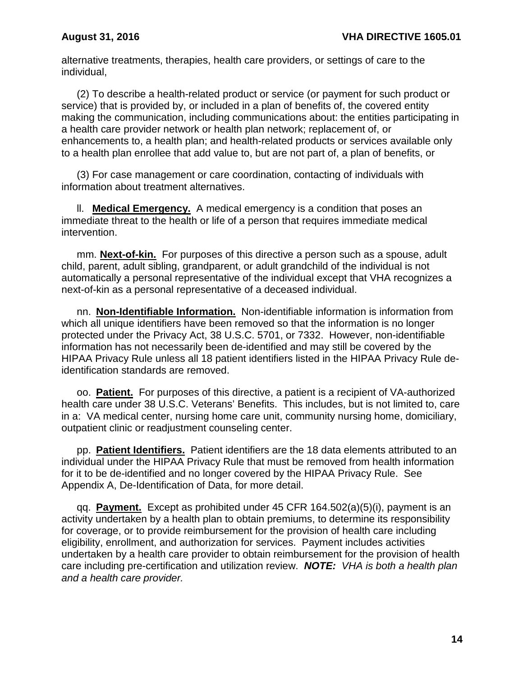alternative treatments, therapies, health care providers, or settings of care to the individual,

(2) To describe a health-related product or service (or payment for such product or service) that is provided by, or included in a plan of benefits of, the covered entity making the communication, including communications about: the entities participating in a health care provider network or health plan network; replacement of, or enhancements to, a health plan; and health-related products or services available only to a health plan enrollee that add value to, but are not part of, a plan of benefits, or

(3) For case management or care coordination, contacting of individuals with information about treatment alternatives.

ll. **Medical Emergency.** A medical emergency is a condition that poses an immediate threat to the health or life of a person that requires immediate medical intervention.

mm. **Next-of-kin.** For purposes of this directive a person such as a spouse, adult child, parent, adult sibling, grandparent, or adult grandchild of the individual is not automatically a personal representative of the individual except that VHA recognizes a next-of-kin as a personal representative of a deceased individual.

nn. **Non-Identifiable Information.** Non-identifiable information is information from which all unique identifiers have been removed so that the information is no longer protected under the Privacy Act, 38 U.S.C. 5701, or 7332. However, non-identifiable information has not necessarily been de-identified and may still be covered by the HIPAA Privacy Rule unless all 18 patient identifiers listed in the HIPAA Privacy Rule deidentification standards are removed.

oo. **Patient.** For purposes of this directive, a patient is a recipient of VA-authorized health care under 38 U.S.C. Veterans' Benefits. This includes, but is not limited to, care in a: VA medical center, nursing home care unit, community nursing home, domiciliary, outpatient clinic or readjustment counseling center.

pp. **Patient Identifiers.** Patient identifiers are the 18 data elements attributed to an individual under the HIPAA Privacy Rule that must be removed from health information for it to be de-identified and no longer covered by the HIPAA Privacy Rule. See Appendix A, De-Identification of Data, for more detail.

qq. **Payment.** Except as prohibited under 45 CFR 164.502(a)(5)(i), payment is an activity undertaken by a health plan to obtain premiums, to determine its responsibility for coverage, or to provide reimbursement for the provision of health care including eligibility, enrollment, and authorization for services. Payment includes activities undertaken by a health care provider to obtain reimbursement for the provision of health care including pre-certification and utilization review. *NOTE: VHA is both a health plan and a health care provider.*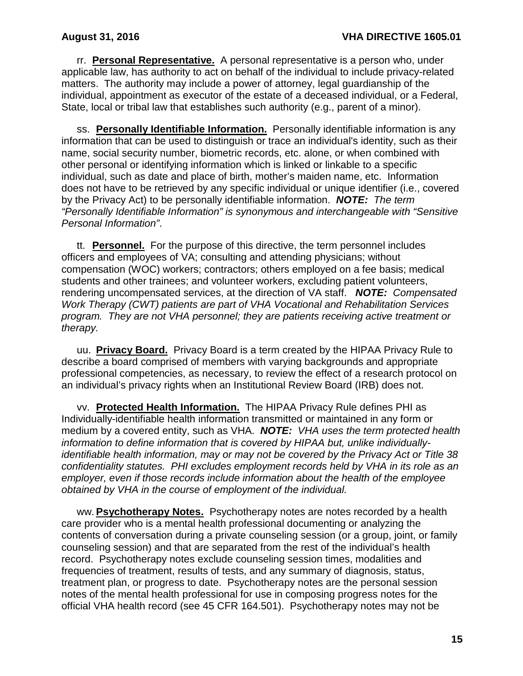rr. **Personal Representative.** A personal representative is a person who, under applicable law, has authority to act on behalf of the individual to include privacy-related matters. The authority may include a power of attorney, legal guardianship of the individual, appointment as executor of the estate of a deceased individual, or a Federal, State, local or tribal law that establishes such authority (e.g., parent of a minor).

ss. **Personally Identifiable Information.** Personally identifiable information is any information that can be used to distinguish or trace an individual's identity, such as their name, social security number, biometric records, etc. alone, or when combined with other personal or identifying information which is linked or linkable to a specific individual, such as date and place of birth, mother's maiden name, etc. Information does not have to be retrieved by any specific individual or unique identifier (i.e., covered by the Privacy Act) to be personally identifiable information. *NOTE: The term "Personally Identifiable Information" is synonymous and interchangeable with "Sensitive Personal Information"*.

tt. **Personnel.** For the purpose of this directive, the term personnel includes officers and employees of VA; consulting and attending physicians; without compensation (WOC) workers; contractors; others employed on a fee basis; medical students and other trainees; and volunteer workers, excluding patient volunteers, rendering uncompensated services, at the direction of VA staff. *NOTE: Compensated Work Therapy (CWT) patients are part of VHA Vocational and Rehabilitation Services program. They are not VHA personnel; they are patients receiving active treatment or therapy.*

uu. **Privacy Board.** Privacy Board is a term created by the HIPAA Privacy Rule to describe a board comprised of members with varying backgrounds and appropriate professional competencies, as necessary, to review the effect of a research protocol on an individual's privacy rights when an Institutional Review Board (IRB) does not.

vv. **Protected Health Information.** The HIPAA Privacy Rule defines PHI as Individually-identifiable health information transmitted or maintained in any form or medium by a covered entity, such as VHA. *NOTE: VHA uses the term protected health information to define information that is covered by HIPAA but, unlike individuallyidentifiable health information, may or may not be covered by the Privacy Act or Title 38 confidentiality statutes. PHI excludes employment records held by VHA in its role as an employer, even if those records include information about the health of the employee obtained by VHA in the course of employment of the individual.*

ww. **Psychotherapy Notes.** Psychotherapy notes are notes recorded by a health care provider who is a mental health professional documenting or analyzing the contents of conversation during a private counseling session (or a group, joint, or family counseling session) and that are separated from the rest of the individual's health record. Psychotherapy notes exclude counseling session times, modalities and frequencies of treatment, results of tests, and any summary of diagnosis, status, treatment plan, or progress to date. Psychotherapy notes are the personal session notes of the mental health professional for use in composing progress notes for the official VHA health record (see 45 CFR 164.501). Psychotherapy notes may not be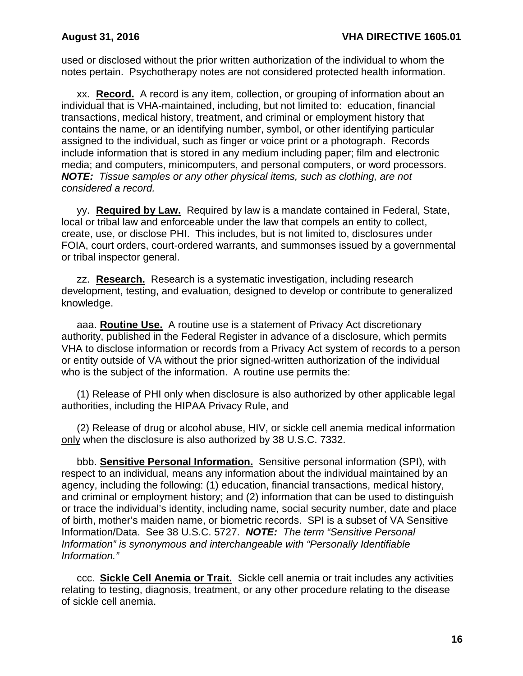used or disclosed without the prior written authorization of the individual to whom the notes pertain. Psychotherapy notes are not considered protected health information.

xx. **Record.** A record is any item, collection, or grouping of information about an individual that is VHA-maintained, including, but not limited to: education, financial transactions, medical history, treatment, and criminal or employment history that contains the name, or an identifying number, symbol, or other identifying particular assigned to the individual, such as finger or voice print or a photograph. Records include information that is stored in any medium including paper; film and electronic media; and computers, minicomputers, and personal computers, or word processors. *NOTE: Tissue samples or any other physical items, such as clothing, are not considered a record.*

yy. **Required by Law.** Required by law is a mandate contained in Federal, State, local or tribal law and enforceable under the law that compels an entity to collect, create, use, or disclose PHI. This includes, but is not limited to, disclosures under FOIA, court orders, court-ordered warrants, and summonses issued by a governmental or tribal inspector general.

zz. **Research.** Research is a systematic investigation, including research development, testing, and evaluation, designed to develop or contribute to generalized knowledge.

aaa. **Routine Use.** A routine use is a statement of Privacy Act discretionary authority, published in the Federal Register in advance of a disclosure, which permits VHA to disclose information or records from a Privacy Act system of records to a person or entity outside of VA without the prior signed-written authorization of the individual who is the subject of the information. A routine use permits the:

(1) Release of PHI only when disclosure is also authorized by other applicable legal authorities, including the HIPAA Privacy Rule, and

(2) Release of drug or alcohol abuse, HIV, or sickle cell anemia medical information only when the disclosure is also authorized by 38 U.S.C. 7332.

bbb. **Sensitive Personal Information.** Sensitive personal information (SPI), with respect to an individual, means any information about the individual maintained by an agency, including the following: (1) education, financial transactions, medical history, and criminal or employment history; and (2) information that can be used to distinguish or trace the individual's identity, including name, social security number, date and place of birth, mother's maiden name, or biometric records. SPI is a subset of VA Sensitive Information/Data. See 38 U.S.C. 5727. *NOTE: The term "Sensitive Personal Information" is synonymous and interchangeable with "Personally Identifiable Information."*

ccc. **Sickle Cell Anemia or Trait.** Sickle cell anemia or trait includes any activities relating to testing, diagnosis, treatment, or any other procedure relating to the disease of sickle cell anemia.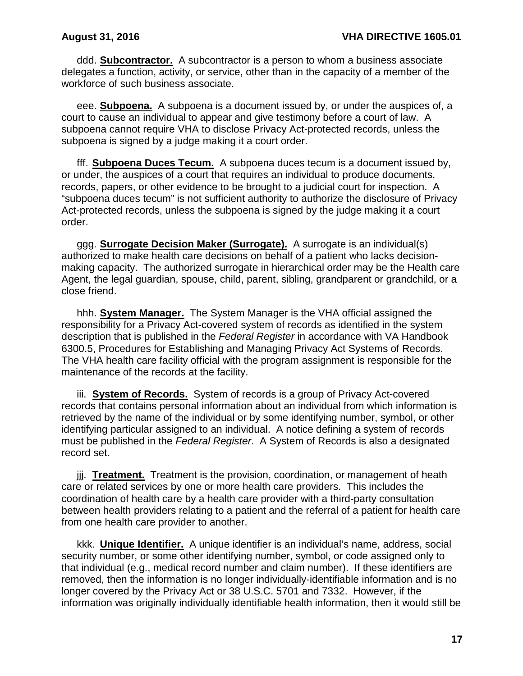ddd. **Subcontractor.** A subcontractor is a person to whom a business associate delegates a function, activity, or service, other than in the capacity of a member of the workforce of such business associate.

eee. **Subpoena.** A subpoena is a document issued by, or under the auspices of, a court to cause an individual to appear and give testimony before a court of law. A subpoena cannot require VHA to disclose Privacy Act-protected records, unless the subpoena is signed by a judge making it a court order.

fff. **Subpoena Duces Tecum.** A subpoena duces tecum is a document issued by, or under, the auspices of a court that requires an individual to produce documents, records, papers, or other evidence to be brought to a judicial court for inspection. A "subpoena duces tecum" is not sufficient authority to authorize the disclosure of Privacy Act-protected records, unless the subpoena is signed by the judge making it a court order.

ggg. **Surrogate Decision Maker (Surrogate).** A surrogate is an individual(s) authorized to make health care decisions on behalf of a patient who lacks decisionmaking capacity. The authorized surrogate in hierarchical order may be the Health care Agent, the legal guardian, spouse, child, parent, sibling, grandparent or grandchild, or a close friend.

hhh. **System Manager.** The System Manager is the VHA official assigned the responsibility for a Privacy Act-covered system of records as identified in the system description that is published in the *Federal Register* in accordance with VA Handbook 6300.5, Procedures for Establishing and Managing Privacy Act Systems of Records. The VHA health care facility official with the program assignment is responsible for the maintenance of the records at the facility.

iii. **System of Records.** System of records is a group of Privacy Act-covered records that contains personal information about an individual from which information is retrieved by the name of the individual or by some identifying number, symbol, or other identifying particular assigned to an individual. A notice defining a system of records must be published in the *Federal Register*. A System of Records is also a designated record set.

jjj. **Treatment.** Treatment is the provision, coordination, or management of heath care or related services by one or more health care providers. This includes the coordination of health care by a health care provider with a third-party consultation between health providers relating to a patient and the referral of a patient for health care from one health care provider to another.

kkk. **Unique Identifier.** A unique identifier is an individual's name, address, social security number, or some other identifying number, symbol, or code assigned only to that individual (e.g., medical record number and claim number). If these identifiers are removed, then the information is no longer individually-identifiable information and is no longer covered by the Privacy Act or 38 U.S.C. 5701 and 7332. However, if the information was originally individually identifiable health information, then it would still be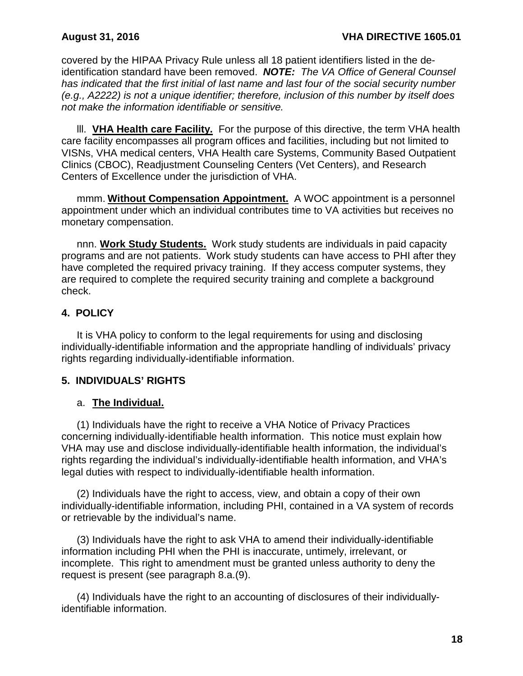covered by the HIPAA Privacy Rule unless all 18 patient identifiers listed in the deidentification standard have been removed. *NOTE: The VA Office of General Counsel has indicated that the first initial of last name and last four of the social security number (e.g., A2222) is not a unique identifier; therefore, inclusion of this number by itself does not make the information identifiable or sensitive.*

lll. **VHA Health care Facility.** For the purpose of this directive, the term VHA health care facility encompasses all program offices and facilities, including but not limited to VISNs, VHA medical centers, VHA Health care Systems, Community Based Outpatient Clinics (CBOC), Readjustment Counseling Centers (Vet Centers), and Research Centers of Excellence under the jurisdiction of VHA.

mmm. **Without Compensation Appointment.** A WOC appointment is a personnel appointment under which an individual contributes time to VA activities but receives no monetary compensation.

nnn. **Work Study Students.** Work study students are individuals in paid capacity programs and are not patients. Work study students can have access to PHI after they have completed the required privacy training. If they access computer systems, they are required to complete the required security training and complete a background check.

## <span id="page-20-0"></span>**4. POLICY**

It is VHA policy to conform to the legal requirements for using and disclosing individually-identifiable information and the appropriate handling of individuals' privacy rights regarding individually-identifiable information.

## <span id="page-20-1"></span>**5. INDIVIDUALS' RIGHTS**

### a. **The Individual.**

(1) Individuals have the right to receive a VHA Notice of Privacy Practices concerning individually-identifiable health information. This notice must explain how VHA may use and disclose individually-identifiable health information, the individual's rights regarding the individual's individually-identifiable health information, and VHA's legal duties with respect to individually-identifiable health information.

(2) Individuals have the right to access, view, and obtain a copy of their own individually-identifiable information, including PHI, contained in a VA system of records or retrievable by the individual's name.

(3) Individuals have the right to ask VHA to amend their individually-identifiable information including PHI when the PHI is inaccurate, untimely, irrelevant, or incomplete. This right to amendment must be granted unless authority to deny the request is present (see paragraph 8.a.(9).

(4) Individuals have the right to an accounting of disclosures of their individuallyidentifiable information.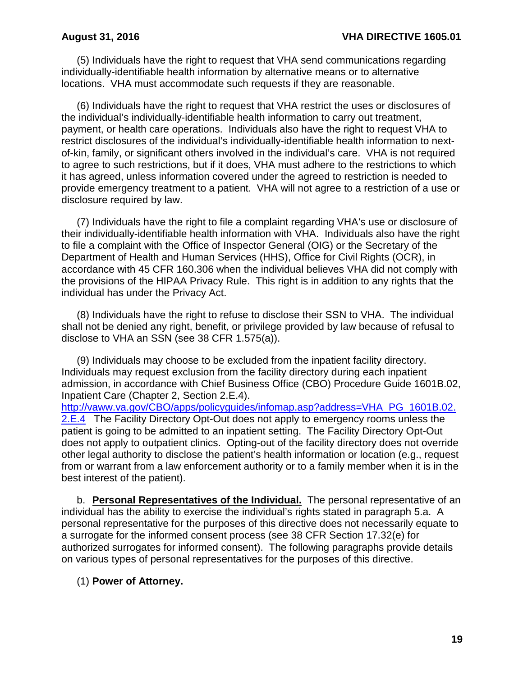(5) Individuals have the right to request that VHA send communications regarding individually-identifiable health information by alternative means or to alternative locations. VHA must accommodate such requests if they are reasonable.

(6) Individuals have the right to request that VHA restrict the uses or disclosures of the individual's individually-identifiable health information to carry out treatment, payment, or health care operations. Individuals also have the right to request VHA to restrict disclosures of the individual's individually-identifiable health information to nextof-kin, family, or significant others involved in the individual's care. VHA is not required to agree to such restrictions, but if it does, VHA must adhere to the restrictions to which it has agreed, unless information covered under the agreed to restriction is needed to provide emergency treatment to a patient. VHA will not agree to a restriction of a use or disclosure required by law.

(7) Individuals have the right to file a complaint regarding VHA's use or disclosure of their individually-identifiable health information with VHA. Individuals also have the right to file a complaint with the Office of Inspector General (OIG) or the Secretary of the Department of Health and Human Services (HHS), Office for Civil Rights (OCR), in accordance with 45 CFR 160.306 when the individual believes VHA did not comply with the provisions of the HIPAA Privacy Rule. This right is in addition to any rights that the individual has under the Privacy Act.

(8) Individuals have the right to refuse to disclose their SSN to VHA. The individual shall not be denied any right, benefit, or privilege provided by law because of refusal to disclose to VHA an SSN (see 38 CFR 1.575(a)).

(9) Individuals may choose to be excluded from the inpatient facility directory. Individuals may request exclusion from the facility directory during each inpatient admission, in accordance with Chief Business Office (CBO) Procedure Guide 1601B.02, Inpatient Care (Chapter 2, Section 2.E.4).

[http://vaww.va.gov/CBO/apps/policyguides/infomap.asp?address=VHA\\_PG\\_1601B.02.](http://vaww.va.gov/CBO/apps/policyguides/infomap.asp?address=VHA_PG_1601B.02.2.E.4) 2.E.4 The Facility Directory Opt-Out does not apply to emergency rooms unless the patient is going to be admitted to an inpatient setting. The Facility Directory Opt-Out does not apply to outpatient clinics. Opting-out of the facility directory does not override other legal authority to disclose the patient's health information or location (e.g., request from or warrant from a law enforcement authority or to a family member when it is in the best interest of the patient).

b. **Personal Representatives of the Individual.** The personal representative of an individual has the ability to exercise the individual's rights stated in paragraph 5.a. A personal representative for the purposes of this directive does not necessarily equate to a surrogate for the informed consent process (see 38 CFR Section 17.32(e) for authorized surrogates for informed consent). The following paragraphs provide details on various types of personal representatives for the purposes of this directive.

### (1) **Power of Attorney.**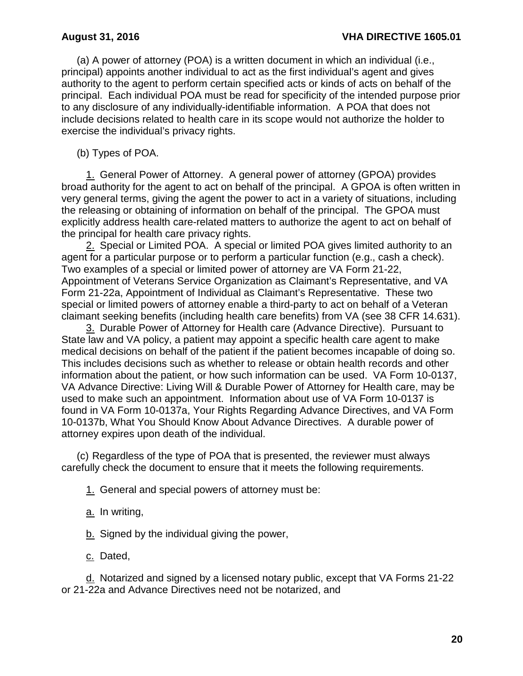(a) A power of attorney (POA) is a written document in which an individual (i.e., principal) appoints another individual to act as the first individual's agent and gives authority to the agent to perform certain specified acts or kinds of acts on behalf of the principal. Each individual POA must be read for specificity of the intended purpose prior to any disclosure of any individually-identifiable information. A POA that does not include decisions related to health care in its scope would not authorize the holder to exercise the individual's privacy rights.

(b) Types of POA.

1. General Power of Attorney. A general power of attorney (GPOA) provides broad authority for the agent to act on behalf of the principal. A GPOA is often written in very general terms, giving the agent the power to act in a variety of situations, including the releasing or obtaining of information on behalf of the principal. The GPOA must explicitly address health care-related matters to authorize the agent to act on behalf of the principal for health care privacy rights.

2. Special or Limited POA. A special or limited POA gives limited authority to an agent for a particular purpose or to perform a particular function (e.g., cash a check). Two examples of a special or limited power of attorney are VA Form 21-22, Appointment of Veterans Service Organization as Claimant's Representative, and VA Form 21-22a, Appointment of Individual as Claimant's Representative. These two special or limited powers of attorney enable a third-party to act on behalf of a Veteran claimant seeking benefits (including health care benefits) from VA (see 38 CFR 14.631).

3. Durable Power of Attorney for Health care (Advance Directive). Pursuant to State law and VA policy, a patient may appoint a specific health care agent to make medical decisions on behalf of the patient if the patient becomes incapable of doing so. This includes decisions such as whether to release or obtain health records and other information about the patient, or how such information can be used. VA Form 10-0137, VA Advance Directive: Living Will & Durable Power of Attorney for Health care, may be used to make such an appointment. Information about use of VA Form 10-0137 is found in VA Form 10-0137a, Your Rights Regarding Advance Directives, and VA Form 10-0137b, What You Should Know About Advance Directives. A durable power of attorney expires upon death of the individual.

(c) Regardless of the type of POA that is presented, the reviewer must always carefully check the document to ensure that it meets the following requirements.

1. General and special powers of attorney must be:

a. In writing,

b. Signed by the individual giving the power,

c. Dated,

d. Notarized and signed by a licensed notary public, except that VA Forms 21-22 or 21-22a and Advance Directives need not be notarized, and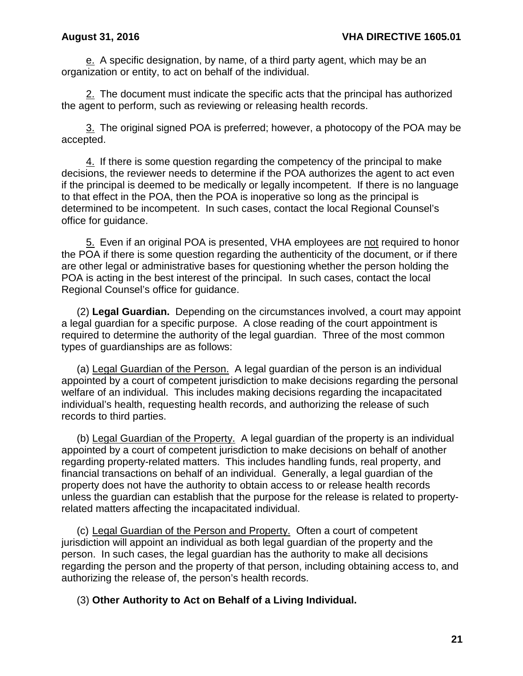e. A specific designation, by name, of a third party agent, which may be an organization or entity, to act on behalf of the individual.

2. The document must indicate the specific acts that the principal has authorized the agent to perform, such as reviewing or releasing health records.

3. The original signed POA is preferred; however, a photocopy of the POA may be accepted.

4. If there is some question regarding the competency of the principal to make decisions, the reviewer needs to determine if the POA authorizes the agent to act even if the principal is deemed to be medically or legally incompetent. If there is no language to that effect in the POA, then the POA is inoperative so long as the principal is determined to be incompetent. In such cases, contact the local Regional Counsel's office for guidance.

5. Even if an original POA is presented, VHA employees are not required to honor the POA if there is some question regarding the authenticity of the document, or if there are other legal or administrative bases for questioning whether the person holding the POA is acting in the best interest of the principal. In such cases, contact the local Regional Counsel's office for guidance.

(2) **Legal Guardian.** Depending on the circumstances involved, a court may appoint a legal guardian for a specific purpose. A close reading of the court appointment is required to determine the authority of the legal guardian. Three of the most common types of guardianships are as follows:

(a) Legal Guardian of the Person. A legal guardian of the person is an individual appointed by a court of competent jurisdiction to make decisions regarding the personal welfare of an individual. This includes making decisions regarding the incapacitated individual's health, requesting health records, and authorizing the release of such records to third parties.

(b) Legal Guardian of the Property. A legal guardian of the property is an individual appointed by a court of competent jurisdiction to make decisions on behalf of another regarding property-related matters. This includes handling funds, real property, and financial transactions on behalf of an individual. Generally, a legal guardian of the property does not have the authority to obtain access to or release health records unless the guardian can establish that the purpose for the release is related to propertyrelated matters affecting the incapacitated individual.

(c) Legal Guardian of the Person and Property. Often a court of competent jurisdiction will appoint an individual as both legal guardian of the property and the person. In such cases, the legal guardian has the authority to make all decisions regarding the person and the property of that person, including obtaining access to, and authorizing the release of, the person's health records.

(3) **Other Authority to Act on Behalf of a Living Individual.**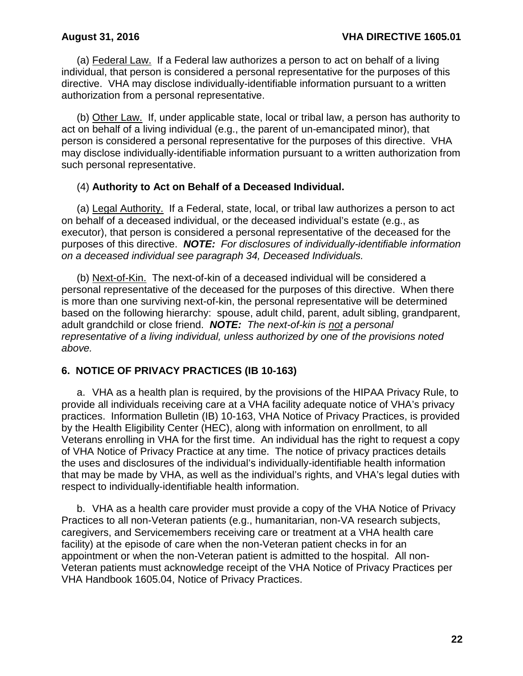(a) Federal Law. If a Federal law authorizes a person to act on behalf of a living individual, that person is considered a personal representative for the purposes of this directive. VHA may disclose individually-identifiable information pursuant to a written authorization from a personal representative.

(b) Other Law. If, under applicable state, local or tribal law, a person has authority to act on behalf of a living individual (e.g., the parent of un-emancipated minor), that person is considered a personal representative for the purposes of this directive. VHA may disclose individually-identifiable information pursuant to a written authorization from such personal representative.

## (4) **Authority to Act on Behalf of a Deceased Individual.**

(a) Legal Authority. If a Federal, state, local, or tribal law authorizes a person to act on behalf of a deceased individual, or the deceased individual's estate (e.g., as executor), that person is considered a personal representative of the deceased for the purposes of this directive. *NOTE: For disclosures of individually-identifiable information on a deceased individual see paragraph 34, Deceased Individuals.* 

(b) Next-of-Kin. The next-of-kin of a deceased individual will be considered a personal representative of the deceased for the purposes of this directive. When there is more than one surviving next-of-kin, the personal representative will be determined based on the following hierarchy: spouse, adult child, parent, adult sibling, grandparent, adult grandchild or close friend. *NOTE: The next-of-kin is not a personal representative of a living individual, unless authorized by one of the provisions noted above.* 

## <span id="page-24-0"></span>**6. NOTICE OF PRIVACY PRACTICES (IB 10-163)**

a. VHA as a health plan is required, by the provisions of the HIPAA Privacy Rule, to provide all individuals receiving care at a VHA facility adequate notice of VHA's privacy practices. Information Bulletin (IB) 10-163, VHA Notice of Privacy Practices, is provided by the Health Eligibility Center (HEC), along with information on enrollment, to all Veterans enrolling in VHA for the first time. An individual has the right to request a copy of VHA Notice of Privacy Practice at any time. The notice of privacy practices details the uses and disclosures of the individual's individually-identifiable health information that may be made by VHA, as well as the individual's rights, and VHA's legal duties with respect to individually-identifiable health information.

b. VHA as a health care provider must provide a copy of the VHA Notice of Privacy Practices to all non-Veteran patients (e.g., humanitarian, non-VA research subjects, caregivers, and Servicemembers receiving care or treatment at a VHA health care facility) at the episode of care when the non-Veteran patient checks in for an appointment or when the non-Veteran patient is admitted to the hospital. All non-Veteran patients must acknowledge receipt of the VHA Notice of Privacy Practices per VHA Handbook 1605.04, Notice of Privacy Practices.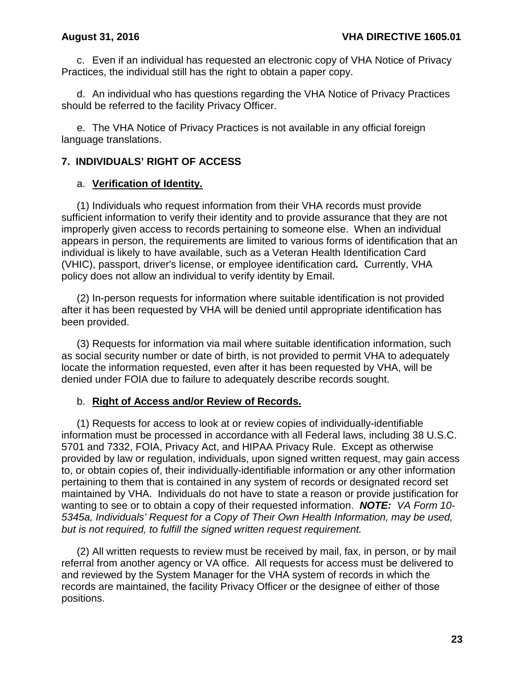c. Even if an individual has requested an electronic copy of VHA Notice of Privacy Practices, the individual still has the right to obtain a paper copy.

d. An individual who has questions regarding the VHA Notice of Privacy Practices should be referred to the facility Privacy Officer.

e. The VHA Notice of Privacy Practices is not available in any official foreign language translations.

### <span id="page-25-0"></span>**7. INDIVIDUALS' RIGHT OF ACCESS**

### a. **Verification of Identity.**

(1) Individuals who request information from their VHA records must provide sufficient information to verify their identity and to provide assurance that they are not improperly given access to records pertaining to someone else. When an individual appears in person, the requirements are limited to various forms of identification that an individual is likely to have available, such as a Veteran Health Identification Card (VHIC), passport, driver's license, or employee identification card*.* Currently, VHA policy does not allow an individual to verify identity by Email.

(2) In-person requests for information where suitable identification is not provided after it has been requested by VHA will be denied until appropriate identification has been provided.

(3) Requests for information via mail where suitable identification information, such as social security number or date of birth, is not provided to permit VHA to adequately locate the information requested, even after it has been requested by VHA, will be denied under FOIA due to failure to adequately describe records sought.

### b. **Right of Access and/or Review of Records.**

(1) Requests for access to look at or review copies of individually-identifiable information must be processed in accordance with all Federal laws, including 38 U.S.C. 5701 and 7332, FOIA, Privacy Act, and HIPAA Privacy Rule. Except as otherwise provided by law or regulation, individuals, upon signed written request, may gain access to, or obtain copies of, their individually-identifiable information or any other information pertaining to them that is contained in any system of records or designated record set maintained by VHA. Individuals do not have to state a reason or provide justification for wanting to see or to obtain a copy of their requested information. *NOTE: VA Form 10- 5345a, Individuals' Request for a Copy of Their Own Health Information, may be used, but is not required, to fulfill the signed written request requirement.*

(2) All written requests to review must be received by mail, fax, in person, or by mail referral from another agency or VA office. All requests for access must be delivered to and reviewed by the System Manager for the VHA system of records in which the records are maintained, the facility Privacy Officer or the designee of either of those positions.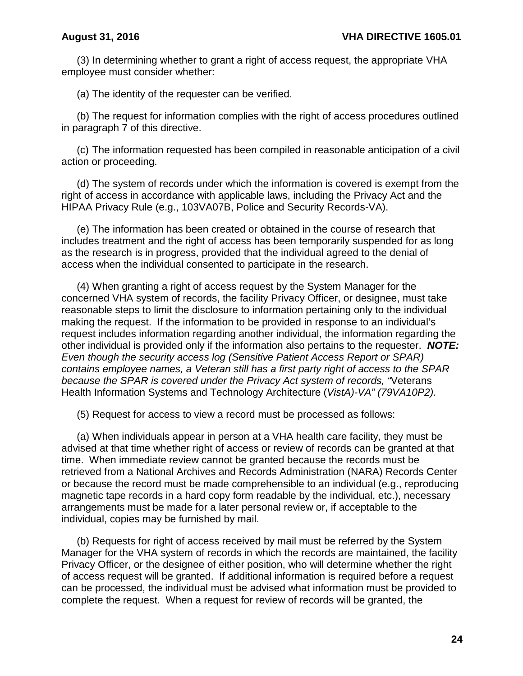(3) In determining whether to grant a right of access request, the appropriate VHA employee must consider whether:

(a) The identity of the requester can be verified.

(b) The request for information complies with the right of access procedures outlined in paragraph 7 of this directive.

(c) The information requested has been compiled in reasonable anticipation of a civil action or proceeding.

(d) The system of records under which the information is covered is exempt from the right of access in accordance with applicable laws, including the Privacy Act and the HIPAA Privacy Rule (e.g., 103VA07B, Police and Security Records-VA).

(e) The information has been created or obtained in the course of research that includes treatment and the right of access has been temporarily suspended for as long as the research is in progress, provided that the individual agreed to the denial of access when the individual consented to participate in the research.

(4) When granting a right of access request by the System Manager for the concerned VHA system of records, the facility Privacy Officer, or designee, must take reasonable steps to limit the disclosure to information pertaining only to the individual making the request. If the information to be provided in response to an individual's request includes information regarding another individual, the information regarding the other individual is provided only if the information also pertains to the requester. *NOTE: Even though the security access log (Sensitive Patient Access Report or SPAR) contains employee names, a Veteran still has a first party right of access to the SPAR because the SPAR is covered under the Privacy Act system of records, "*Veterans Health Information Systems and Technology Architecture (*VistA)-VA" (79VA10P2).*

(5) Request for access to view a record must be processed as follows:

(a) When individuals appear in person at a VHA health care facility, they must be advised at that time whether right of access or review of records can be granted at that time. When immediate review cannot be granted because the records must be retrieved from a National Archives and Records Administration (NARA) Records Center or because the record must be made comprehensible to an individual (e.g., reproducing magnetic tape records in a hard copy form readable by the individual, etc.), necessary arrangements must be made for a later personal review or, if acceptable to the individual, copies may be furnished by mail.

(b) Requests for right of access received by mail must be referred by the System Manager for the VHA system of records in which the records are maintained, the facility Privacy Officer, or the designee of either position, who will determine whether the right of access request will be granted. If additional information is required before a request can be processed, the individual must be advised what information must be provided to complete the request. When a request for review of records will be granted, the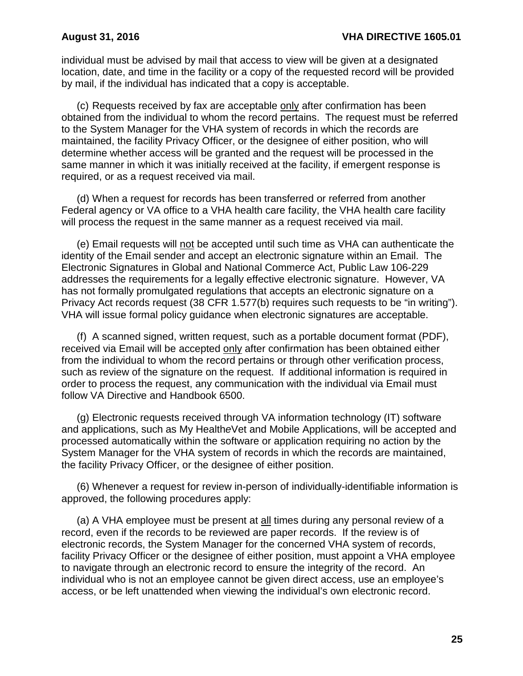individual must be advised by mail that access to view will be given at a designated location, date, and time in the facility or a copy of the requested record will be provided by mail, if the individual has indicated that a copy is acceptable.

(c) Requests received by fax are acceptable only after confirmation has been obtained from the individual to whom the record pertains. The request must be referred to the System Manager for the VHA system of records in which the records are maintained, the facility Privacy Officer, or the designee of either position, who will determine whether access will be granted and the request will be processed in the same manner in which it was initially received at the facility, if emergent response is required, or as a request received via mail.

(d) When a request for records has been transferred or referred from another Federal agency or VA office to a VHA health care facility, the VHA health care facility will process the request in the same manner as a request received via mail.

(e) Email requests will not be accepted until such time as VHA can authenticate the identity of the Email sender and accept an electronic signature within an Email. The Electronic Signatures in Global and National Commerce Act, Public Law 106-229 addresses the requirements for a legally effective electronic signature. However, VA has not formally promulgated regulations that accepts an electronic signature on a Privacy Act records request (38 CFR 1.577(b) requires such requests to be "in writing"). VHA will issue formal policy guidance when electronic signatures are acceptable.

(f) A scanned signed, written request, such as a portable document format (PDF), received via Email will be accepted only after confirmation has been obtained either from the individual to whom the record pertains or through other verification process, such as review of the signature on the request. If additional information is required in order to process the request, any communication with the individual via Email must follow VA Directive and Handbook 6500.

(g) Electronic requests received through VA information technology (IT) software and applications, such as My Health*e*Vet and Mobile Applications, will be accepted and processed automatically within the software or application requiring no action by the System Manager for the VHA system of records in which the records are maintained, the facility Privacy Officer, or the designee of either position.

(6) Whenever a request for review in-person of individually-identifiable information is approved, the following procedures apply:

(a) A VHA employee must be present at all times during any personal review of a record, even if the records to be reviewed are paper records. If the review is of electronic records, the System Manager for the concerned VHA system of records, facility Privacy Officer or the designee of either position, must appoint a VHA employee to navigate through an electronic record to ensure the integrity of the record. An individual who is not an employee cannot be given direct access, use an employee's access, or be left unattended when viewing the individual's own electronic record.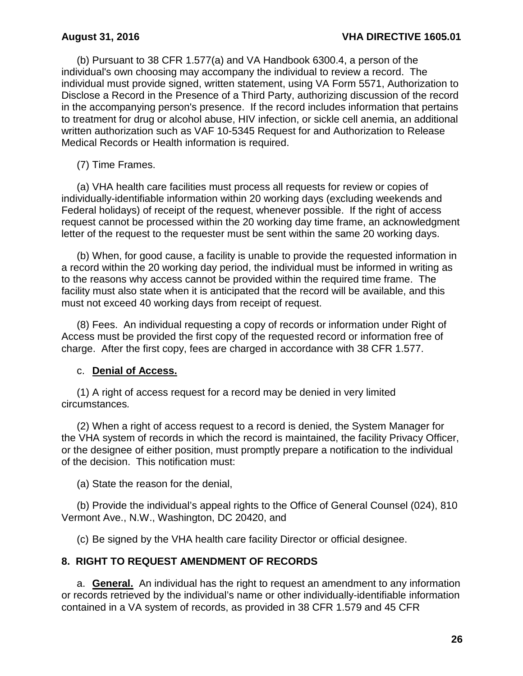(b) Pursuant to 38 CFR 1.577(a) and VA Handbook 6300.4, a person of the individual's own choosing may accompany the individual to review a record. The individual must provide signed, written statement, using VA Form 5571, Authorization to Disclose a Record in the Presence of a Third Party, authorizing discussion of the record in the accompanying person's presence. If the record includes information that pertains to treatment for drug or alcohol abuse, HIV infection, or sickle cell anemia, an additional written authorization such as VAF 10-5345 Request for and Authorization to Release Medical Records or Health information is required.

(7) Time Frames.

(a) VHA health care facilities must process all requests for review or copies of individually-identifiable information within 20 working days (excluding weekends and Federal holidays) of receipt of the request, whenever possible. If the right of access request cannot be processed within the 20 working day time frame, an acknowledgment letter of the request to the requester must be sent within the same 20 working days.

(b) When, for good cause, a facility is unable to provide the requested information in a record within the 20 working day period, the individual must be informed in writing as to the reasons why access cannot be provided within the required time frame. The facility must also state when it is anticipated that the record will be available, and this must not exceed 40 working days from receipt of request.

(8) Fees. An individual requesting a copy of records or information under Right of Access must be provided the first copy of the requested record or information free of charge. After the first copy, fees are charged in accordance with 38 CFR 1.577.

### c. **Denial of Access.**

(1) A right of access request for a record may be denied in very limited circumstances*.* 

(2) When a right of access request to a record is denied, the System Manager for the VHA system of records in which the record is maintained, the facility Privacy Officer, or the designee of either position, must promptly prepare a notification to the individual of the decision. This notification must:

(a) State the reason for the denial,

(b) Provide the individual's appeal rights to the Office of General Counsel (024), 810 Vermont Ave., N.W., Washington, DC 20420, and

(c) Be signed by the VHA health care facility Director or official designee.

## <span id="page-28-0"></span>**8. RIGHT TO REQUEST AMENDMENT OF RECORDS**

a. **General.** An individual has the right to request an amendment to any information or records retrieved by the individual's name or other individually-identifiable information contained in a VA system of records, as provided in 38 CFR 1.579 and 45 CFR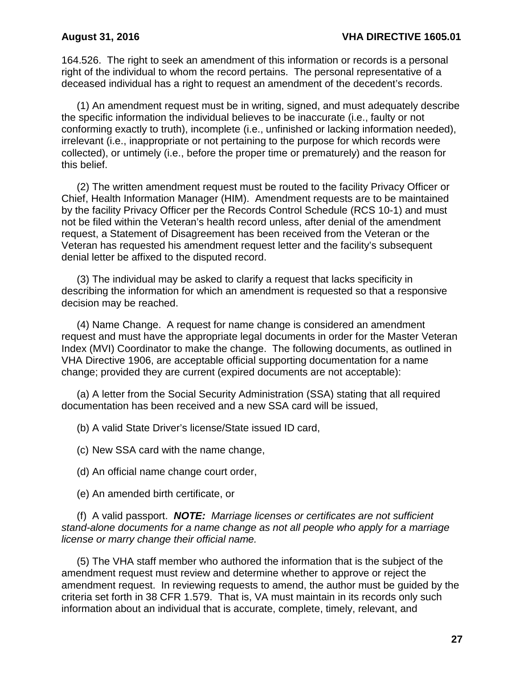164.526. The right to seek an amendment of this information or records is a personal right of the individual to whom the record pertains. The personal representative of a deceased individual has a right to request an amendment of the decedent's records.

(1) An amendment request must be in writing, signed, and must adequately describe the specific information the individual believes to be inaccurate (i.e., faulty or not conforming exactly to truth), incomplete (i.e., unfinished or lacking information needed), irrelevant (i.e., inappropriate or not pertaining to the purpose for which records were collected), or untimely (i.e., before the proper time or prematurely) and the reason for this belief.

(2) The written amendment request must be routed to the facility Privacy Officer or Chief, Health Information Manager (HIM). Amendment requests are to be maintained by the facility Privacy Officer per the Records Control Schedule (RCS 10-1) and must not be filed within the Veteran's health record unless, after denial of the amendment request, a Statement of Disagreement has been received from the Veteran or the Veteran has requested his amendment request letter and the facility's subsequent denial letter be affixed to the disputed record.

(3) The individual may be asked to clarify a request that lacks specificity in describing the information for which an amendment is requested so that a responsive decision may be reached.

(4) Name Change.A request for name change is considered an amendment request and must have the appropriate legal documents in order for the Master Veteran Index (MVI) Coordinator to make the change. The following documents, as outlined in VHA Directive 1906, are acceptable official supporting documentation for a name change; provided they are current (expired documents are not acceptable):

(a) A letter from the Social Security Administration (SSA) stating that all required documentation has been received and a new SSA card will be issued,

(b) A valid State Driver's license/State issued ID card,

(c) New SSA card with the name change,

(d) An official name change court order,

(e) An amended birth certificate, or

(f) A valid passport. *NOTE: Marriage licenses or certificates are not sufficient stand-alone documents for a name change as not all people who apply for a marriage license or marry change their official name.*

(5) The VHA staff member who authored the information that is the subject of the amendment request must review and determine whether to approve or reject the amendment request. In reviewing requests to amend, the author must be guided by the criteria set forth in 38 CFR 1.579. That is, VA must maintain in its records only such information about an individual that is accurate, complete, timely, relevant, and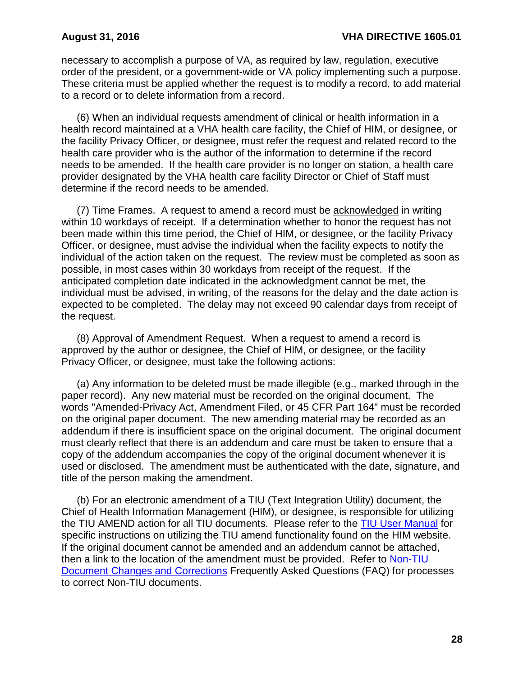necessary to accomplish a purpose of VA, as required by law, regulation, executive order of the president, or a government-wide or VA policy implementing such a purpose. These criteria must be applied whether the request is to modify a record, to add material to a record or to delete information from a record.

(6) When an individual requests amendment of clinical or health information in a health record maintained at a VHA health care facility, the Chief of HIM, or designee, or the facility Privacy Officer, or designee, must refer the request and related record to the health care provider who is the author of the information to determine if the record needs to be amended. If the health care provider is no longer on station, a health care provider designated by the VHA health care facility Director or Chief of Staff must determine if the record needs to be amended.

(7) Time Frames. A request to amend a record must be acknowledged in writing within 10 workdays of receipt. If a determination whether to honor the request has not been made within this time period, the Chief of HIM, or designee, or the facility Privacy Officer, or designee, must advise the individual when the facility expects to notify the individual of the action taken on the request. The review must be completed as soon as possible, in most cases within 30 workdays from receipt of the request. If the anticipated completion date indicated in the acknowledgment cannot be met, the individual must be advised, in writing, of the reasons for the delay and the date action is expected to be completed. The delay may not exceed 90 calendar days from receipt of the request.

(8) Approval of Amendment Request. When a request to amend a record is approved by the author or designee, the Chief of HIM, or designee, or the facility Privacy Officer, or designee, must take the following actions:

(a) Any information to be deleted must be made illegible (e.g., marked through in the paper record). Any new material must be recorded on the original document. The words "Amended-Privacy Act, Amendment Filed, or 45 CFR Part 164" must be recorded on the original paper document. The new amending material may be recorded as an addendum if there is insufficient space on the original document. The original document must clearly reflect that there is an addendum and care must be taken to ensure that a copy of the addendum accompanies the copy of the original document whenever it is used or disclosed. The amendment must be authenticated with the date, signature, and title of the person making the amendment.

(b) For an electronic amendment of a TIU (Text Integration Utility) document, the Chief of Health Information Management (HIM), or designee, is responsible for utilizing the TIU AMEND action for all TIU documents. Please refer to the [TIU User Manual](http://www.va.gov/vdl/documents/Clinical/CPRS-Text_Integration_Utility_(TIU)/tiuum.pdf) for specific instructions on utilizing the TIU amend functionality found on the HIM website. If the original document cannot be amended and an addendum cannot be attached, then a link to the location of the amendment must be provided. Refer to [Non-TIU](http://vaww.vhaco.va.gov/him/faq/FAQNonTIUChngsCorrections.doc)  Document Changes and Corrections Frequently Asked Questions (FAQ) for processes to correct Non-TIU documents.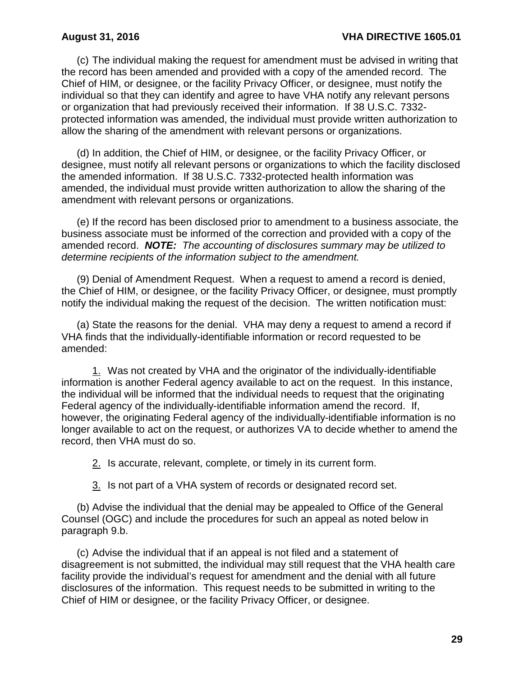(c) The individual making the request for amendment must be advised in writing that the record has been amended and provided with a copy of the amended record. The Chief of HIM, or designee, or the facility Privacy Officer, or designee, must notify the individual so that they can identify and agree to have VHA notify any relevant persons or organization that had previously received their information. If 38 U.S.C. 7332 protected information was amended, the individual must provide written authorization to allow the sharing of the amendment with relevant persons or organizations.

(d) In addition, the Chief of HIM, or designee, or the facility Privacy Officer, or designee, must notify all relevant persons or organizations to which the facility disclosed the amended information. If 38 U.S.C. 7332-protected health information was amended, the individual must provide written authorization to allow the sharing of the amendment with relevant persons or organizations.

(e) If the record has been disclosed prior to amendment to a business associate, the business associate must be informed of the correction and provided with a copy of the amended record. *NOTE: The accounting of disclosures summary may be utilized to determine recipients of the information subject to the amendment.*

(9) Denial of Amendment Request. When a request to amend a record is denied, the Chief of HIM, or designee, or the facility Privacy Officer, or designee, must promptly notify the individual making the request of the decision. The written notification must:

(a) State the reasons for the denial. VHA may deny a request to amend a record if VHA finds that the individually-identifiable information or record requested to be amended:

1. Was not created by VHA and the originator of the individually-identifiable information is another Federal agency available to act on the request. In this instance, the individual will be informed that the individual needs to request that the originating Federal agency of the individually-identifiable information amend the record. If, however, the originating Federal agency of the individually-identifiable information is no longer available to act on the request, or authorizes VA to decide whether to amend the record, then VHA must do so.

2. Is accurate, relevant, complete, or timely in its current form.

3. Is not part of a VHA system of records or designated record set.

(b) Advise the individual that the denial may be appealed to Office of the General Counsel (OGC) and include the procedures for such an appeal as noted below in paragraph 9.b.

(c) Advise the individual that if an appeal is not filed and a statement of disagreement is not submitted, the individual may still request that the VHA health care facility provide the individual's request for amendment and the denial with all future disclosures of the information. This request needs to be submitted in writing to the Chief of HIM or designee, or the facility Privacy Officer, or designee.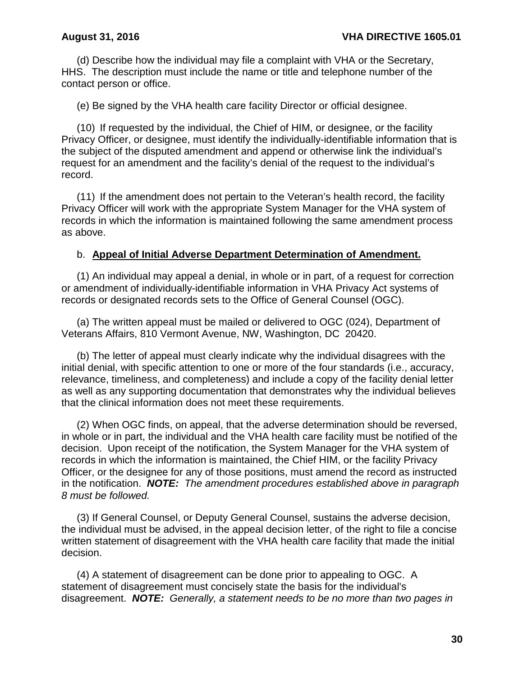(d) Describe how the individual may file a complaint with VHA or the Secretary, HHS. The description must include the name or title and telephone number of the contact person or office.

(e) Be signed by the VHA health care facility Director or official designee.

(10) If requested by the individual, the Chief of HIM, or designee, or the facility Privacy Officer, or designee, must identify the individually-identifiable information that is the subject of the disputed amendment and append or otherwise link the individual's request for an amendment and the facility's denial of the request to the individual's record.

(11) If the amendment does not pertain to the Veteran's health record, the facility Privacy Officer will work with the appropriate System Manager for the VHA system of records in which the information is maintained following the same amendment process as above.

### b. **Appeal of Initial Adverse Department Determination of Amendment.**

(1) An individual may appeal a denial, in whole or in part, of a request for correction or amendment of individually-identifiable information in VHA Privacy Act systems of records or designated records sets to the Office of General Counsel (OGC).

(a) The written appeal must be mailed or delivered to OGC (024), Department of Veterans Affairs, 810 Vermont Avenue, NW, Washington, DC 20420.

(b) The letter of appeal must clearly indicate why the individual disagrees with the initial denial, with specific attention to one or more of the four standards (i.e., accuracy, relevance, timeliness, and completeness) and include a copy of the facility denial letter as well as any supporting documentation that demonstrates why the individual believes that the clinical information does not meet these requirements.

(2) When OGC finds, on appeal, that the adverse determination should be reversed, in whole or in part, the individual and the VHA health care facility must be notified of the decision. Upon receipt of the notification, the System Manager for the VHA system of records in which the information is maintained, the Chief HIM, or the facility Privacy Officer, or the designee for any of those positions, must amend the record as instructed in the notification. *NOTE: The amendment procedures established above in paragraph 8 must be followed.*

(3) If General Counsel, or Deputy General Counsel, sustains the adverse decision, the individual must be advised, in the appeal decision letter, of the right to file a concise written statement of disagreement with the VHA health care facility that made the initial decision.

(4) A statement of disagreement can be done prior to appealing to OGC. A statement of disagreement must concisely state the basis for the individual's disagreement. *NOTE: Generally, a statement needs to be no more than two pages in*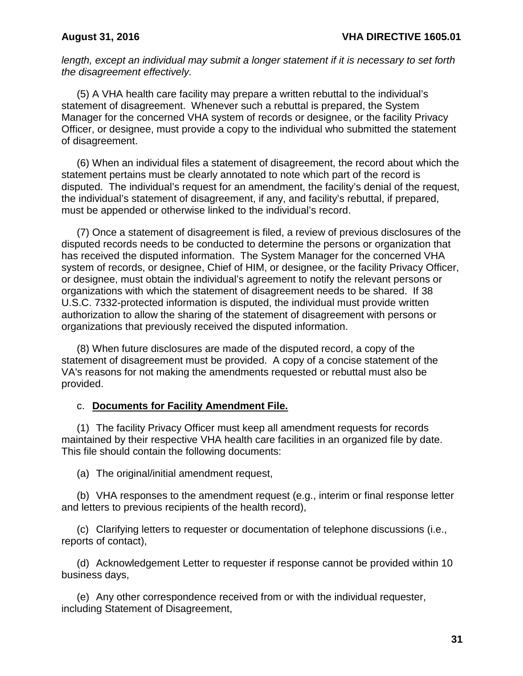*length, except an individual may submit a longer statement if it is necessary to set forth the disagreement effectively.*

(5) A VHA health care facility may prepare a written rebuttal to the individual's statement of disagreement. Whenever such a rebuttal is prepared, the System Manager for the concerned VHA system of records or designee, or the facility Privacy Officer, or designee, must provide a copy to the individual who submitted the statement of disagreement.

(6) When an individual files a statement of disagreement, the record about which the statement pertains must be clearly annotated to note which part of the record is disputed. The individual's request for an amendment, the facility's denial of the request, the individual's statement of disagreement, if any, and facility's rebuttal, if prepared, must be appended or otherwise linked to the individual's record.

(7) Once a statement of disagreement is filed, a review of previous disclosures of the disputed records needs to be conducted to determine the persons or organization that has received the disputed information. The System Manager for the concerned VHA system of records, or designee, Chief of HIM, or designee, or the facility Privacy Officer, or designee, must obtain the individual's agreement to notify the relevant persons or organizations with which the statement of disagreement needs to be shared. If 38 U.S.C. 7332-protected information is disputed, the individual must provide written authorization to allow the sharing of the statement of disagreement with persons or organizations that previously received the disputed information.

(8) When future disclosures are made of the disputed record, a copy of the statement of disagreement must be provided. A copy of a concise statement of the VA's reasons for not making the amendments requested or rebuttal must also be provided.

### c. **Documents for Facility Amendment File.**

(1) The facility Privacy Officer must keep all amendment requests for records maintained by their respective VHA health care facilities in an organized file by date. This file should contain the following documents:

(a) The original/initial amendment request,

(b) VHA responses to the amendment request (e.g., interim or final response letter and letters to previous recipients of the health record),

(c) Clarifying letters to requester or documentation of telephone discussions (i.e., reports of contact),

(d) Acknowledgement Letter to requester if response cannot be provided within 10 business days,

(e) Any other correspondence received from or with the individual requester, including Statement of Disagreement,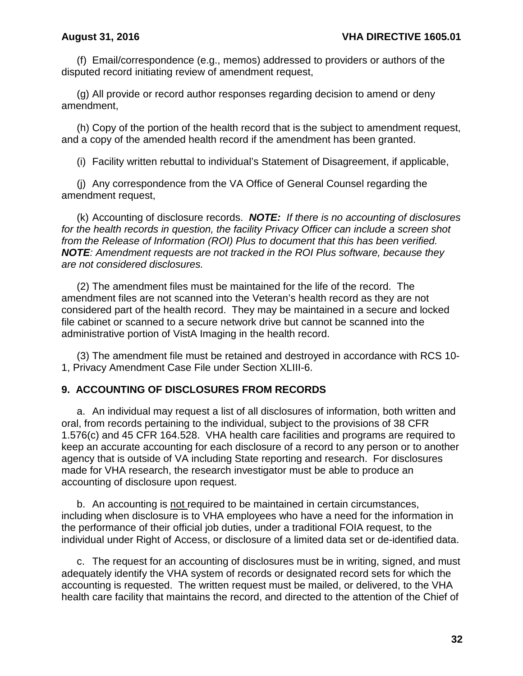(f) Email/correspondence (e.g., memos) addressed to providers or authors of the disputed record initiating review of amendment request,

(g) All provide or record author responses regarding decision to amend or deny amendment,

(h) Copy of the portion of the health record that is the subject to amendment request, and a copy of the amended health record if the amendment has been granted.

(i) Facility written rebuttal to individual's Statement of Disagreement, if applicable,

(j) Any correspondence from the VA Office of General Counsel regarding the amendment request,

(k) Accounting of disclosure records. *NOTE: If there is no accounting of disclosures for the health records in question, the facility Privacy Officer can include a screen shot from the Release of Information (ROI) Plus to document that this has been verified. NOTE: Amendment requests are not tracked in the ROI Plus software, because they are not considered disclosures.*

(2) The amendment files must be maintained for the life of the record. The amendment files are not scanned into the Veteran's health record as they are not considered part of the health record. They may be maintained in a secure and locked file cabinet or scanned to a secure network drive but cannot be scanned into the administrative portion of VistA Imaging in the health record.

(3) The amendment file must be retained and destroyed in accordance with RCS 10- 1, Privacy Amendment Case File under Section XLIII-6.

## <span id="page-34-0"></span>**9. ACCOUNTING OF DISCLOSURES FROM RECORDS**

a. An individual may request a list of all disclosures of information, both written and oral, from records pertaining to the individual, subject to the provisions of 38 CFR 1.576(c) and 45 CFR 164.528. VHA health care facilities and programs are required to keep an accurate accounting for each disclosure of a record to any person or to another agency that is outside of VA including State reporting and research. For disclosures made for VHA research, the research investigator must be able to produce an accounting of disclosure upon request.

b. An accounting is not required to be maintained in certain circumstances, including when disclosure is to VHA employees who have a need for the information in the performance of their official job duties, under a traditional FOIA request, to the individual under Right of Access, or disclosure of a limited data set or de-identified data.

c. The request for an accounting of disclosures must be in writing, signed, and must adequately identify the VHA system of records or designated record sets for which the accounting is requested. The written request must be mailed, or delivered, to the VHA health care facility that maintains the record, and directed to the attention of the Chief of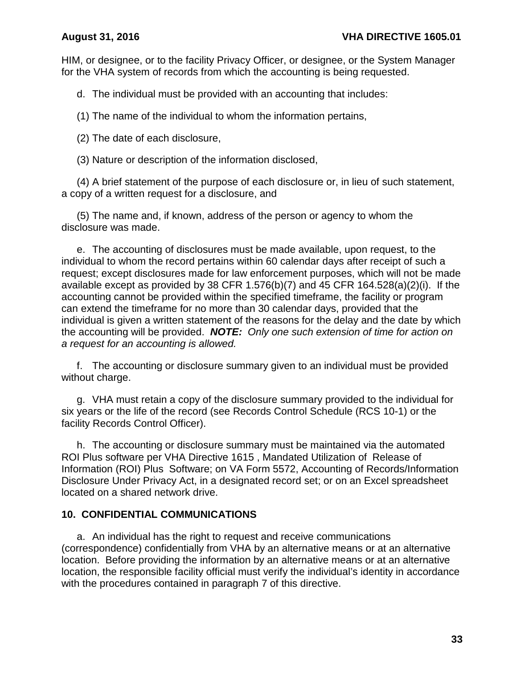HIM, or designee, or to the facility Privacy Officer, or designee, or the System Manager for the VHA system of records from which the accounting is being requested.

d. The individual must be provided with an accounting that includes:

(1) The name of the individual to whom the information pertains,

(2) The date of each disclosure,

(3) Nature or description of the information disclosed,

(4) A brief statement of the purpose of each disclosure or, in lieu of such statement, a copy of a written request for a disclosure, and

(5) The name and, if known, address of the person or agency to whom the disclosure was made.

e. The accounting of disclosures must be made available, upon request, to the individual to whom the record pertains within 60 calendar days after receipt of such a request; except disclosures made for law enforcement purposes, which will not be made available except as provided by 38 CFR 1.576(b)(7) and 45 CFR 164.528(a)(2)(i). If the accounting cannot be provided within the specified timeframe, the facility or program can extend the timeframe for no more than 30 calendar days, provided that the individual is given a written statement of the reasons for the delay and the date by which the accounting will be provided. *NOTE: Only one such extension of time for action on a request for an accounting is allowed.*

f. The accounting or disclosure summary given to an individual must be provided without charge.

g. VHA must retain a copy of the disclosure summary provided to the individual for six years or the life of the record (see Records Control Schedule (RCS 10-1) or the facility Records Control Officer).

h. The accounting or disclosure summary must be maintained via the automated ROI Plus software per VHA Directive 1615 , Mandated Utilization of Release of Information (ROI) Plus Software; on VA Form 5572, Accounting of Records/Information Disclosure Under Privacy Act, in a designated record set; or on an Excel spreadsheet located on a shared network drive.

## <span id="page-35-0"></span>**10. CONFIDENTIAL COMMUNICATIONS**

a. An individual has the right to request and receive communications (correspondence) confidentially from VHA by an alternative means or at an alternative location. Before providing the information by an alternative means or at an alternative location, the responsible facility official must verify the individual's identity in accordance with the procedures contained in paragraph 7 of this directive.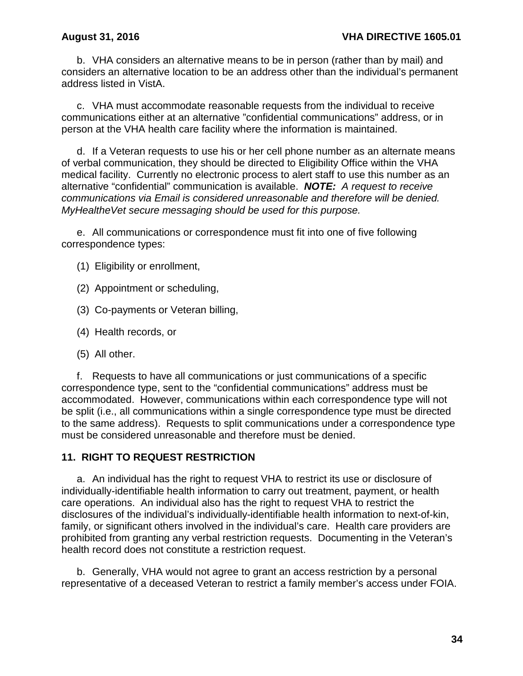b. VHA considers an alternative means to be in person (rather than by mail) and considers an alternative location to be an address other than the individual's permanent address listed in VistA.

c. VHA must accommodate reasonable requests from the individual to receive communications either at an alternative "confidential communications" address, or in person at the VHA health care facility where the information is maintained.

d. If a Veteran requests to use his or her cell phone number as an alternate means of verbal communication, they should be directed to Eligibility Office within the VHA medical facility. Currently no electronic process to alert staff to use this number as an alternative "confidential" communication is available. *NOTE: A request to receive communications via Email is considered unreasonable and therefore will be denied. MyHealtheVet secure messaging should be used for this purpose.*

e. All communications or correspondence must fit into one of five following correspondence types:

(1) Eligibility or enrollment,

- (2) Appointment or scheduling,
- (3) Co-payments or Veteran billing,
- (4) Health records, or
- (5) All other.

f. Requests to have all communications or just communications of a specific correspondence type, sent to the "confidential communications" address must be accommodated. However, communications within each correspondence type will not be split (i.e., all communications within a single correspondence type must be directed to the same address). Requests to split communications under a correspondence type must be considered unreasonable and therefore must be denied.

### **11. RIGHT TO REQUEST RESTRICTION**

a. An individual has the right to request VHA to restrict its use or disclosure of individually-identifiable health information to carry out treatment, payment, or health care operations. An individual also has the right to request VHA to restrict the disclosures of the individual's individually-identifiable health information to next-of-kin, family, or significant others involved in the individual's care. Health care providers are prohibited from granting any verbal restriction requests. Documenting in the Veteran's health record does not constitute a restriction request.

b. Generally, VHA would not agree to grant an access restriction by a personal representative of a deceased Veteran to restrict a family member's access under FOIA.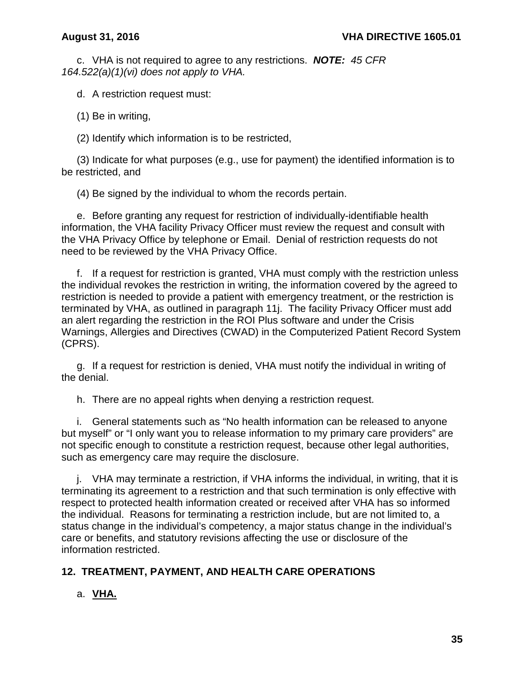c. VHA is not required to agree to any restrictions. *NOTE: 45 CFR 164.522(a)(1)(vi) does not apply to VHA.*

d. A restriction request must:

(1) Be in writing,

(2) Identify which information is to be restricted,

(3) Indicate for what purposes (e.g., use for payment) the identified information is to be restricted, and

(4) Be signed by the individual to whom the records pertain.

e. Before granting any request for restriction of individually-identifiable health information, the VHA facility Privacy Officer must review the request and consult with the VHA Privacy Office by telephone or Email. Denial of restriction requests do not need to be reviewed by the VHA Privacy Office.

f. If a request for restriction is granted, VHA must comply with the restriction unless the individual revokes the restriction in writing, the information covered by the agreed to restriction is needed to provide a patient with emergency treatment, or the restriction is terminated by VHA, as outlined in paragraph 11j. The facility Privacy Officer must add an alert regarding the restriction in the ROI Plus software and under the Crisis Warnings, Allergies and Directives (CWAD) in the Computerized Patient Record System (CPRS).

g. If a request for restriction is denied, VHA must notify the individual in writing of the denial.

h. There are no appeal rights when denying a restriction request.

i. General statements such as "No health information can be released to anyone but myself" or "I only want you to release information to my primary care providers" are not specific enough to constitute a restriction request, because other legal authorities, such as emergency care may require the disclosure.

j. VHA may terminate a restriction, if VHA informs the individual, in writing, that it is terminating its agreement to a restriction and that such termination is only effective with respect to protected health information created or received after VHA has so informed the individual. Reasons for terminating a restriction include, but are not limited to, a status change in the individual's competency, a major status change in the individual's care or benefits, and statutory revisions affecting the use or disclosure of the information restricted.

# **12. TREATMENT, PAYMENT, AND HEALTH CARE OPERATIONS**

a. **VHA.**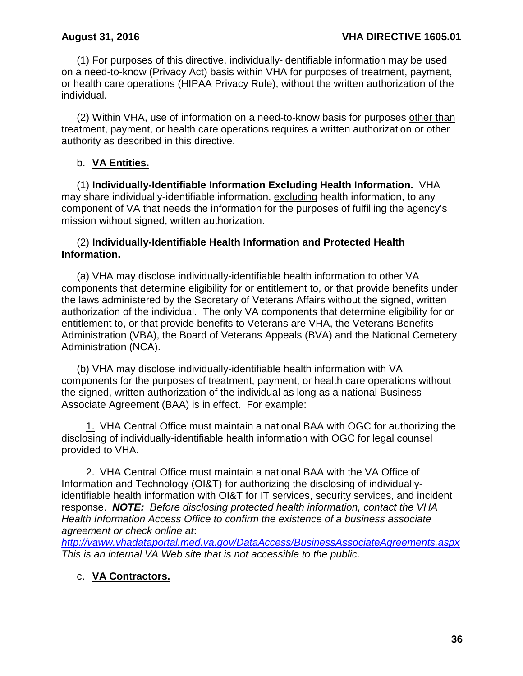(1) For purposes of this directive, individually-identifiable information may be used on a need-to-know (Privacy Act) basis within VHA for purposes of treatment, payment, or health care operations (HIPAA Privacy Rule), without the written authorization of the individual.

(2) Within VHA, use of information on a need-to-know basis for purposes other than treatment, payment, or health care operations requires a written authorization or other authority as described in this directive.

### b. **VA Entities.**

(1) **Individually-Identifiable Information Excluding Health Information.** VHA may share individually-identifiable information, excluding health information, to any component of VA that needs the information for the purposes of fulfilling the agency's mission without signed, written authorization.

### (2) **Individually-Identifiable Health Information and Protected Health Information.**

(a) VHA may disclose individually-identifiable health information to other VA components that determine eligibility for or entitlement to, or that provide benefits under the laws administered by the Secretary of Veterans Affairs without the signed, written authorization of the individual. The only VA components that determine eligibility for or entitlement to, or that provide benefits to Veterans are VHA, the Veterans Benefits Administration (VBA), the Board of Veterans Appeals (BVA) and the National Cemetery Administration (NCA).

(b) VHA may disclose individually-identifiable health information with VA components for the purposes of treatment, payment, or health care operations without the signed, written authorization of the individual as long as a national Business Associate Agreement (BAA) is in effect. For example:

1. VHA Central Office must maintain a national BAA with OGC for authorizing the disclosing of individually-identifiable health information with OGC for legal counsel provided to VHA.

2. VHA Central Office must maintain a national BAA with the VA Office of Information and Technology (OI&T) for authorizing the disclosing of individuallyidentifiable health information with OI&T for IT services, security services, and incident response. *NOTE: Before disclosing protected health information, contact the VHA Health Information Access Office to confirm the existence of a business associate agreement or check online at*:

*<http://vaww.vhadataportal.med.va.gov/DataAccess/BusinessAssociateAgreements.aspx> This is an internal VA Web site that is not accessible to the public.*

## c. **VA Contractors.**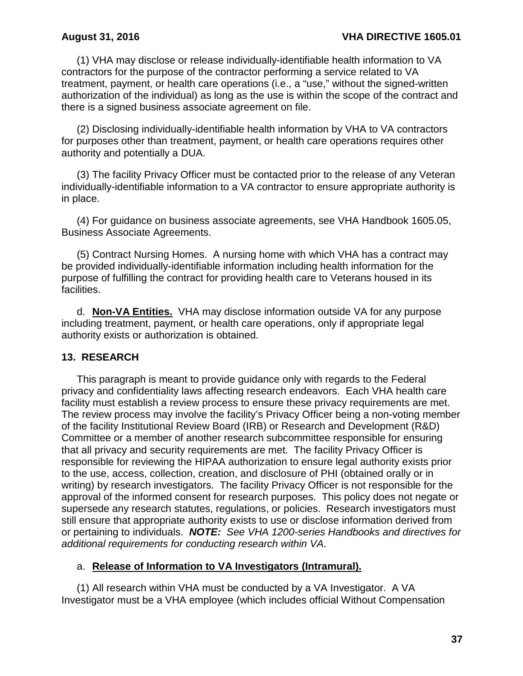(1) VHA may disclose or release individually-identifiable health information to VA contractors for the purpose of the contractor performing a service related to VA treatment, payment, or health care operations (i.e., a "use," without the signed-written authorization of the individual) as long as the use is within the scope of the contract and there is a signed business associate agreement on file.

(2) Disclosing individually-identifiable health information by VHA to VA contractors for purposes other than treatment, payment, or health care operations requires other authority and potentially a DUA.

(3) The facility Privacy Officer must be contacted prior to the release of any Veteran individually-identifiable information to a VA contractor to ensure appropriate authority is in place.

(4) For guidance on business associate agreements, see VHA Handbook 1605.05, Business Associate Agreements.

(5) Contract Nursing Homes. A nursing home with which VHA has a contract may be provided individually-identifiable information including health information for the purpose of fulfilling the contract for providing health care to Veterans housed in its facilities.

d. **Non-VA Entities.** VHA may disclose information outside VA for any purpose including treatment, payment, or health care operations, only if appropriate legal authority exists or authorization is obtained.

### **13. RESEARCH**

This paragraph is meant to provide guidance only with regards to the Federal privacy and confidentiality laws affecting research endeavors. Each VHA health care facility must establish a review process to ensure these privacy requirements are met. The review process may involve the facility's Privacy Officer being a non-voting member of the facility Institutional Review Board (IRB) or Research and Development (R&D) Committee or a member of another research subcommittee responsible for ensuring that all privacy and security requirements are met. The facility Privacy Officer is responsible for reviewing the HIPAA authorization to ensure legal authority exists prior to the use, access, collection, creation, and disclosure of PHI (obtained orally or in writing) by research investigators. The facility Privacy Officer is not responsible for the approval of the informed consent for research purposes. This policy does not negate or supersede any research statutes, regulations, or policies. Research investigators must still ensure that appropriate authority exists to use or disclose information derived from or pertaining to individuals. *NOTE: See VHA 1200-series Handbooks and directives for additional requirements for conducting research within VA*.

### a. **Release of Information to VA Investigators (Intramural).**

(1) All research within VHA must be conducted by a VA Investigator. A VA Investigator must be a VHA employee (which includes official Without Compensation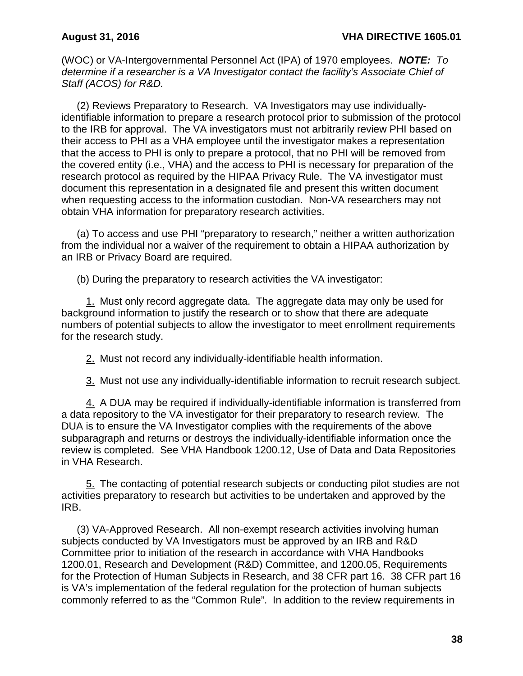(WOC) or VA-Intergovernmental Personnel Act (IPA) of 1970 employees. *NOTE: To determine if a researcher is a VA Investigator contact the facility's Associate Chief of Staff (ACOS) for R&D.*

(2) Reviews Preparatory to Research.VA Investigators may use individuallyidentifiable information to prepare a research protocol prior to submission of the protocol to the IRB for approval. The VA investigators must not arbitrarily review PHI based on their access to PHI as a VHA employee until the investigator makes a representation that the access to PHI is only to prepare a protocol, that no PHI will be removed from the covered entity (i.e., VHA) and the access to PHI is necessary for preparation of the research protocol as required by the HIPAA Privacy Rule. The VA investigator must document this representation in a designated file and present this written document when requesting access to the information custodian. Non-VA researchers may not obtain VHA information for preparatory research activities.

(a) To access and use PHI "preparatory to research," neither a written authorization from the individual nor a waiver of the requirement to obtain a HIPAA authorization by an IRB or Privacy Board are required.

(b) During the preparatory to research activities the VA investigator:

1. Must only record aggregate data. The aggregate data may only be used for background information to justify the research or to show that there are adequate numbers of potential subjects to allow the investigator to meet enrollment requirements for the research study.

2. Must not record any individually-identifiable health information.

3. Must not use any individually-identifiable information to recruit research subject.

4. A DUA may be required if individually-identifiable information is transferred from a data repository to the VA investigator for their preparatory to research review. The DUA is to ensure the VA Investigator complies with the requirements of the above subparagraph and returns or destroys the individually-identifiable information once the review is completed. See VHA Handbook 1200.12, Use of Data and Data Repositories in VHA Research.

5. The contacting of potential research subjects or conducting pilot studies are not activities preparatory to research but activities to be undertaken and approved by the IRB.

(3) VA-Approved Research. All non-exempt research activities involving human subjects conducted by VA Investigators must be approved by an IRB and R&D Committee prior to initiation of the research in accordance with VHA Handbooks 1200.01, Research and Development (R&D) Committee, and 1200.05, Requirements for the Protection of Human Subjects in Research, and 38 CFR part 16. 38 CFR part 16 is VA's implementation of the federal regulation for the protection of human subjects commonly referred to as the "Common Rule". In addition to the review requirements in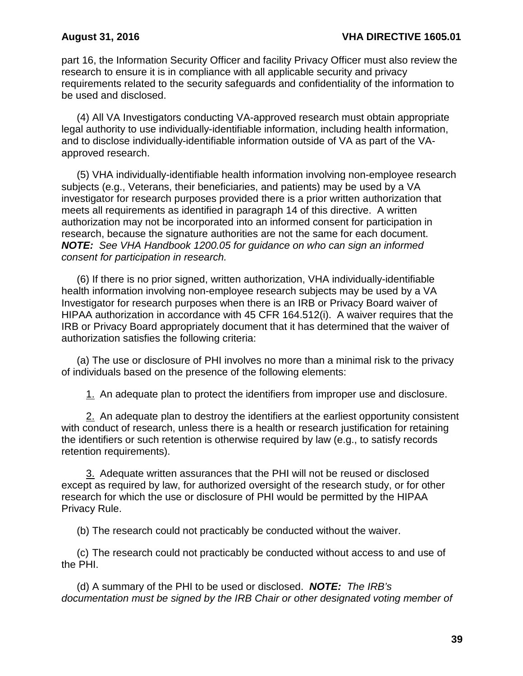part 16, the Information Security Officer and facility Privacy Officer must also review the research to ensure it is in compliance with all applicable security and privacy requirements related to the security safeguards and confidentiality of the information to be used and disclosed.

(4) All VA Investigators conducting VA-approved research must obtain appropriate legal authority to use individually-identifiable information, including health information, and to disclose individually-identifiable information outside of VA as part of the VAapproved research.

(5) VHA individually-identifiable health information involving non-employee research subjects (e.g., Veterans, their beneficiaries, and patients) may be used by a VA investigator for research purposes provided there is a prior written authorization that meets all requirements as identified in paragraph 14 of this directive. A written authorization may not be incorporated into an informed consent for participation in research, because the signature authorities are not the same for each document. *NOTE: See VHA Handbook 1200.05 for guidance on who can sign an informed consent for participation in research.*

(6) If there is no prior signed, written authorization, VHA individually-identifiable health information involving non-employee research subjects may be used by a VA Investigator for research purposes when there is an IRB or Privacy Board waiver of HIPAA authorization in accordance with 45 CFR 164.512(i). A waiver requires that the IRB or Privacy Board appropriately document that it has determined that the waiver of authorization satisfies the following criteria:

(a) The use or disclosure of PHI involves no more than a minimal risk to the privacy of individuals based on the presence of the following elements:

1. An adequate plan to protect the identifiers from improper use and disclosure.

2. An adequate plan to destroy the identifiers at the earliest opportunity consistent with conduct of research, unless there is a health or research justification for retaining the identifiers or such retention is otherwise required by law (e.g., to satisfy records retention requirements).

3. Adequate written assurances that the PHI will not be reused or disclosed except as required by law, for authorized oversight of the research study, or for other research for which the use or disclosure of PHI would be permitted by the HIPAA Privacy Rule.

(b) The research could not practicably be conducted without the waiver.

(c) The research could not practicably be conducted without access to and use of the PHI.

(d) A summary of the PHI to be used or disclosed. *NOTE: The IRB's documentation must be signed by the IRB Chair or other designated voting member of*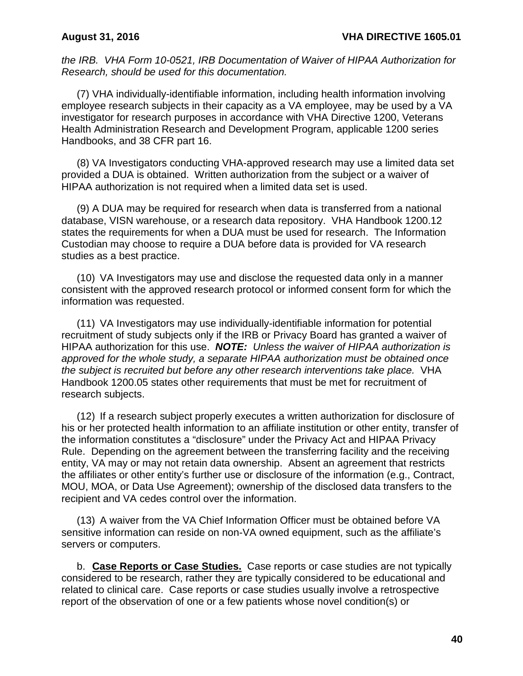*the IRB. VHA Form 10-0521, IRB Documentation of Waiver of HIPAA Authorization for Research, should be used for this documentation.*

(7) VHA individually-identifiable information, including health information involving employee research subjects in their capacity as a VA employee, may be used by a VA investigator for research purposes in accordance with VHA Directive 1200, Veterans Health Administration Research and Development Program, applicable 1200 series Handbooks, and 38 CFR part 16.

(8) VA Investigators conducting VHA-approved research may use a limited data set provided a DUA is obtained. Written authorization from the subject or a waiver of HIPAA authorization is not required when a limited data set is used.

(9) A DUA may be required for research when data is transferred from a national database, VISN warehouse, or a research data repository. VHA Handbook 1200.12 states the requirements for when a DUA must be used for research. The Information Custodian may choose to require a DUA before data is provided for VA research studies as a best practice.

(10) VA Investigators may use and disclose the requested data only in a manner consistent with the approved research protocol or informed consent form for which the information was requested.

(11) VA Investigators may use individually-identifiable information for potential recruitment of study subjects only if the IRB or Privacy Board has granted a waiver of HIPAA authorization for this use. *NOTE: Unless the waiver of HIPAA authorization is approved for the whole study, a separate HIPAA authorization must be obtained once the subject is recruited but before any other research interventions take place.* VHA Handbook 1200.05 states other requirements that must be met for recruitment of research subjects.

(12) If a research subject properly executes a written authorization for disclosure of his or her protected health information to an affiliate institution or other entity, transfer of the information constitutes a "disclosure" under the Privacy Act and HIPAA Privacy Rule. Depending on the agreement between the transferring facility and the receiving entity, VA may or may not retain data ownership. Absent an agreement that restricts the affiliates or other entity's further use or disclosure of the information (e.g., Contract, MOU, MOA, or Data Use Agreement); ownership of the disclosed data transfers to the recipient and VA cedes control over the information.

(13) A waiver from the VA Chief Information Officer must be obtained before VA sensitive information can reside on non-VA owned equipment, such as the affiliate's servers or computers.

b. **Case Reports or Case Studies.** Case reports or case studies are not typically considered to be research, rather they are typically considered to be educational and related to clinical care. Case reports or case studies usually involve a retrospective report of the observation of one or a few patients whose novel condition(s) or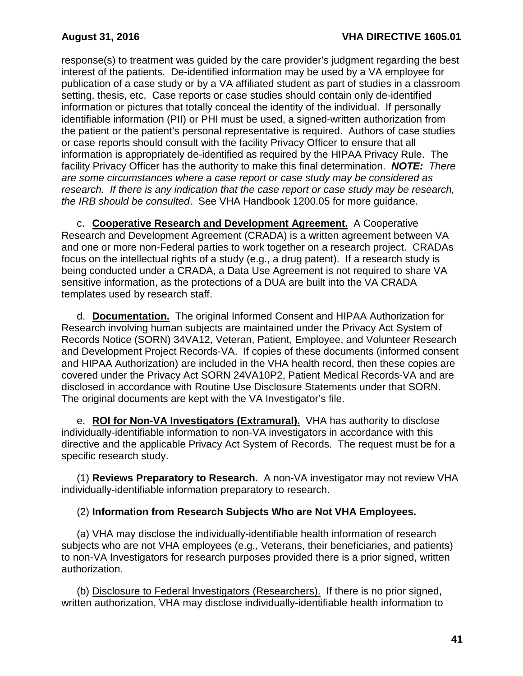response(s) to treatment was guided by the care provider's judgment regarding the best interest of the patients. De-identified information may be used by a VA employee for publication of a case study or by a VA affiliated student as part of studies in a classroom setting, thesis, etc. Case reports or case studies should contain only de-identified information or pictures that totally conceal the identity of the individual. If personally identifiable information (PII) or PHI must be used, a signed-written authorization from the patient or the patient's personal representative is required. Authors of case studies or case reports should consult with the facility Privacy Officer to ensure that all information is appropriately de-identified as required by the HIPAA Privacy Rule. The facility Privacy Officer has the authority to make this final determination. *NOTE: There are some circumstances where a case report or case study may be considered as research. If there is any indication that the case report or case study may be research, the IRB should be consulted*. See VHA Handbook 1200.05 for more guidance.

c. **Cooperative Research and Development Agreement.** A Cooperative Research and Development Agreement (CRADA) is a written agreement between VA and one or more non-Federal parties to work together on a research project. CRADAs focus on the intellectual rights of a study (e.g., a drug patent). If a research study is being conducted under a CRADA, a Data Use Agreement is not required to share VA sensitive information, as the protections of a DUA are built into the VA CRADA templates used by research staff.

d. **Documentation.** The original Informed Consent and HIPAA Authorization for Research involving human subjects are maintained under the Privacy Act System of Records Notice (SORN) 34VA12, Veteran, Patient, Employee, and Volunteer Research and Development Project Records-VA. If copies of these documents (informed consent and HIPAA Authorization) are included in the VHA health record, then these copies are covered under the Privacy Act SORN 24VA10P2, Patient Medical Records-VA and are disclosed in accordance with Routine Use Disclosure Statements under that SORN. The original documents are kept with the VA Investigator's file.

e. **ROI for Non-VA Investigators (Extramural).** VHA has authority to disclose individually-identifiable information to non-VA investigators in accordance with this directive and the applicable Privacy Act System of Records. The request must be for a specific research study.

(1) **Reviews Preparatory to Research.** A non-VA investigator may not review VHA individually-identifiable information preparatory to research.

## (2) **Information from Research Subjects Who are Not VHA Employees.**

(a) VHA may disclose the individually-identifiable health information of research subjects who are not VHA employees (e.g., Veterans, their beneficiaries, and patients) to non-VA Investigators for research purposes provided there is a prior signed, written authorization.

(b) Disclosure to Federal Investigators (Researchers). If there is no prior signed, written authorization, VHA may disclose individually-identifiable health information to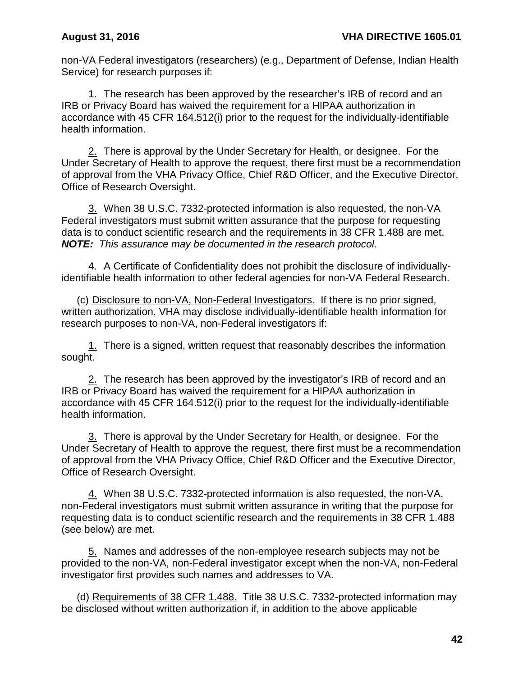non-VA Federal investigators (researchers) (e.g., Department of Defense, Indian Health Service) for research purposes if:

1. The research has been approved by the researcher's IRB of record and an IRB or Privacy Board has waived the requirement for a HIPAA authorization in accordance with 45 CFR 164.512(i) prior to the request for the individually-identifiable health information.

2. There is approval by the Under Secretary for Health, or designee. For the Under Secretary of Health to approve the request, there first must be a recommendation of approval from the VHA Privacy Office, Chief R&D Officer, and the Executive Director, Office of Research Oversight.

3. When 38 U.S.C. 7332-protected information is also requested, the non-VA Federal investigators must submit written assurance that the purpose for requesting data is to conduct scientific research and the requirements in 38 CFR 1.488 are met. *NOTE: This assurance may be documented in the research protocol.*

4. A Certificate of Confidentiality does not prohibit the disclosure of individuallyidentifiable health information to other federal agencies for non-VA Federal Research.

(c) Disclosure to non-VA, Non-Federal Investigators. If there is no prior signed, written authorization, VHA may disclose individually-identifiable health information for research purposes to non-VA, non-Federal investigators if:

1. There is a signed, written request that reasonably describes the information sought.

2. The research has been approved by the investigator's IRB of record and an IRB or Privacy Board has waived the requirement for a HIPAA authorization in accordance with 45 CFR 164.512(i) prior to the request for the individually-identifiable health information.

3. There is approval by the Under Secretary for Health, or designee. For the Under Secretary of Health to approve the request, there first must be a recommendation of approval from the VHA Privacy Office, Chief R&D Officer and the Executive Director, Office of Research Oversight.

4. When 38 U.S.C. 7332-protected information is also requested, the non-VA, non-Federal investigators must submit written assurance in writing that the purpose for requesting data is to conduct scientific research and the requirements in 38 CFR 1.488 (see below) are met.

5. Names and addresses of the non-employee research subjects may not be provided to the non-VA, non-Federal investigator except when the non-VA, non-Federal investigator first provides such names and addresses to VA.

(d) Requirements of 38 CFR 1.488. Title 38 U.S.C. 7332-protected information may be disclosed without written authorization if, in addition to the above applicable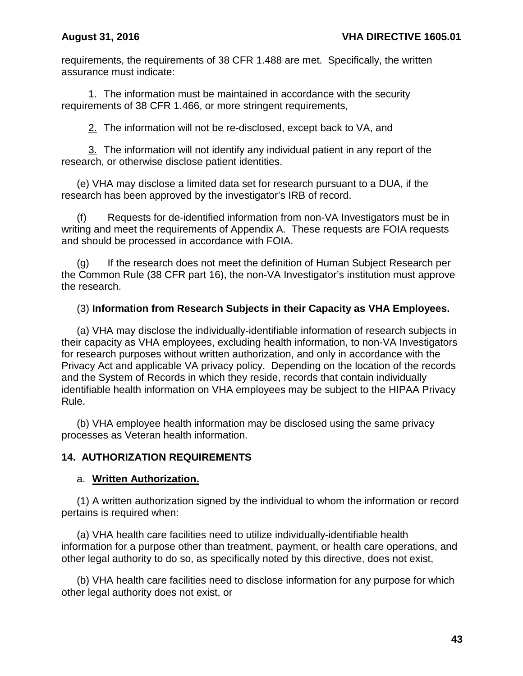requirements, the requirements of 38 CFR 1.488 are met. Specifically, the written assurance must indicate:

1. The information must be maintained in accordance with the security requirements of 38 CFR 1.466, or more stringent requirements,

2. The information will not be re-disclosed, except back to VA, and

3. The information will not identify any individual patient in any report of the research, or otherwise disclose patient identities.

(e) VHA may disclose a limited data set for research pursuant to a DUA, if the research has been approved by the investigator's IRB of record.

(f) Requests for de-identified information from non-VA Investigators must be in writing and meet the requirements of Appendix A. These requests are FOIA requests and should be processed in accordance with FOIA.

(g) If the research does not meet the definition of Human Subject Research per the Common Rule (38 CFR part 16), the non-VA Investigator's institution must approve the research.

## (3) **Information from Research Subjects in their Capacity as VHA Employees.**

(a) VHA may disclose the individually-identifiable information of research subjects in their capacity as VHA employees, excluding health information, to non-VA Investigators for research purposes without written authorization, and only in accordance with the Privacy Act and applicable VA privacy policy. Depending on the location of the records and the System of Records in which they reside, records that contain individually identifiable health information on VHA employees may be subject to the HIPAA Privacy Rule.

(b) VHA employee health information may be disclosed using the same privacy processes as Veteran health information.

### **14. AUTHORIZATION REQUIREMENTS**

### a. **Written Authorization.**

(1) A written authorization signed by the individual to whom the information or record pertains is required when:

(a) VHA health care facilities need to utilize individually-identifiable health information for a purpose other than treatment, payment, or health care operations, and other legal authority to do so, as specifically noted by this directive, does not exist,

(b) VHA health care facilities need to disclose information for any purpose for which other legal authority does not exist, or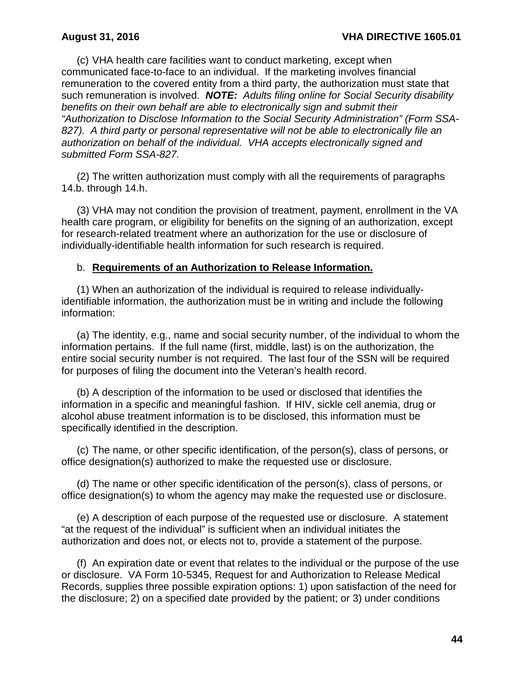(c) VHA health care facilities want to conduct marketing, except when communicated face-to-face to an individual. If the marketing involves financial remuneration to the covered entity from a third party, the authorization must state that such remuneration is involved. *NOTE: Adults filing online for Social Security disability benefits on their own behalf are able to electronically sign and submit their "Authorization to Disclose Information to the Social Security Administration" (Form SSA-827). A third party or personal representative will not be able to electronically file an authorization on behalf of the individual. VHA accepts electronically signed and submitted Form SSA-827.*

(2) The written authorization must comply with all the requirements of paragraphs 14.b. through 14.h.

(3) VHA may not condition the provision of treatment, payment, enrollment in the VA health care program, or eligibility for benefits on the signing of an authorization, except for research-related treatment where an authorization for the use or disclosure of individually-identifiable health information for such research is required.

#### b. **Requirements of an Authorization to Release Information.**

(1) When an authorization of the individual is required to release individuallyidentifiable information, the authorization must be in writing and include the following information:

(a) The identity, e.g., name and social security number, of the individual to whom the information pertains. If the full name (first, middle, last) is on the authorization, the entire social security number is not required. The last four of the SSN will be required for purposes of filing the document into the Veteran's health record.

(b) A description of the information to be used or disclosed that identifies the information in a specific and meaningful fashion. If HIV, sickle cell anemia, drug or alcohol abuse treatment information is to be disclosed, this information must be specifically identified in the description.

(c) The name, or other specific identification, of the person(s), class of persons, or office designation(s) authorized to make the requested use or disclosure.

(d) The name or other specific identification of the person(s), class of persons, or office designation(s) to whom the agency may make the requested use or disclosure.

(e) A description of each purpose of the requested use or disclosure. A statement "at the request of the individual" is sufficient when an individual initiates the authorization and does not, or elects not to, provide a statement of the purpose.

(f) An expiration date or event that relates to the individual or the purpose of the use or disclosure. VA Form 10-5345, Request for and Authorization to Release Medical Records, supplies three possible expiration options: 1) upon satisfaction of the need for the disclosure; 2) on a specified date provided by the patient; or 3) under conditions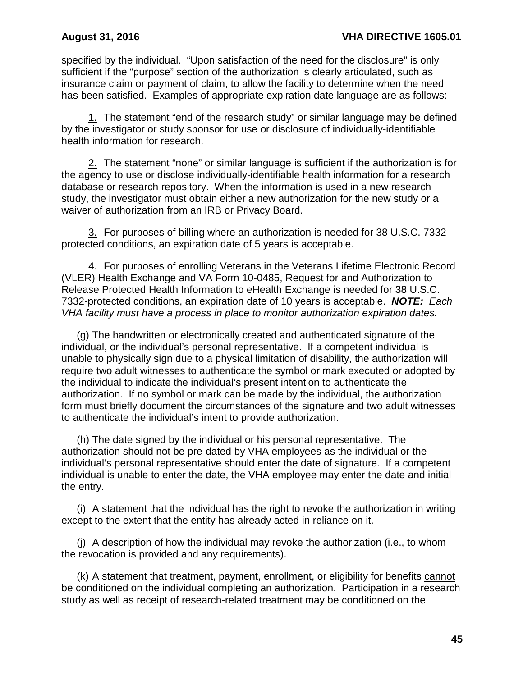specified by the individual. "Upon satisfaction of the need for the disclosure" is only sufficient if the "purpose" section of the authorization is clearly articulated, such as insurance claim or payment of claim, to allow the facility to determine when the need has been satisfied. Examples of appropriate expiration date language are as follows:

1. The statement "end of the research study" or similar language may be defined by the investigator or study sponsor for use or disclosure of individually-identifiable health information for research.

2. The statement "none" or similar language is sufficient if the authorization is for the agency to use or disclose individually-identifiable health information for a research database or research repository. When the information is used in a new research study, the investigator must obtain either a new authorization for the new study or a waiver of authorization from an IRB or Privacy Board.

3. For purposes of billing where an authorization is needed for 38 U.S.C. 7332 protected conditions, an expiration date of 5 years is acceptable.

4. For purposes of enrolling Veterans in the Veterans Lifetime Electronic Record (VLER) Health Exchange and VA Form 10-0485, Request for and Authorization to Release Protected Health Information to eHealth Exchange is needed for 38 U.S.C. 7332-protected conditions, an expiration date of 10 years is acceptable. *NOTE: Each VHA facility must have a process in place to monitor authorization expiration dates.*

(g) The handwritten or electronically created and authenticated signature of the individual, or the individual's personal representative. If a competent individual is unable to physically sign due to a physical limitation of disability, the authorization will require two adult witnesses to authenticate the symbol or mark executed or adopted by the individual to indicate the individual's present intention to authenticate the authorization. If no symbol or mark can be made by the individual, the authorization form must briefly document the circumstances of the signature and two adult witnesses to authenticate the individual's intent to provide authorization.

(h) The date signed by the individual or his personal representative. The authorization should not be pre-dated by VHA employees as the individual or the individual's personal representative should enter the date of signature. If a competent individual is unable to enter the date, the VHA employee may enter the date and initial the entry.

(i) A statement that the individual has the right to revoke the authorization in writing except to the extent that the entity has already acted in reliance on it.

(j) A description of how the individual may revoke the authorization (i.e., to whom the revocation is provided and any requirements).

(k) A statement that treatment, payment, enrollment, or eligibility for benefits cannot be conditioned on the individual completing an authorization. Participation in a research study as well as receipt of research-related treatment may be conditioned on the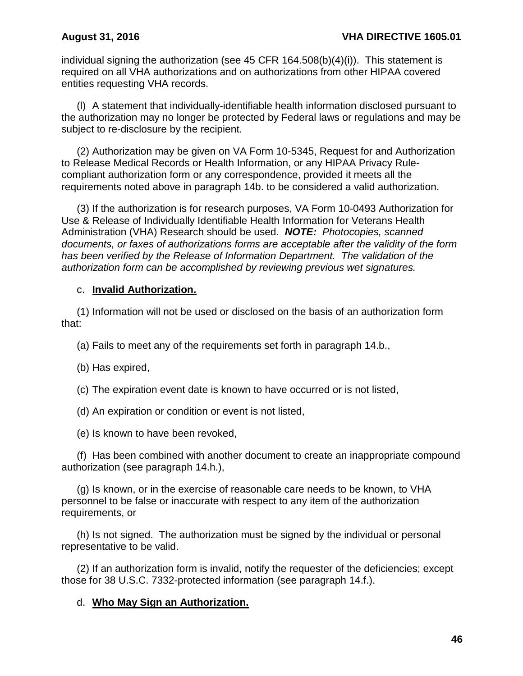individual signing the authorization (see 45 CFR  $164.508(b)(4)(i)$ ). This statement is required on all VHA authorizations and on authorizations from other HIPAA covered entities requesting VHA records.

(l) A statement that individually-identifiable health information disclosed pursuant to the authorization may no longer be protected by Federal laws or regulations and may be subject to re-disclosure by the recipient.

(2) Authorization may be given on VA Form 10-5345, Request for and Authorization to Release Medical Records or Health Information, or any HIPAA Privacy Rulecompliant authorization form or any correspondence, provided it meets all the requirements noted above in paragraph 14b. to be considered a valid authorization.

(3) If the authorization is for research purposes, VA Form 10-0493 Authorization for Use & Release of Individually Identifiable Health Information for Veterans Health Administration (VHA) Research should be used. *NOTE: Photocopies, scanned documents, or faxes of authorizations forms are acceptable after the validity of the form has been verified by the Release of Information Department. The validation of the authorization form can be accomplished by reviewing previous wet signatures.*

### c. **Invalid Authorization.**

(1) Information will not be used or disclosed on the basis of an authorization form that:

(a) Fails to meet any of the requirements set forth in paragraph 14.b.,

(b) Has expired,

(c) The expiration event date is known to have occurred or is not listed,

(d) An expiration or condition or event is not listed,

(e) Is known to have been revoked,

(f) Has been combined with another document to create an inappropriate compound authorization (see paragraph 14.h.),

(g) Is known, or in the exercise of reasonable care needs to be known, to VHA personnel to be false or inaccurate with respect to any item of the authorization requirements, or

(h) Is not signed. The authorization must be signed by the individual or personal representative to be valid.

(2) If an authorization form is invalid, notify the requester of the deficiencies; except those for 38 U.S.C. 7332-protected information (see paragraph 14.f.).

## d. **Who May Sign an Authorization.**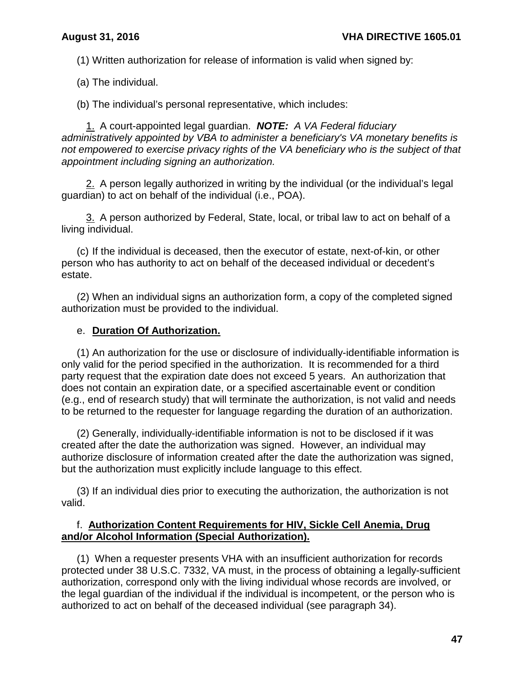(1) Written authorization for release of information is valid when signed by:

(a) The individual.

(b) The individual's personal representative, which includes:

1. A court-appointed legal guardian. *NOTE: A VA Federal fiduciary administratively appointed by VBA to administer a beneficiary's VA monetary benefits is not empowered to exercise privacy rights of the VA beneficiary who is the subject of that appointment including signing an authorization.*

2. A person legally authorized in writing by the individual (or the individual's legal guardian) to act on behalf of the individual (i.e., POA).

3. A person authorized by Federal, State, local, or tribal law to act on behalf of a living individual.

(c) If the individual is deceased, then the executor of estate, next-of-kin, or other person who has authority to act on behalf of the deceased individual or decedent's estate.

(2) When an individual signs an authorization form, a copy of the completed signed authorization must be provided to the individual.

## e. **Duration Of Authorization.**

(1) An authorization for the use or disclosure of individually-identifiable information is only valid for the period specified in the authorization. It is recommended for a third party request that the expiration date does not exceed 5 years. An authorization that does not contain an expiration date, or a specified ascertainable event or condition (e.g., end of research study) that will terminate the authorization, is not valid and needs to be returned to the requester for language regarding the duration of an authorization.

(2) Generally, individually-identifiable information is not to be disclosed if it was created after the date the authorization was signed. However, an individual may authorize disclosure of information created after the date the authorization was signed, but the authorization must explicitly include language to this effect.

(3) If an individual dies prior to executing the authorization, the authorization is not valid.

## f. **Authorization Content Requirements for HIV, Sickle Cell Anemia, Drug and/or Alcohol Information (Special Authorization).**

(1) When a requester presents VHA with an insufficient authorization for records protected under 38 U.S.C. 7332, VA must, in the process of obtaining a legally-sufficient authorization, correspond only with the living individual whose records are involved, or the legal guardian of the individual if the individual is incompetent, or the person who is authorized to act on behalf of the deceased individual (see paragraph 34).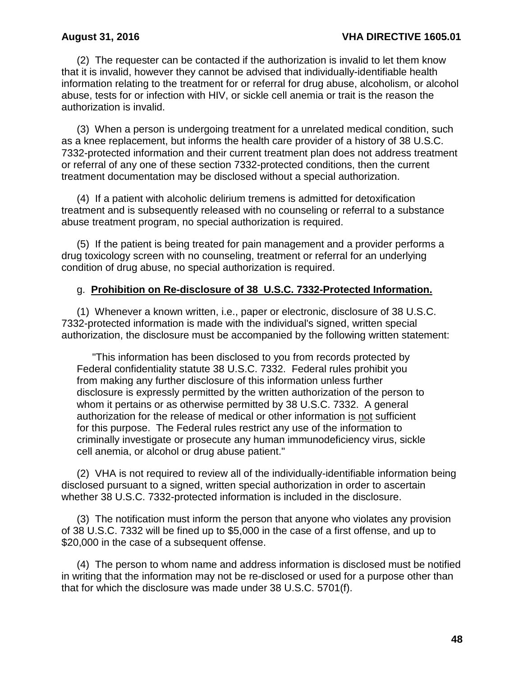(2) The requester can be contacted if the authorization is invalid to let them know that it is invalid, however they cannot be advised that individually-identifiable health information relating to the treatment for or referral for drug abuse, alcoholism, or alcohol abuse, tests for or infection with HIV, or sickle cell anemia or trait is the reason the authorization is invalid.

(3) When a person is undergoing treatment for a unrelated medical condition, such as a knee replacement, but informs the health care provider of a history of 38 U.S.C. 7332-protected information and their current treatment plan does not address treatment or referral of any one of these section 7332-protected conditions, then the current treatment documentation may be disclosed without a special authorization.

(4) If a patient with alcoholic delirium tremens is admitted for detoxification treatment and is subsequently released with no counseling or referral to a substance abuse treatment program, no special authorization is required.

(5) If the patient is being treated for pain management and a provider performs a drug toxicology screen with no counseling, treatment or referral for an underlying condition of drug abuse, no special authorization is required.

#### g. **Prohibition on Re-disclosure of 38 U.S.C. 7332-Protected Information.**

(1) Whenever a known written, i.e., paper or electronic, disclosure of 38 U.S.C. 7332-protected information is made with the individual's signed, written special authorization, the disclosure must be accompanied by the following written statement:

"This information has been disclosed to you from records protected by Federal confidentiality statute 38 U.S.C. 7332. Federal rules prohibit you from making any further disclosure of this information unless further disclosure is expressly permitted by the written authorization of the person to whom it pertains or as otherwise permitted by 38 U.S.C. 7332. A general authorization for the release of medical or other information is not sufficient for this purpose. The Federal rules restrict any use of the information to criminally investigate or prosecute any human immunodeficiency virus, sickle cell anemia, or alcohol or drug abuse patient."

(2) VHA is not required to review all of the individually-identifiable information being disclosed pursuant to a signed, written special authorization in order to ascertain whether 38 U.S.C. 7332-protected information is included in the disclosure.

 (3) The notification must inform the person that anyone who violates any provision of 38 U.S.C. 7332 will be fined up to \$5,000 in the case of a first offense, and up to \$20,000 in the case of a subsequent offense.

 (4) The person to whom name and address information is disclosed must be notified in writing that the information may not be re-disclosed or used for a purpose other than that for which the disclosure was made under 38 U.S.C. 5701(f).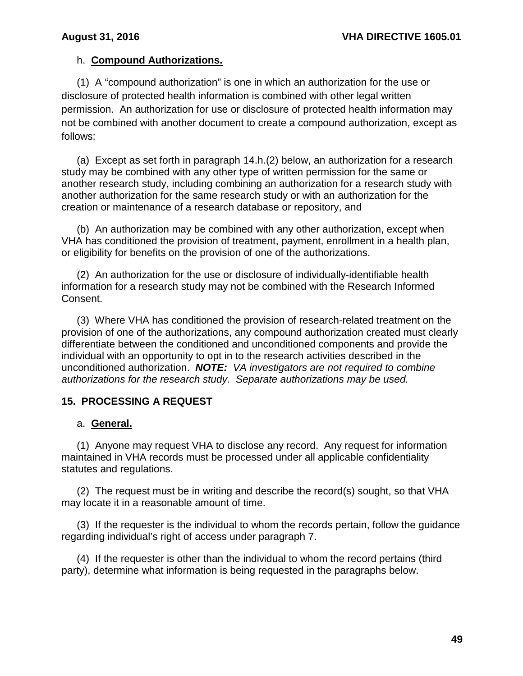## h. **Compound Authorizations.**

(1) A "compound authorization" is one in which an authorization for the use or disclosure of protected health information is combined with other legal written permission. An authorization for use or disclosure of protected health information may not be combined with another document to create a compound authorization, except as follows:

(a) Except as set forth in paragraph 14.h.(2) below, an authorization for a research study may be combined with any other type of written permission for the same or another research study, including combining an authorization for a research study with another authorization for the same research study or with an authorization for the creation or maintenance of a research database or repository, and

(b) An authorization may be combined with any other authorization, except when VHA has conditioned the provision of treatment, payment, enrollment in a health plan, or eligibility for benefits on the provision of one of the authorizations.

(2) An authorization for the use or disclosure of individually-identifiable health information for a research study may not be combined with the Research Informed Consent.

 (3) Where VHA has conditioned the provision of research-related treatment on the provision of one of the authorizations, any compound authorization created must clearly differentiate between the conditioned and unconditioned components and provide the individual with an opportunity to opt in to the research activities described in the unconditioned authorization. *NOTE: VA investigators are not required to combine authorizations for the research study. Separate authorizations may be used.*

## **15. PROCESSING A REQUEST**

## a. **General.**

(1) Anyone may request VHA to disclose any record. Any request for information maintained in VHA records must be processed under all applicable confidentiality statutes and regulations.

(2) The request must be in writing and describe the record(s) sought, so that VHA may locate it in a reasonable amount of time.

 (3) If the requester is the individual to whom the records pertain, follow the guidance regarding individual's right of access under paragraph 7.

(4) If the requester is other than the individual to whom the record pertains (third party), determine what information is being requested in the paragraphs below.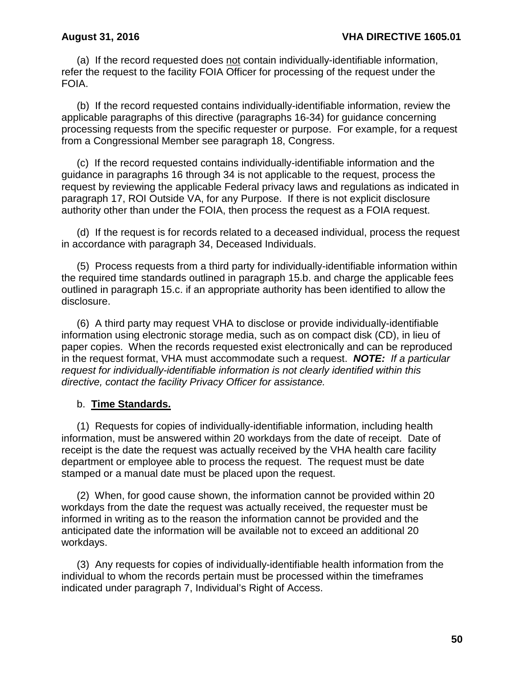(a) If the record requested does not contain individually-identifiable information, refer the request to the facility FOIA Officer for processing of the request under the FOIA.

(b) If the record requested contains individually-identifiable information, review the applicable paragraphs of this directive (paragraphs 16-34) for guidance concerning processing requests from the specific requester or purpose. For example, for a request from a Congressional Member see paragraph 18, Congress.

(c) If the record requested contains individually-identifiable information and the guidance in paragraphs 16 through 34 is not applicable to the request, process the request by reviewing the applicable Federal privacy laws and regulations as indicated in paragraph 17, ROI Outside VA, for any Purpose. If there is not explicit disclosure authority other than under the FOIA, then process the request as a FOIA request.

(d) If the request is for records related to a deceased individual, process the request in accordance with paragraph 34, Deceased Individuals.

(5) Process requests from a third party for individually-identifiable information within the required time standards outlined in paragraph 15.b. and charge the applicable fees outlined in paragraph 15.c. if an appropriate authority has been identified to allow the disclosure.

(6) A third party may request VHA to disclose or provide individually-identifiable information using electronic storage media, such as on compact disk (CD), in lieu of paper copies. When the records requested exist electronically and can be reproduced in the request format, VHA must accommodate such a request. *NOTE: If a particular request for individually-identifiable information is not clearly identified within this directive, contact the facility Privacy Officer for assistance.* 

### b. **Time Standards.**

(1) Requests for copies of individually-identifiable information, including health information, must be answered within 20 workdays from the date of receipt. Date of receipt is the date the request was actually received by the VHA health care facility department or employee able to process the request. The request must be date stamped or a manual date must be placed upon the request.

(2) When, for good cause shown, the information cannot be provided within 20 workdays from the date the request was actually received, the requester must be informed in writing as to the reason the information cannot be provided and the anticipated date the information will be available not to exceed an additional 20 workdays.

(3) Any requests for copies of individually-identifiable health information from the individual to whom the records pertain must be processed within the timeframes indicated under paragraph 7, Individual's Right of Access.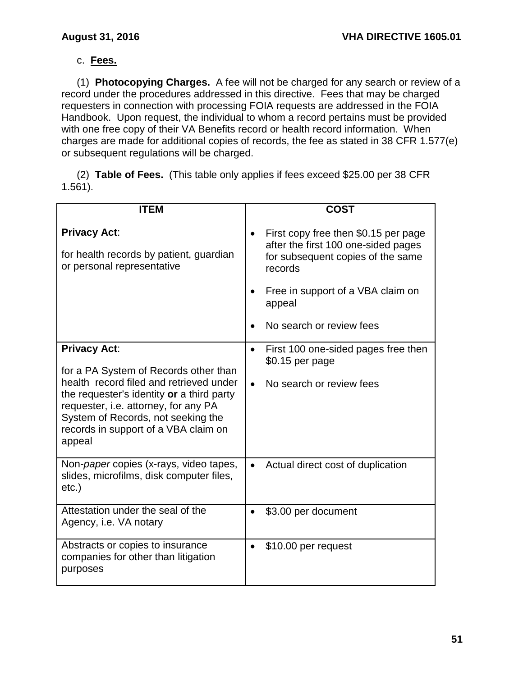# c. **Fees.**

(1) **Photocopying Charges.** A fee will not be charged for any search or review of a record under the procedures addressed in this directive. Fees that may be charged requesters in connection with processing FOIA requests are addressed in the FOIA Handbook. Upon request, the individual to whom a record pertains must be provided with one free copy of their VA Benefits record or health record information. When charges are made for additional copies of records, the fee as stated in 38 CFR 1.577(e) or subsequent regulations will be charged.

 (2) **Table of Fees.** (This table only applies if fees exceed \$25.00 per 38 CFR 1.561).

| <b>ITEM</b>                                                                                                                                                                                                                                                                          | <b>COST</b>                                                                                                                                                                   |
|--------------------------------------------------------------------------------------------------------------------------------------------------------------------------------------------------------------------------------------------------------------------------------------|-------------------------------------------------------------------------------------------------------------------------------------------------------------------------------|
| <b>Privacy Act:</b><br>for health records by patient, guardian<br>or personal representative                                                                                                                                                                                         | First copy free then \$0.15 per page<br>$\bullet$<br>after the first 100 one-sided pages<br>for subsequent copies of the same<br>records<br>Free in support of a VBA claim on |
|                                                                                                                                                                                                                                                                                      | appeal<br>No search or review fees                                                                                                                                            |
|                                                                                                                                                                                                                                                                                      |                                                                                                                                                                               |
| <b>Privacy Act:</b><br>for a PA System of Records other than<br>health record filed and retrieved under<br>the requester's identity or a third party<br>requester, i.e. attorney, for any PA<br>System of Records, not seeking the<br>records in support of a VBA claim on<br>appeal | First 100 one-sided pages free then<br>$\bullet$<br>\$0.15 per page<br>No search or review fees                                                                               |
| Non- <i>paper</i> copies (x-rays, video tapes,<br>slides, microfilms, disk computer files,<br>$etc.$ )                                                                                                                                                                               | Actual direct cost of duplication                                                                                                                                             |
| Attestation under the seal of the<br>Agency, i.e. VA notary                                                                                                                                                                                                                          | \$3.00 per document<br>$\bullet$                                                                                                                                              |
| Abstracts or copies to insurance<br>companies for other than litigation<br>purposes                                                                                                                                                                                                  | \$10.00 per request<br>$\bullet$                                                                                                                                              |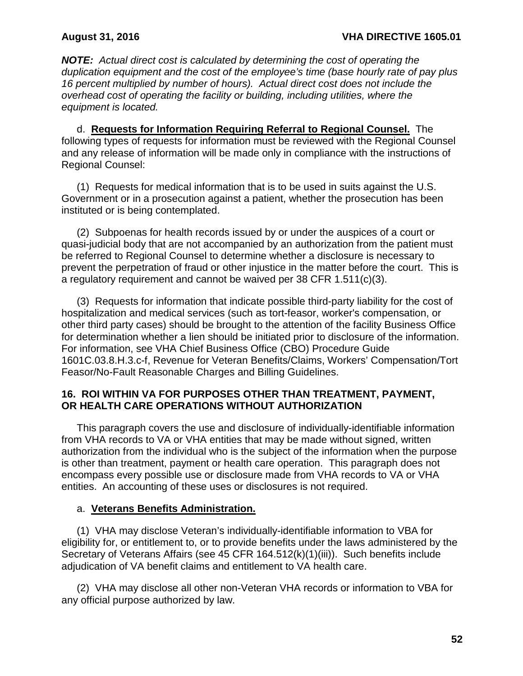*NOTE: Actual direct cost is calculated by determining the cost of operating the duplication equipment and the cost of the employee's time (base hourly rate of pay plus 16 percent multiplied by number of hours). Actual direct cost does not include the overhead cost of operating the facility or building, including utilities, where the equipment is located.*

d. **Requests for Information Requiring Referral to Regional Counsel.** The following types of requests for information must be reviewed with the Regional Counsel and any release of information will be made only in compliance with the instructions of Regional Counsel:

(1) Requests for medical information that is to be used in suits against the U.S. Government or in a prosecution against a patient, whether the prosecution has been instituted or is being contemplated.

(2) Subpoenas for health records issued by or under the auspices of a court or quasi-judicial body that are not accompanied by an authorization from the patient must be referred to Regional Counsel to determine whether a disclosure is necessary to prevent the perpetration of fraud or other injustice in the matter before the court. This is a regulatory requirement and cannot be waived per 38 CFR 1.511(c)(3).

(3) Requests for information that indicate possible third-party liability for the cost of hospitalization and medical services (such as tort-feasor, worker's compensation, or other third party cases) should be brought to the attention of the facility Business Office for determination whether a lien should be initiated prior to disclosure of the information. For information, see VHA Chief Business Office (CBO) Procedure Guide 1601C.03.8.H.3.c-f, Revenue for Veteran Benefits/Claims, Workers' Compensation/Tort Feasor/No-Fault Reasonable Charges and Billing Guidelines.

## **16. ROI WITHIN VA FOR PURPOSES OTHER THAN TREATMENT, PAYMENT, OR HEALTH CARE OPERATIONS WITHOUT AUTHORIZATION**

This paragraph covers the use and disclosure of individually-identifiable information from VHA records to VA or VHA entities that may be made without signed, written authorization from the individual who is the subject of the information when the purpose is other than treatment, payment or health care operation. This paragraph does not encompass every possible use or disclosure made from VHA records to VA or VHA entities. An accounting of these uses or disclosures is not required.

## a. **Veterans Benefits Administration.**

(1) VHA may disclose Veteran's individually-identifiable information to VBA for eligibility for, or entitlement to, or to provide benefits under the laws administered by the Secretary of Veterans Affairs (see 45 CFR 164.512(k)(1)(iii)). Such benefits include adjudication of VA benefit claims and entitlement to VA health care.

(2) VHA may disclose all other non-Veteran VHA records or information to VBA for any official purpose authorized by law.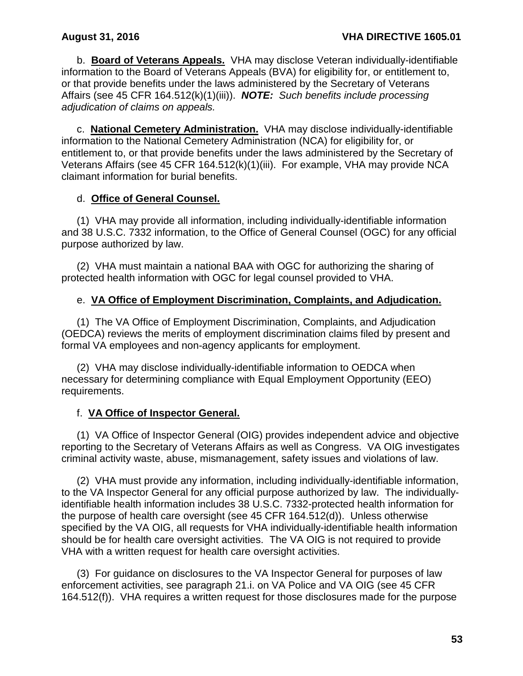b. **Board of Veterans Appeals.** VHA may disclose Veteran individually-identifiable information to the Board of Veterans Appeals (BVA) for eligibility for, or entitlement to, or that provide benefits under the laws administered by the Secretary of Veterans Affairs (see 45 CFR 164.512(k)(1)(iii)). *NOTE: Such benefits include processing adjudication of claims on appeals.*

 c. **National Cemetery Administration.** VHA may disclose individually-identifiable information to the National Cemetery Administration (NCA) for eligibility for, or entitlement to, or that provide benefits under the laws administered by the Secretary of Veterans Affairs (see 45 CFR 164.512(k)(1)(iii). For example, VHA may provide NCA claimant information for burial benefits.

## d. **Office of General Counsel.**

(1) VHA may provide all information, including individually-identifiable information and 38 U.S.C. 7332 information, to the Office of General Counsel (OGC) for any official purpose authorized by law.

(2) VHA must maintain a national BAA with OGC for authorizing the sharing of protected health information with OGC for legal counsel provided to VHA.

## e. **VA Office of Employment Discrimination, Complaints, and Adjudication.**

(1) The VA Office of Employment Discrimination, Complaints, and Adjudication (OEDCA) reviews the merits of employment discrimination claims filed by present and formal VA employees and non-agency applicants for employment.

(2) VHA may disclose individually-identifiable information to OEDCA when necessary for determining compliance with Equal Employment Opportunity (EEO) requirements.

## f. **VA Office of Inspector General.**

(1) VA Office of Inspector General (OIG) provides independent advice and objective reporting to the Secretary of Veterans Affairs as well as Congress. VA OIG investigates criminal activity waste, abuse, mismanagement, safety issues and violations of law.

(2) VHA must provide any information, including individually-identifiable information, to the VA Inspector General for any official purpose authorized by law. The individuallyidentifiable health information includes 38 U.S.C. 7332-protected health information for the purpose of health care oversight (see 45 CFR 164.512(d)). Unless otherwise specified by the VA OIG, all requests for VHA individually-identifiable health information should be for health care oversight activities. The VA OIG is not required to provide VHA with a written request for health care oversight activities.

 (3) For guidance on disclosures to the VA Inspector General for purposes of law enforcement activities, see paragraph 21.i. on VA Police and VA OIG (see 45 CFR 164.512(f)). VHA requires a written request for those disclosures made for the purpose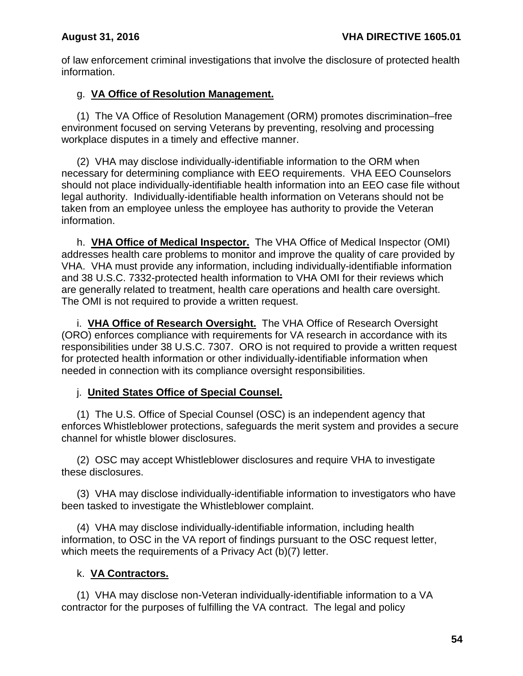of law enforcement criminal investigations that involve the disclosure of protected health information.

## g. **VA Office of Resolution Management.**

(1) The VA Office of Resolution Management (ORM) promotes discrimination–free environment focused on serving Veterans by preventing, resolving and processing workplace disputes in a timely and effective manner.

(2) VHA may disclose individually-identifiable information to the ORM when necessary for determining compliance with EEO requirements. VHA EEO Counselors should not place individually-identifiable health information into an EEO case file without legal authority. Individually-identifiable health information on Veterans should not be taken from an employee unless the employee has authority to provide the Veteran information.

h. **VHA Office of Medical Inspector.** The VHA Office of Medical Inspector (OMI) addresses health care problems to monitor and improve the quality of care provided by VHA. VHA must provide any information, including individually-identifiable information and 38 U.S.C. 7332-protected health information to VHA OMI for their reviews which are generally related to treatment, health care operations and health care oversight. The OMI is not required to provide a written request.

i. **VHA Office of Research Oversight.** The VHA Office of Research Oversight (ORO) enforces compliance with requirements for VA research in accordance with its responsibilities under 38 U.S.C. 7307. ORO is not required to provide a written request for protected health information or other individually-identifiable information when needed in connection with its compliance oversight responsibilities.

## j. **United States Office of Special Counsel.**

(1) The U.S. Office of Special Counsel (OSC) is an independent agency that enforces Whistleblower protections, safeguards the merit system and provides a secure channel for whistle blower disclosures.

(2) OSC may accept Whistleblower disclosures and require VHA to investigate these disclosures.

(3) VHA may disclose individually-identifiable information to investigators who have been tasked to investigate the Whistleblower complaint.

(4) VHA may disclose individually-identifiable information, including health information, to OSC in the VA report of findings pursuant to the OSC request letter, which meets the requirements of a Privacy Act (b)(7) letter.

# k. **VA Contractors.**

(1) VHA may disclose non-Veteran individually-identifiable information to a VA contractor for the purposes of fulfilling the VA contract. The legal and policy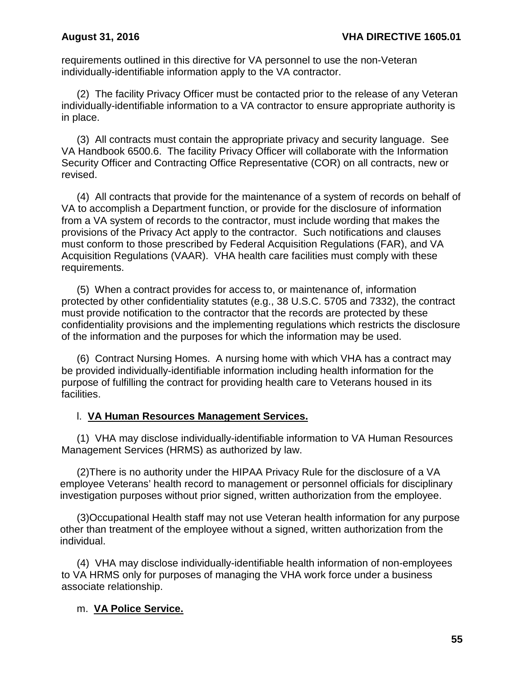requirements outlined in this directive for VA personnel to use the non-Veteran individually-identifiable information apply to the VA contractor.

(2) The facility Privacy Officer must be contacted prior to the release of any Veteran individually-identifiable information to a VA contractor to ensure appropriate authority is in place.

(3) All contracts must contain the appropriate privacy and security language. See VA Handbook 6500.6. The facility Privacy Officer will collaborate with the Information Security Officer and Contracting Office Representative (COR) on all contracts, new or revised.

(4) All contracts that provide for the maintenance of a system of records on behalf of VA to accomplish a Department function, or provide for the disclosure of information from a VA system of records to the contractor, must include wording that makes the provisions of the Privacy Act apply to the contractor. Such notifications and clauses must conform to those prescribed by Federal Acquisition Regulations (FAR), and VA Acquisition Regulations (VAAR). VHA health care facilities must comply with these requirements.

(5) When a contract provides for access to, or maintenance of, information protected by other confidentiality statutes (e.g., 38 U.S.C. 5705 and 7332), the contract must provide notification to the contractor that the records are protected by these confidentiality provisions and the implementing regulations which restricts the disclosure of the information and the purposes for which the information may be used.

(6) Contract Nursing Homes. A nursing home with which VHA has a contract may be provided individually-identifiable information including health information for the purpose of fulfilling the contract for providing health care to Veterans housed in its facilities.

### l. **VA Human Resources Management Services.**

(1) VHA may disclose individually-identifiable information to VA Human Resources Management Services (HRMS) as authorized by law.

(2)There is no authority under the HIPAA Privacy Rule for the disclosure of a VA employee Veterans' health record to management or personnel officials for disciplinary investigation purposes without prior signed, written authorization from the employee.

(3)Occupational Health staff may not use Veteran health information for any purpose other than treatment of the employee without a signed, written authorization from the individual.

 (4) VHA may disclose individually-identifiable health information of non-employees to VA HRMS only for purposes of managing the VHA work force under a business associate relationship.

## m. **VA Police Service.**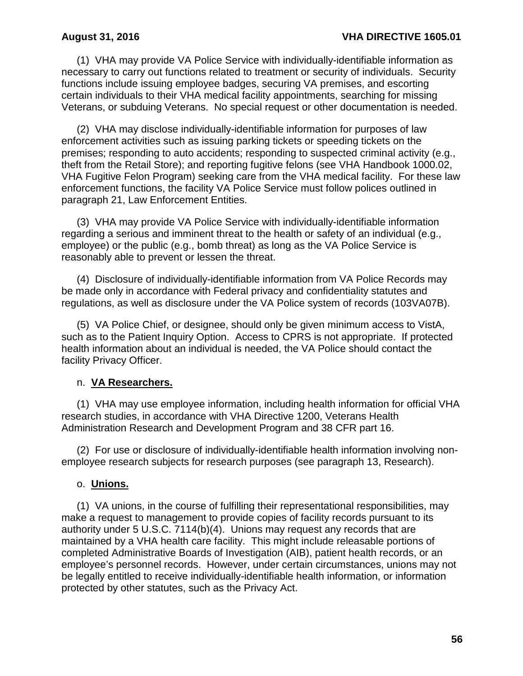(1) VHA may provide VA Police Service with individually-identifiable information as necessary to carry out functions related to treatment or security of individuals. Security functions include issuing employee badges, securing VA premises, and escorting certain individuals to their VHA medical facility appointments, searching for missing Veterans, or subduing Veterans. No special request or other documentation is needed.

(2) VHA may disclose individually-identifiable information for purposes of law enforcement activities such as issuing parking tickets or speeding tickets on the premises; responding to auto accidents; responding to suspected criminal activity (e.g., theft from the Retail Store); and reporting fugitive felons (see VHA Handbook 1000.02, VHA Fugitive Felon Program) seeking care from the VHA medical facility. For these law enforcement functions, the facility VA Police Service must follow polices outlined in paragraph 21, Law Enforcement Entities.

(3) VHA may provide VA Police Service with individually-identifiable information regarding a serious and imminent threat to the health or safety of an individual (e.g., employee) or the public (e.g., bomb threat) as long as the VA Police Service is reasonably able to prevent or lessen the threat.

(4) Disclosure of individually-identifiable information from VA Police Records may be made only in accordance with Federal privacy and confidentiality statutes and regulations, as well as disclosure under the VA Police system of records (103VA07B).

(5) VA Police Chief, or designee, should only be given minimum access to VistA, such as to the Patient Inquiry Option. Access to CPRS is not appropriate. If protected health information about an individual is needed, the VA Police should contact the facility Privacy Officer.

## n. **VA Researchers.**

(1) VHA may use employee information, including health information for official VHA research studies, in accordance with VHA Directive 1200, Veterans Health Administration Research and Development Program and 38 CFR part 16.

(2) For use or disclosure of individually-identifiable health information involving nonemployee research subjects for research purposes (see paragraph 13, Research).

### o. **Unions.**

(1) VA unions, in the course of fulfilling their representational responsibilities, may make a request to management to provide copies of facility records pursuant to its authority under 5 U.S.C. 7114(b)(4). Unions may request any records that are maintained by a VHA health care facility. This might include releasable portions of completed Administrative Boards of Investigation (AIB), patient health records, or an employee's personnel records. However, under certain circumstances, unions may not be legally entitled to receive individually-identifiable health information, or information protected by other statutes, such as the Privacy Act.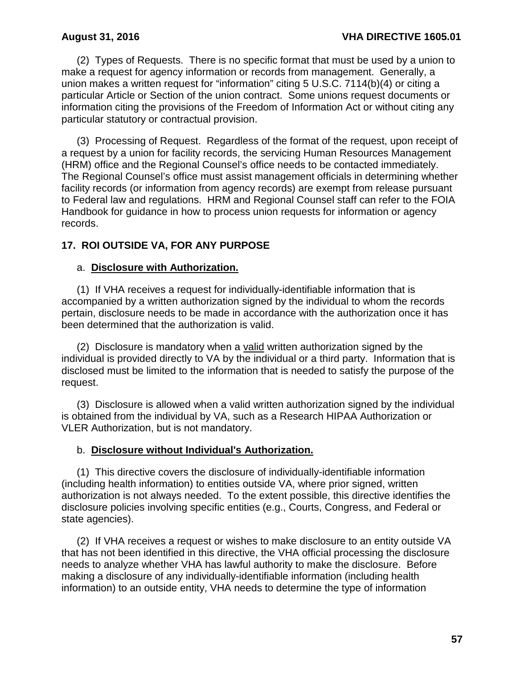(2) Types of Requests. There is no specific format that must be used by a union to make a request for agency information or records from management. Generally, a union makes a written request for "information" citing 5 U.S.C. 7114(b)(4) or citing a particular Article or Section of the union contract. Some unions request documents or information citing the provisions of the Freedom of Information Act or without citing any particular statutory or contractual provision.

(3) Processing of Request. Regardless of the format of the request, upon receipt of a request by a union for facility records, the servicing Human Resources Management (HRM) office and the Regional Counsel's office needs to be contacted immediately. The Regional Counsel's office must assist management officials in determining whether facility records (or information from agency records) are exempt from release pursuant to Federal law and regulations. HRM and Regional Counsel staff can refer to the FOIA Handbook for guidance in how to process union requests for information or agency records.

## **17. ROI OUTSIDE VA, FOR ANY PURPOSE**

#### a. **Disclosure with Authorization.**

(1) If VHA receives a request for individually-identifiable information that is accompanied by a written authorization signed by the individual to whom the records pertain, disclosure needs to be made in accordance with the authorization once it has been determined that the authorization is valid.

(2) Disclosure is mandatory when a valid written authorization signed by the individual is provided directly to VA by the individual or a third party. Information that is disclosed must be limited to the information that is needed to satisfy the purpose of the request.

(3) Disclosure is allowed when a valid written authorization signed by the individual is obtained from the individual by VA, such as a Research HIPAA Authorization or VLER Authorization, but is not mandatory.

### b. **Disclosure without Individual's Authorization.**

(1) This directive covers the disclosure of individually-identifiable information (including health information) to entities outside VA, where prior signed, written authorization is not always needed. To the extent possible, this directive identifies the disclosure policies involving specific entities (e.g., Courts, Congress, and Federal or state agencies).

(2) If VHA receives a request or wishes to make disclosure to an entity outside VA that has not been identified in this directive, the VHA official processing the disclosure needs to analyze whether VHA has lawful authority to make the disclosure. Before making a disclosure of any individually-identifiable information (including health information) to an outside entity, VHA needs to determine the type of information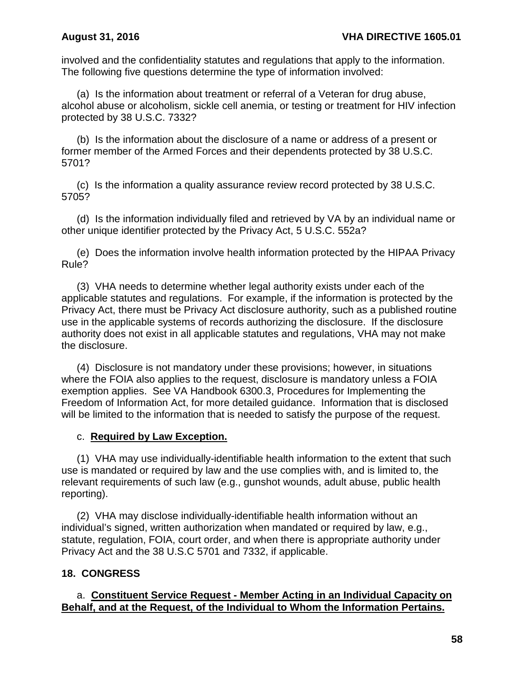involved and the confidentiality statutes and regulations that apply to the information. The following five questions determine the type of information involved:

(a) Is the information about treatment or referral of a Veteran for drug abuse, alcohol abuse or alcoholism, sickle cell anemia, or testing or treatment for HIV infection protected by 38 U.S.C. 7332?

(b) Is the information about the disclosure of a name or address of a present or former member of the Armed Forces and their dependents protected by 38 U.S.C. 5701?

(c) Is the information a quality assurance review record protected by 38 U.S.C. 5705?

(d) Is the information individually filed and retrieved by VA by an individual name or other unique identifier protected by the Privacy Act, 5 U.S.C. 552a?

(e) Does the information involve health information protected by the HIPAA Privacy Rule?

(3) VHA needs to determine whether legal authority exists under each of the applicable statutes and regulations. For example, if the information is protected by the Privacy Act, there must be Privacy Act disclosure authority, such as a published routine use in the applicable systems of records authorizing the disclosure. If the disclosure authority does not exist in all applicable statutes and regulations, VHA may not make the disclosure.

(4) Disclosure is not mandatory under these provisions; however, in situations where the FOIA also applies to the request, disclosure is mandatory unless a FOIA exemption applies. See VA Handbook 6300.3, Procedures for Implementing the Freedom of Information Act, for more detailed guidance. Information that is disclosed will be limited to the information that is needed to satisfy the purpose of the request.

### c. **Required by Law Exception.**

(1) VHA may use individually-identifiable health information to the extent that such use is mandated or required by law and the use complies with, and is limited to, the relevant requirements of such law (e.g., gunshot wounds, adult abuse, public health reporting).

(2) VHA may disclose individually-identifiable health information without an individual's signed, written authorization when mandated or required by law, e.g., statute, regulation, FOIA, court order, and when there is appropriate authority under Privacy Act and the 38 U.S.C 5701 and 7332, if applicable.

## **18. CONGRESS**

## a. **Constituent Service Request - Member Acting in an Individual Capacity on Behalf, and at the Request, of the Individual to Whom the Information Pertains.**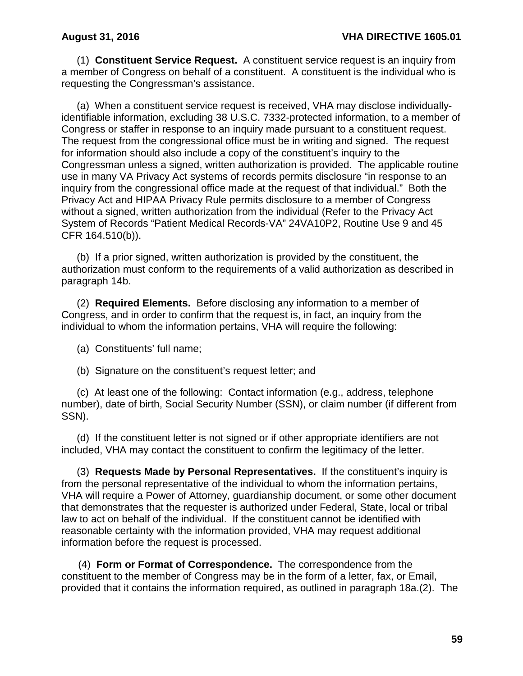(1) **Constituent Service Request.** A constituent service request is an inquiry from a member of Congress on behalf of a constituent. A constituent is the individual who is requesting the Congressman's assistance.

(a) When a constituent service request is received, VHA may disclose individuallyidentifiable information, excluding 38 U.S.C. 7332-protected information, to a member of Congress or staffer in response to an inquiry made pursuant to a constituent request. The request from the congressional office must be in writing and signed. The request for information should also include a copy of the constituent's inquiry to the Congressman unless a signed, written authorization is provided. The applicable routine use in many VA Privacy Act systems of records permits disclosure "in response to an inquiry from the congressional office made at the request of that individual." Both the Privacy Act and HIPAA Privacy Rule permits disclosure to a member of Congress without a signed, written authorization from the individual (Refer to the Privacy Act System of Records "Patient Medical Records-VA" 24VA10P2, Routine Use 9 and 45 CFR 164.510(b)).

(b) If a prior signed, written authorization is provided by the constituent, the authorization must conform to the requirements of a valid authorization as described in paragraph 14b.

(2) **Required Elements.** Before disclosing any information to a member of Congress, and in order to confirm that the request is, in fact, an inquiry from the individual to whom the information pertains, VHA will require the following:

(a) Constituents' full name;

(b) Signature on the constituent's request letter; and

(c) At least one of the following: Contact information (e.g., address, telephone number), date of birth, Social Security Number (SSN), or claim number (if different from SSN).

(d) If the constituent letter is not signed or if other appropriate identifiers are not included, VHA may contact the constituent to confirm the legitimacy of the letter.

(3) **Requests Made by Personal Representatives.** If the constituent's inquiry is from the personal representative of the individual to whom the information pertains, VHA will require a Power of Attorney, guardianship document, or some other document that demonstrates that the requester is authorized under Federal, State, local or tribal law to act on behalf of the individual. If the constituent cannot be identified with reasonable certainty with the information provided, VHA may request additional information before the request is processed.

(4) **Form or Format of Correspondence.** The correspondence from the constituent to the member of Congress may be in the form of a letter, fax, or Email, provided that it contains the information required, as outlined in paragraph 18a.(2). The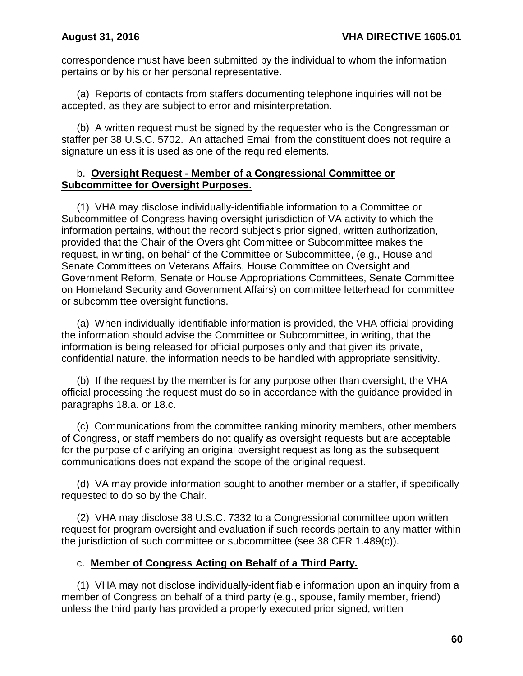correspondence must have been submitted by the individual to whom the information pertains or by his or her personal representative.

(a) Reports of contacts from staffers documenting telephone inquiries will not be accepted, as they are subject to error and misinterpretation.

(b) A written request must be signed by the requester who is the Congressman or staffer per 38 U.S.C. 5702. An attached Email from the constituent does not require a signature unless it is used as one of the required elements.

### b. **Oversight Request - Member of a Congressional Committee or Subcommittee for Oversight Purposes.**

(1) VHA may disclose individually-identifiable information to a Committee or Subcommittee of Congress having oversight jurisdiction of VA activity to which the information pertains, without the record subject's prior signed, written authorization, provided that the Chair of the Oversight Committee or Subcommittee makes the request, in writing, on behalf of the Committee or Subcommittee, (e.g., House and Senate Committees on Veterans Affairs, House Committee on Oversight and Government Reform, Senate or House Appropriations Committees, Senate Committee on Homeland Security and Government Affairs) on committee letterhead for committee or subcommittee oversight functions.

(a) When individually-identifiable information is provided, the VHA official providing the information should advise the Committee or Subcommittee, in writing, that the information is being released for official purposes only and that given its private, confidential nature, the information needs to be handled with appropriate sensitivity.

(b) If the request by the member is for any purpose other than oversight, the VHA official processing the request must do so in accordance with the guidance provided in paragraphs 18.a. or 18.c.

(c) Communications from the committee ranking minority members, other members of Congress, or staff members do not qualify as oversight requests but are acceptable for the purpose of clarifying an original oversight request as long as the subsequent communications does not expand the scope of the original request.

(d) VA may provide information sought to another member or a staffer, if specifically requested to do so by the Chair.

(2) VHA may disclose 38 U.S.C. 7332 to a Congressional committee upon written request for program oversight and evaluation if such records pertain to any matter within the jurisdiction of such committee or subcommittee (see 38 CFR 1.489(c)).

## c. **Member of Congress Acting on Behalf of a Third Party.**

(1) VHA may not disclose individually-identifiable information upon an inquiry from a member of Congress on behalf of a third party (e.g., spouse, family member, friend) unless the third party has provided a properly executed prior signed, written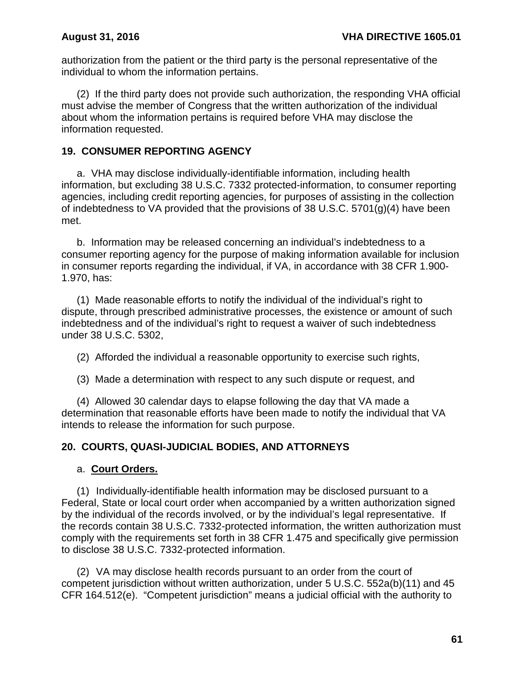authorization from the patient or the third party is the personal representative of the individual to whom the information pertains.

(2) If the third party does not provide such authorization, the responding VHA official must advise the member of Congress that the written authorization of the individual about whom the information pertains is required before VHA may disclose the information requested.

## **19. CONSUMER REPORTING AGENCY**

a. VHA may disclose individually-identifiable information, including health information, but excluding 38 U.S.C. 7332 protected-information, to consumer reporting agencies, including credit reporting agencies, for purposes of assisting in the collection of indebtedness to VA provided that the provisions of 38 U.S.C. 5701(g)(4) have been met.

b. Information may be released concerning an individual's indebtedness to a consumer reporting agency for the purpose of making information available for inclusion in consumer reports regarding the individual, if VA, in accordance with 38 CFR 1.900- 1.970, has:

(1) Made reasonable efforts to notify the individual of the individual's right to dispute, through prescribed administrative processes, the existence or amount of such indebtedness and of the individual's right to request a waiver of such indebtedness under 38 U.S.C. 5302,

(2) Afforded the individual a reasonable opportunity to exercise such rights,

(3) Made a determination with respect to any such dispute or request, and

(4) Allowed 30 calendar days to elapse following the day that VA made a determination that reasonable efforts have been made to notify the individual that VA intends to release the information for such purpose.

# **20. COURTS, QUASI-JUDICIAL BODIES, AND ATTORNEYS**

## a. **Court Orders.**

(1) Individually-identifiable health information may be disclosed pursuant to a Federal, State or local court order when accompanied by a written authorization signed by the individual of the records involved, or by the individual's legal representative. If the records contain 38 U.S.C. 7332-protected information, the written authorization must comply with the requirements set forth in 38 CFR 1.475 and specifically give permission to disclose 38 U.S.C. 7332-protected information.

(2) VA may disclose health records pursuant to an order from the court of competent jurisdiction without written authorization, under 5 U.S.C. 552a(b)(11) and 45 CFR 164.512(e). "Competent jurisdiction" means a judicial official with the authority to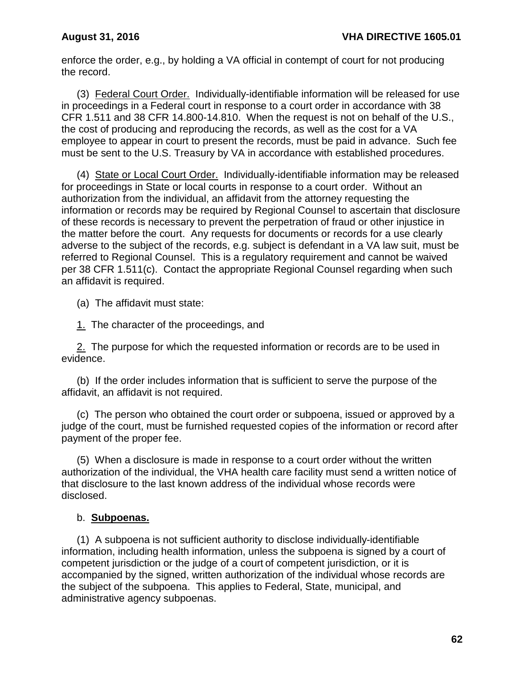enforce the order, e.g., by holding a VA official in contempt of court for not producing the record.

(3) Federal Court Order. Individually-identifiable information will be released for use in proceedings in a Federal court in response to a court order in accordance with 38 CFR 1.511 and 38 CFR 14.800-14.810. When the request is not on behalf of the U.S., the cost of producing and reproducing the records, as well as the cost for a VA employee to appear in court to present the records, must be paid in advance. Such fee must be sent to the U.S. Treasury by VA in accordance with established procedures.

(4) State or Local Court Order. Individually-identifiable information may be released for proceedings in State or local courts in response to a court order. Without an authorization from the individual, an affidavit from the attorney requesting the information or records may be required by Regional Counsel to ascertain that disclosure of these records is necessary to prevent the perpetration of fraud or other injustice in the matter before the court. Any requests for documents or records for a use clearly adverse to the subject of the records, e.g. subject is defendant in a VA law suit, must be referred to Regional Counsel. This is a regulatory requirement and cannot be waived per 38 CFR 1.511(c). Contact the appropriate Regional Counsel regarding when such an affidavit is required.

(a) The affidavit must state:

1. The character of the proceedings, and

2. The purpose for which the requested information or records are to be used in evidence.

(b) If the order includes information that is sufficient to serve the purpose of the affidavit, an affidavit is not required.

(c) The person who obtained the court order or subpoena, issued or approved by a judge of the court, must be furnished requested copies of the information or record after payment of the proper fee.

(5) When a disclosure is made in response to a court order without the written authorization of the individual, the VHA health care facility must send a written notice of that disclosure to the last known address of the individual whose records were disclosed.

## b. **Subpoenas.**

(1) A subpoena is not sufficient authority to disclose individually-identifiable information, including health information, unless the subpoena is signed by a court of competent jurisdiction or the judge of a court of competent jurisdiction, or it is accompanied by the signed, written authorization of the individual whose records are the subject of the subpoena. This applies to Federal, State, municipal, and administrative agency subpoenas.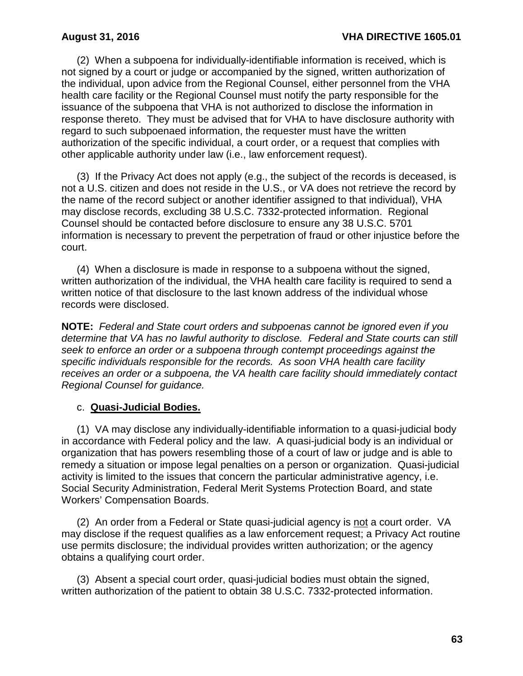(2) When a subpoena for individually-identifiable information is received, which is not signed by a court or judge or accompanied by the signed, written authorization of the individual, upon advice from the Regional Counsel, either personnel from the VHA health care facility or the Regional Counsel must notify the party responsible for the issuance of the subpoena that VHA is not authorized to disclose the information in response thereto. They must be advised that for VHA to have disclosure authority with regard to such subpoenaed information, the requester must have the written authorization of the specific individual, a court order, or a request that complies with other applicable authority under law (i.e., law enforcement request).

(3) If the Privacy Act does not apply (e.g., the subject of the records is deceased, is not a U.S. citizen and does not reside in the U.S., or VA does not retrieve the record by the name of the record subject or another identifier assigned to that individual), VHA may disclose records, excluding 38 U.S.C. 7332-protected information. Regional Counsel should be contacted before disclosure to ensure any 38 U.S.C. 5701 information is necessary to prevent the perpetration of fraud or other injustice before the court.

(4) When a disclosure is made in response to a subpoena without the signed, written authorization of the individual, the VHA health care facility is required to send a written notice of that disclosure to the last known address of the individual whose records were disclosed.

**NOTE:** *Federal and State court orders and subpoenas cannot be ignored even if you determine that VA has no lawful authority to disclose. Federal and State courts can still seek to enforce an order or a subpoena through contempt proceedings against the specific individuals responsible for the records. As soon VHA health care facility receives an order or a subpoena, the VA health care facility should immediately contact Regional Counsel for guidance.*

### c. **Quasi-Judicial Bodies.**

(1) VA may disclose any individually-identifiable information to a quasi-judicial body in accordance with Federal policy and the law. A quasi-judicial body is an individual or organization that has powers resembling those of a court of law or judge and is able to remedy a situation or impose legal penalties on a person or organization. Quasi-judicial activity is limited to the issues that concern the particular administrative agency, i.e. Social Security Administration, Federal Merit Systems Protection Board, and state Workers' Compensation Boards.

(2) An order from a Federal or State quasi-judicial agency is not a court order. VA may disclose if the request qualifies as a law enforcement request; a Privacy Act routine use permits disclosure; the individual provides written authorization; or the agency obtains a qualifying court order.

(3) Absent a special court order, quasi-judicial bodies must obtain the signed, written authorization of the patient to obtain 38 U.S.C. 7332-protected information.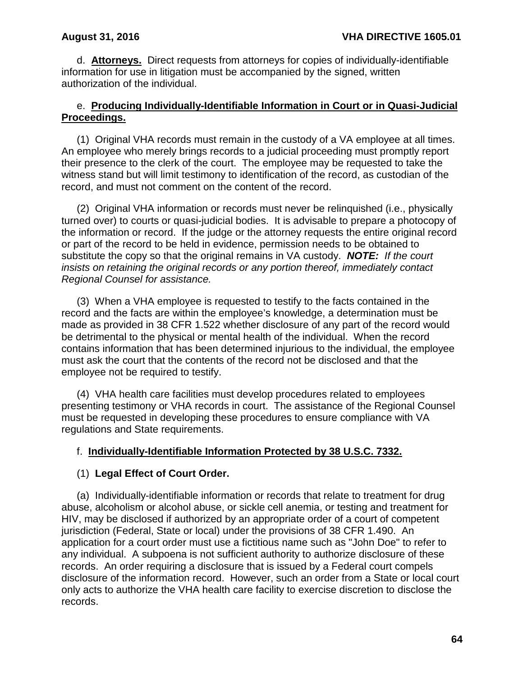d. **Attorneys.** Direct requests from attorneys for copies of individually-identifiable information for use in litigation must be accompanied by the signed, written authorization of the individual.

## e. **Producing Individually-Identifiable Information in Court or in Quasi-Judicial Proceedings.**

(1) Original VHA records must remain in the custody of a VA employee at all times. An employee who merely brings records to a judicial proceeding must promptly report their presence to the clerk of the court. The employee may be requested to take the witness stand but will limit testimony to identification of the record, as custodian of the record, and must not comment on the content of the record.

(2) Original VHA information or records must never be relinquished (i.e., physically turned over) to courts or quasi-judicial bodies. It is advisable to prepare a photocopy of the information or record. If the judge or the attorney requests the entire original record or part of the record to be held in evidence, permission needs to be obtained to substitute the copy so that the original remains in VA custody. *NOTE: If the court insists on retaining the original records or any portion thereof, immediately contact Regional Counsel for assistance.*

(3) When a VHA employee is requested to testify to the facts contained in the record and the facts are within the employee's knowledge, a determination must be made as provided in 38 CFR 1.522 whether disclosure of any part of the record would be detrimental to the physical or mental health of the individual. When the record contains information that has been determined injurious to the individual, the employee must ask the court that the contents of the record not be disclosed and that the employee not be required to testify.

(4) VHA health care facilities must develop procedures related to employees presenting testimony or VHA records in court. The assistance of the Regional Counsel must be requested in developing these procedures to ensure compliance with VA regulations and State requirements.

## f. **Individually-Identifiable Information Protected by 38 U.S.C. 7332.**

## (1) **Legal Effect of Court Order.**

(a) Individually-identifiable information or records that relate to treatment for drug abuse, alcoholism or alcohol abuse, or sickle cell anemia, or testing and treatment for HIV, may be disclosed if authorized by an appropriate order of a court of competent jurisdiction (Federal, State or local) under the provisions of 38 CFR 1.490. An application for a court order must use a fictitious name such as "John Doe" to refer to any individual. A subpoena is not sufficient authority to authorize disclosure of these records. An order requiring a disclosure that is issued by a Federal court compels disclosure of the information record. However, such an order from a State or local court only acts to authorize the VHA health care facility to exercise discretion to disclose the records.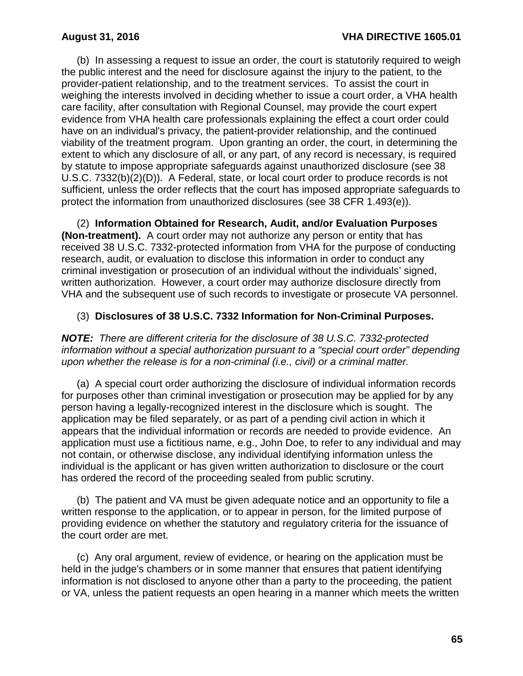(b) In assessing a request to issue an order, the court is statutorily required to weigh the public interest and the need for disclosure against the injury to the patient, to the provider-patient relationship, and to the treatment services. To assist the court in weighing the interests involved in deciding whether to issue a court order, a VHA health care facility, after consultation with Regional Counsel, may provide the court expert evidence from VHA health care professionals explaining the effect a court order could have on an individual's privacy, the patient-provider relationship, and the continued viability of the treatment program. Upon granting an order, the court, in determining the extent to which any disclosure of all, or any part, of any record is necessary, is required by statute to impose appropriate safeguards against unauthorized disclosure (see 38 U.S.C. 7332(b)(2)(D)). A Federal, state, or local court order to produce records is not sufficient, unless the order reflects that the court has imposed appropriate safeguards to protect the information from unauthorized disclosures (see 38 CFR 1.493(e)).

(2) **Information Obtained for Research, Audit, and/or Evaluation Purposes (Non-treatment).** A court order may not authorize any person or entity that has received 38 U.S.C. 7332-protected information from VHA for the purpose of conducting research, audit, or evaluation to disclose this information in order to conduct any criminal investigation or prosecution of an individual without the individuals' signed, written authorization. However, a court order may authorize disclosure directly from VHA and the subsequent use of such records to investigate or prosecute VA personnel.

## (3) **Disclosures of 38 U.S.C. 7332 Information for Non-Criminal Purposes.**

*NOTE:**There are different criteria for the disclosure of 38 U.S.C. 7332-protected information without a special authorization pursuant to a "special court order" depending upon whether the release is for a non-criminal (i.e., civil) or a criminal matter.*

(a) A special court order authorizing the disclosure of individual information records for purposes other than criminal investigation or prosecution may be applied for by any person having a legally-recognized interest in the disclosure which is sought. The application may be filed separately, or as part of a pending civil action in which it appears that the individual information or records are needed to provide evidence. An application must use a fictitious name, e.g., John Doe, to refer to any individual and may not contain, or otherwise disclose, any individual identifying information unless the individual is the applicant or has given written authorization to disclosure or the court has ordered the record of the proceeding sealed from public scrutiny.

(b) The patient and VA must be given adequate notice and an opportunity to file a written response to the application, or to appear in person, for the limited purpose of providing evidence on whether the statutory and regulatory criteria for the issuance of the court order are met.

(c) Any oral argument, review of evidence, or hearing on the application must be held in the judge's chambers or in some manner that ensures that patient identifying information is not disclosed to anyone other than a party to the proceeding, the patient or VA, unless the patient requests an open hearing in a manner which meets the written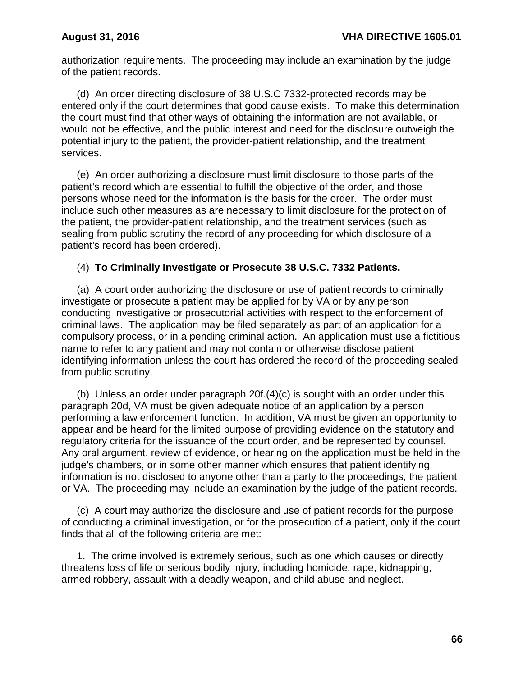authorization requirements. The proceeding may include an examination by the judge of the patient records.

(d) An order directing disclosure of 38 U.S.C 7332-protected records may be entered only if the court determines that good cause exists. To make this determination the court must find that other ways of obtaining the information are not available, or would not be effective, and the public interest and need for the disclosure outweigh the potential injury to the patient, the provider-patient relationship, and the treatment services.

(e) An order authorizing a disclosure must limit disclosure to those parts of the patient's record which are essential to fulfill the objective of the order, and those persons whose need for the information is the basis for the order. The order must include such other measures as are necessary to limit disclosure for the protection of the patient, the provider-patient relationship, and the treatment services (such as sealing from public scrutiny the record of any proceeding for which disclosure of a patient's record has been ordered).

## (4) **To Criminally Investigate or Prosecute 38 U.S.C. 7332 Patients.**

(a) A court order authorizing the disclosure or use of patient records to criminally investigate or prosecute a patient may be applied for by VA or by any person conducting investigative or prosecutorial activities with respect to the enforcement of criminal laws. The application may be filed separately as part of an application for a compulsory process, or in a pending criminal action. An application must use a fictitious name to refer to any patient and may not contain or otherwise disclose patient identifying information unless the court has ordered the record of the proceeding sealed from public scrutiny.

(b) Unless an order under paragraph 20f.(4)(c) is sought with an order under this paragraph 20d, VA must be given adequate notice of an application by a person performing a law enforcement function. In addition, VA must be given an opportunity to appear and be heard for the limited purpose of providing evidence on the statutory and regulatory criteria for the issuance of the court order, and be represented by counsel. Any oral argument, review of evidence, or hearing on the application must be held in the judge's chambers, or in some other manner which ensures that patient identifying information is not disclosed to anyone other than a party to the proceedings, the patient or VA. The proceeding may include an examination by the judge of the patient records.

(c) A court may authorize the disclosure and use of patient records for the purpose of conducting a criminal investigation, or for the prosecution of a patient, only if the court finds that all of the following criteria are met:

1. The crime involved is extremely serious, such as one which causes or directly threatens loss of life or serious bodily injury, including homicide, rape, kidnapping, armed robbery, assault with a deadly weapon, and child abuse and neglect.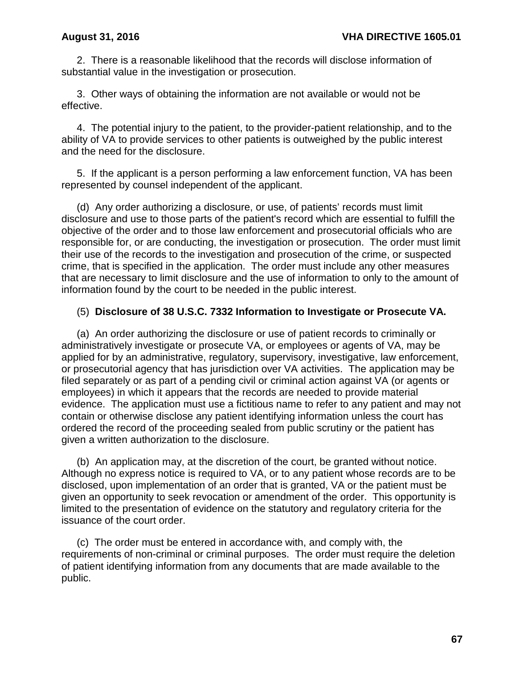2. There is a reasonable likelihood that the records will disclose information of substantial value in the investigation or prosecution.

3. Other ways of obtaining the information are not available or would not be effective.

4. The potential injury to the patient, to the provider-patient relationship, and to the ability of VA to provide services to other patients is outweighed by the public interest and the need for the disclosure.

5. If the applicant is a person performing a law enforcement function, VA has been represented by counsel independent of the applicant.

(d) Any order authorizing a disclosure, or use, of patients' records must limit disclosure and use to those parts of the patient's record which are essential to fulfill the objective of the order and to those law enforcement and prosecutorial officials who are responsible for, or are conducting, the investigation or prosecution. The order must limit their use of the records to the investigation and prosecution of the crime, or suspected crime, that is specified in the application. The order must include any other measures that are necessary to limit disclosure and the use of information to only to the amount of information found by the court to be needed in the public interest.

## (5) **Disclosure of 38 U.S.C. 7332 Information to Investigate or Prosecute VA.**

(a) An order authorizing the disclosure or use of patient records to criminally or administratively investigate or prosecute VA, or employees or agents of VA, may be applied for by an administrative, regulatory, supervisory, investigative, law enforcement, or prosecutorial agency that has jurisdiction over VA activities. The application may be filed separately or as part of a pending civil or criminal action against VA (or agents or employees) in which it appears that the records are needed to provide material evidence. The application must use a fictitious name to refer to any patient and may not contain or otherwise disclose any patient identifying information unless the court has ordered the record of the proceeding sealed from public scrutiny or the patient has given a written authorization to the disclosure.

(b) An application may, at the discretion of the court, be granted without notice. Although no express notice is required to VA, or to any patient whose records are to be disclosed, upon implementation of an order that is granted, VA or the patient must be given an opportunity to seek revocation or amendment of the order. This opportunity is limited to the presentation of evidence on the statutory and regulatory criteria for the issuance of the court order.

(c) The order must be entered in accordance with, and comply with, the requirements of non-criminal or criminal purposes. The order must require the deletion of patient identifying information from any documents that are made available to the public.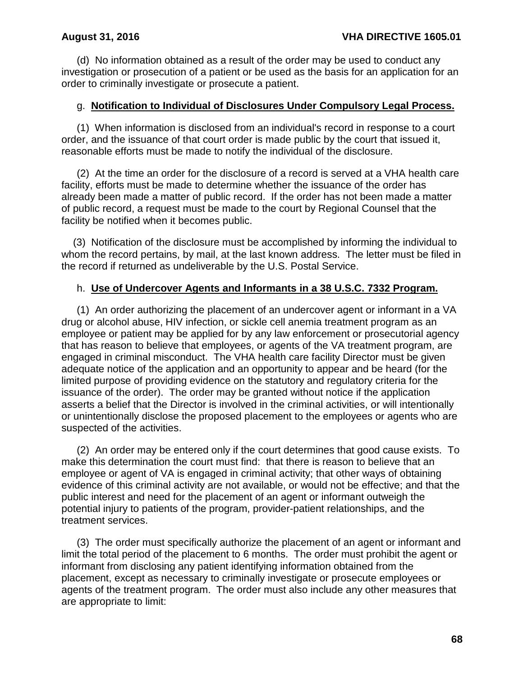(d) No information obtained as a result of the order may be used to conduct any investigation or prosecution of a patient or be used as the basis for an application for an order to criminally investigate or prosecute a patient.

### g. **Notification to Individual of Disclosures Under Compulsory Legal Process.**

(1) When information is disclosed from an individual's record in response to a court order, and the issuance of that court order is made public by the court that issued it, reasonable efforts must be made to notify the individual of the disclosure.

(2) At the time an order for the disclosure of a record is served at a VHA health care facility, efforts must be made to determine whether the issuance of the order has already been made a matter of public record. If the order has not been made a matter of public record, a request must be made to the court by Regional Counsel that the facility be notified when it becomes public.

(3) Notification of the disclosure must be accomplished by informing the individual to whom the record pertains, by mail, at the last known address. The letter must be filed in the record if returned as undeliverable by the U.S. Postal Service.

## h. **Use of Undercover Agents and Informants in a 38 U.S.C. 7332 Program.**

(1) An order authorizing the placement of an undercover agent or informant in a VA drug or alcohol abuse, HIV infection, or sickle cell anemia treatment program as an employee or patient may be applied for by any law enforcement or prosecutorial agency that has reason to believe that employees, or agents of the VA treatment program, are engaged in criminal misconduct. The VHA health care facility Director must be given adequate notice of the application and an opportunity to appear and be heard (for the limited purpose of providing evidence on the statutory and regulatory criteria for the issuance of the order). The order may be granted without notice if the application asserts a belief that the Director is involved in the criminal activities, or will intentionally or unintentionally disclose the proposed placement to the employees or agents who are suspected of the activities.

(2) An order may be entered only if the court determines that good cause exists. To make this determination the court must find: that there is reason to believe that an employee or agent of VA is engaged in criminal activity; that other ways of obtaining evidence of this criminal activity are not available, or would not be effective; and that the public interest and need for the placement of an agent or informant outweigh the potential injury to patients of the program, provider-patient relationships, and the treatment services.

(3) The order must specifically authorize the placement of an agent or informant and limit the total period of the placement to 6 months. The order must prohibit the agent or informant from disclosing any patient identifying information obtained from the placement, except as necessary to criminally investigate or prosecute employees or agents of the treatment program. The order must also include any other measures that are appropriate to limit: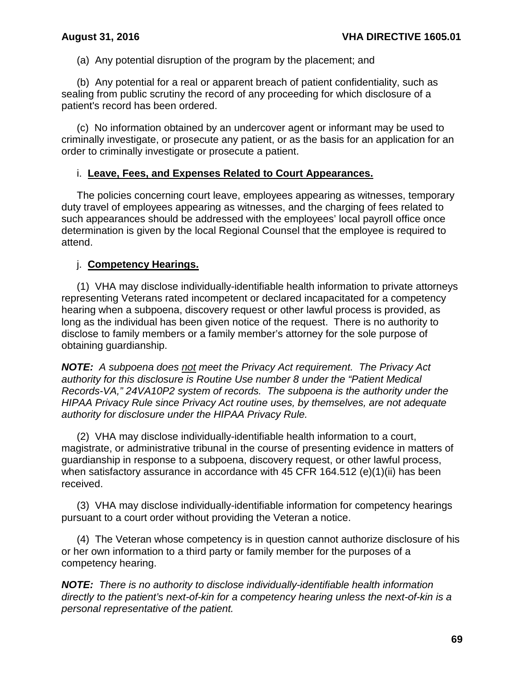(a) Any potential disruption of the program by the placement; and

(b) Any potential for a real or apparent breach of patient confidentiality, such as sealing from public scrutiny the record of any proceeding for which disclosure of a patient's record has been ordered.

(c) No information obtained by an undercover agent or informant may be used to criminally investigate, or prosecute any patient, or as the basis for an application for an order to criminally investigate or prosecute a patient.

## i. **Leave, Fees, and Expenses Related to Court Appearances.**

The policies concerning court leave, employees appearing as witnesses, temporary duty travel of employees appearing as witnesses, and the charging of fees related to such appearances should be addressed with the employees' local payroll office once determination is given by the local Regional Counsel that the employee is required to attend.

## j. **Competency Hearings.**

(1) VHA may disclose individually-identifiable health information to private attorneys representing Veterans rated incompetent or declared incapacitated for a competency hearing when a subpoena, discovery request or other lawful process is provided, as long as the individual has been given notice of the request. There is no authority to disclose to family members or a family member's attorney for the sole purpose of obtaining guardianship.

*NOTE: A subpoena does not meet the Privacy Act requirement. The Privacy Act authority for this disclosure is Routine Use number 8 under the "Patient Medical Records-VA," 24VA10P2 system of records. The subpoena is the authority under the HIPAA Privacy Rule since Privacy Act routine uses, by themselves, are not adequate authority for disclosure under the HIPAA Privacy Rule.*

(2) VHA may disclose individually-identifiable health information to a court, magistrate, or administrative tribunal in the course of presenting evidence in matters of guardianship in response to a subpoena, discovery request, or other lawful process, when satisfactory assurance in accordance with 45 CFR 164.512 (e)(1)(ii) has been received.

(3) VHA may disclose individually-identifiable information for competency hearings pursuant to a court order without providing the Veteran a notice.

(4) The Veteran whose competency is in question cannot authorize disclosure of his or her own information to a third party or family member for the purposes of a competency hearing.

*NOTE: There is no authority to disclose individually-identifiable health information directly to the patient's next-of-kin for a competency hearing unless the next-of-kin is a personal representative of the patient.*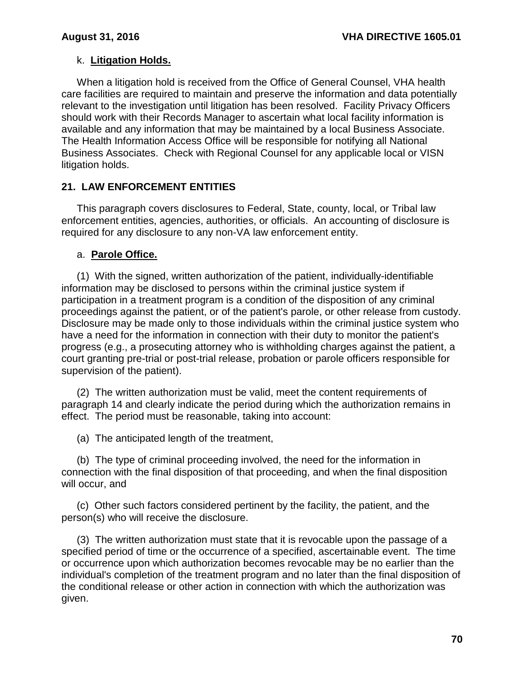# k. **Litigation Holds.**

When a litigation hold is received from the Office of General Counsel, VHA health care facilities are required to maintain and preserve the information and data potentially relevant to the investigation until litigation has been resolved. Facility Privacy Officers should work with their Records Manager to ascertain what local facility information is available and any information that may be maintained by a local Business Associate. The Health Information Access Office will be responsible for notifying all National Business Associates. Check with Regional Counsel for any applicable local or VISN litigation holds.

## **21. LAW ENFORCEMENT ENTITIES**

This paragraph covers disclosures to Federal, State, county, local, or Tribal law enforcement entities, agencies, authorities, or officials. An accounting of disclosure is required for any disclosure to any non-VA law enforcement entity.

## a. **Parole Office.**

(1) With the signed, written authorization of the patient, individually-identifiable information may be disclosed to persons within the criminal justice system if participation in a treatment program is a condition of the disposition of any criminal proceedings against the patient, or of the patient's parole, or other release from custody. Disclosure may be made only to those individuals within the criminal justice system who have a need for the information in connection with their duty to monitor the patient's progress (e.g., a prosecuting attorney who is withholding charges against the patient, a court granting pre-trial or post-trial release, probation or parole officers responsible for supervision of the patient).

(2) The written authorization must be valid, meet the content requirements of paragraph 14 and clearly indicate the period during which the authorization remains in effect. The period must be reasonable, taking into account:

(a) The anticipated length of the treatment,

(b) The type of criminal proceeding involved, the need for the information in connection with the final disposition of that proceeding, and when the final disposition will occur, and

(c) Other such factors considered pertinent by the facility, the patient, and the person(s) who will receive the disclosure.

(3) The written authorization must state that it is revocable upon the passage of a specified period of time or the occurrence of a specified, ascertainable event. The time or occurrence upon which authorization becomes revocable may be no earlier than the individual's completion of the treatment program and no later than the final disposition of the conditional release or other action in connection with which the authorization was given.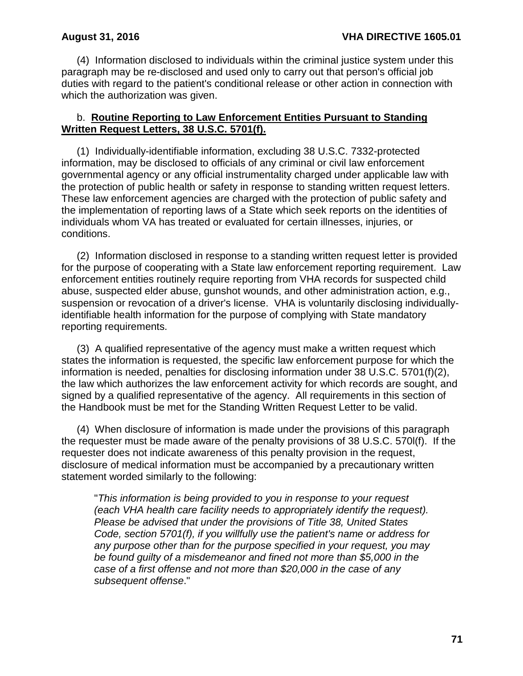(4) Information disclosed to individuals within the criminal justice system under this paragraph may be re-disclosed and used only to carry out that person's official job duties with regard to the patient's conditional release or other action in connection with which the authorization was given.

### b. **Routine Reporting to Law Enforcement Entities Pursuant to Standing Written Request Letters, 38 U.S.C. 5701(f).**

(1) Individually-identifiable information, excluding 38 U.S.C. 7332-protected information, may be disclosed to officials of any criminal or civil law enforcement governmental agency or any official instrumentality charged under applicable law with the protection of public health or safety in response to standing written request letters. These law enforcement agencies are charged with the protection of public safety and the implementation of reporting laws of a State which seek reports on the identities of individuals whom VA has treated or evaluated for certain illnesses, injuries, or conditions.

(2) Information disclosed in response to a standing written request letter is provided for the purpose of cooperating with a State law enforcement reporting requirement. Law enforcement entities routinely require reporting from VHA records for suspected child abuse, suspected elder abuse, gunshot wounds, and other administration action, e.g., suspension or revocation of a driver's license. VHA is voluntarily disclosing individuallyidentifiable health information for the purpose of complying with State mandatory reporting requirements.

(3) A qualified representative of the agency must make a written request which states the information is requested, the specific law enforcement purpose for which the information is needed, penalties for disclosing information under 38 U.S.C. 5701(f)(2), the law which authorizes the law enforcement activity for which records are sought, and signed by a qualified representative of the agency. All requirements in this section of the Handbook must be met for the Standing Written Request Letter to be valid.

(4) When disclosure of information is made under the provisions of this paragraph the requester must be made aware of the penalty provisions of 38 U.S.C. 570l(f). If the requester does not indicate awareness of this penalty provision in the request, disclosure of medical information must be accompanied by a precautionary written statement worded similarly to the following:

"*This information is being provided to you in response to your request (each VHA health care facility needs to appropriately identify the request). Please be advised that under the provisions of Title 38, United States Code, section 5701(f), if you willfully use the patient's name or address for any purpose other than for the purpose specified in your request, you may be found guilty of a misdemeanor and fined not more than \$5,000 in the case of a first offense and not more than \$20,000 in the case of any subsequent offense*."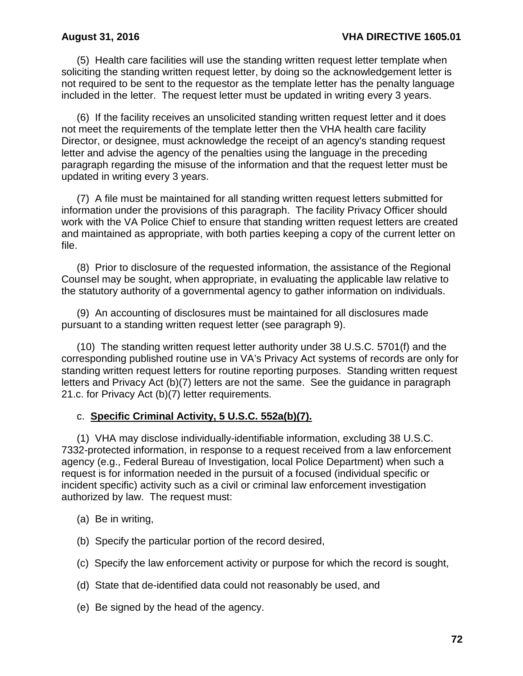(5) Health care facilities will use the standing written request letter template when soliciting the standing written request letter, by doing so the acknowledgement letter is not required to be sent to the requestor as the template letter has the penalty language included in the letter. The request letter must be updated in writing every 3 years.

 (6) If the facility receives an unsolicited standing written request letter and it does not meet the requirements of the template letter then the VHA health care facility Director, or designee, must acknowledge the receipt of an agency's standing request letter and advise the agency of the penalties using the language in the preceding paragraph regarding the misuse of the information and that the request letter must be updated in writing every 3 years.

 (7) A file must be maintained for all standing written request letters submitted for information under the provisions of this paragraph. The facility Privacy Officer should work with the VA Police Chief to ensure that standing written request letters are created and maintained as appropriate, with both parties keeping a copy of the current letter on file.

 (8) Prior to disclosure of the requested information, the assistance of the Regional Counsel may be sought, when appropriate, in evaluating the applicable law relative to the statutory authority of a governmental agency to gather information on individuals.

 (9) An accounting of disclosures must be maintained for all disclosures made pursuant to a standing written request letter (see paragraph 9).

 (10) The standing written request letter authority under 38 U.S.C. 5701(f) and the corresponding published routine use in VA's Privacy Act systems of records are only for standing written request letters for routine reporting purposes. Standing written request letters and Privacy Act (b)(7) letters are not the same. See the guidance in paragraph 21.c. for Privacy Act (b)(7) letter requirements.

### c. **Specific Criminal Activity, 5 U.S.C. 552a(b)(7).**

(1) VHA may disclose individually-identifiable information, excluding 38 U.S.C. 7332-protected information, in response to a request received from a law enforcement agency (e.g., Federal Bureau of Investigation, local Police Department) when such a request is for information needed in the pursuit of a focused (individual specific or incident specific) activity such as a civil or criminal law enforcement investigation authorized by law. The request must:

- (a) Be in writing,
- (b) Specify the particular portion of the record desired,
- (c) Specify the law enforcement activity or purpose for which the record is sought,
- (d) State that de-identified data could not reasonably be used, and
- (e) Be signed by the head of the agency.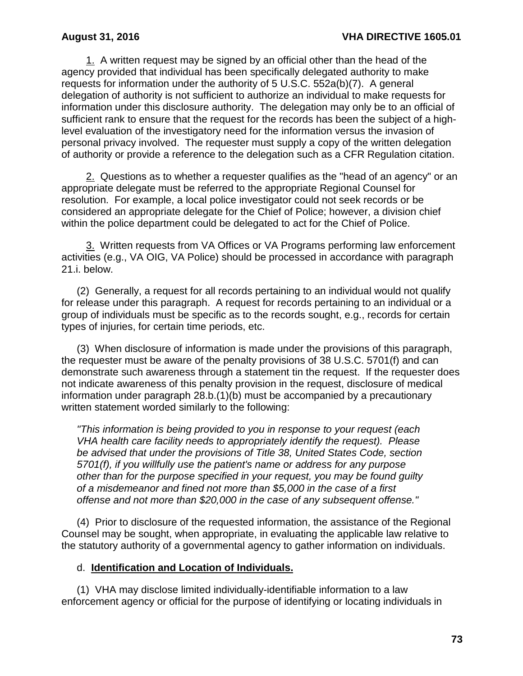1. A written request may be signed by an official other than the head of the agency provided that individual has been specifically delegated authority to make requests for information under the authority of 5 U.S.C. 552a(b)(7). A general delegation of authority is not sufficient to authorize an individual to make requests for information under this disclosure authority. The delegation may only be to an official of sufficient rank to ensure that the request for the records has been the subject of a highlevel evaluation of the investigatory need for the information versus the invasion of personal privacy involved. The requester must supply a copy of the written delegation of authority or provide a reference to the delegation such as a CFR Regulation citation.

2. Questions as to whether a requester qualifies as the "head of an agency" or an appropriate delegate must be referred to the appropriate Regional Counsel for resolution. For example, a local police investigator could not seek records or be considered an appropriate delegate for the Chief of Police; however, a division chief within the police department could be delegated to act for the Chief of Police.

3. Written requests from VA Offices or VA Programs performing law enforcement activities (e.g., VA OIG, VA Police) should be processed in accordance with paragraph 21.i. below.

(2) Generally, a request for all records pertaining to an individual would not qualify for release under this paragraph. A request for records pertaining to an individual or a group of individuals must be specific as to the records sought, e.g., records for certain types of injuries, for certain time periods, etc.

(3) When disclosure of information is made under the provisions of this paragraph, the requester must be aware of the penalty provisions of 38 U.S.C. 5701(f) and can demonstrate such awareness through a statement tin the request. If the requester does not indicate awareness of this penalty provision in the request, disclosure of medical information under paragraph 28.b.(1)(b) must be accompanied by a precautionary written statement worded similarly to the following:

*"This information is being provided to you in response to your request (each VHA health care facility needs to appropriately identify the request). Please be advised that under the provisions of Title 38, United States Code, section 5701(f), if you willfully use the patient's name or address for any purpose other than for the purpose specified in your request, you may be found guilty of a misdemeanor and fined not more than \$5,000 in the case of a first offense and not more than \$20,000 in the case of any subsequent offense."*

(4) Prior to disclosure of the requested information, the assistance of the Regional Counsel may be sought, when appropriate, in evaluating the applicable law relative to the statutory authority of a governmental agency to gather information on individuals.

### d. **Identification and Location of Individuals.**

(1) VHA may disclose limited individually-identifiable information to a law enforcement agency or official for the purpose of identifying or locating individuals in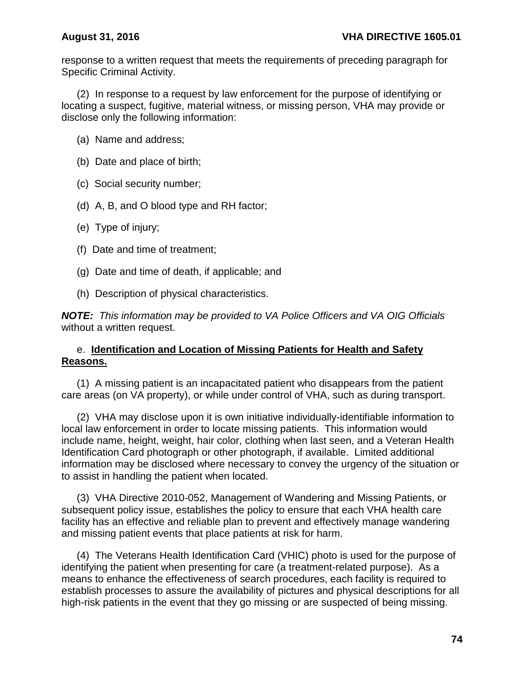response to a written request that meets the requirements of preceding paragraph for Specific Criminal Activity.

(2) In response to a request by law enforcement for the purpose of identifying or locating a suspect, fugitive, material witness, or missing person, VHA may provide or disclose only the following information:

- (a) Name and address;
- (b) Date and place of birth;
- (c) Social security number;
- (d) A, B, and O blood type and RH factor;
- (e) Type of injury;
- (f) Date and time of treatment;
- (g) Date and time of death, if applicable; and
- (h) Description of physical characteristics.

*NOTE: This information may be provided to VA Police Officers and VA OIG Officials*  without a written request.

### e. **Identification and Location of Missing Patients for Health and Safety Reasons.**

(1) A missing patient is an incapacitated patient who disappears from the patient care areas (on VA property), or while under control of VHA, such as during transport.

(2) VHA may disclose upon it is own initiative individually-identifiable information to local law enforcement in order to locate missing patients. This information would include name, height, weight, hair color, clothing when last seen, and a Veteran Health Identification Card photograph or other photograph, if available. Limited additional information may be disclosed where necessary to convey the urgency of the situation or to assist in handling the patient when located.

(3) VHA Directive 2010-052, Management of Wandering and Missing Patients, or subsequent policy issue, establishes the policy to ensure that each VHA health care facility has an effective and reliable plan to prevent and effectively manage wandering and missing patient events that place patients at risk for harm.

(4) The Veterans Health Identification Card (VHIC) photo is used for the purpose of identifying the patient when presenting for care (a treatment-related purpose). As a means to enhance the effectiveness of search procedures, each facility is required to establish processes to assure the availability of pictures and physical descriptions for all high-risk patients in the event that they go missing or are suspected of being missing.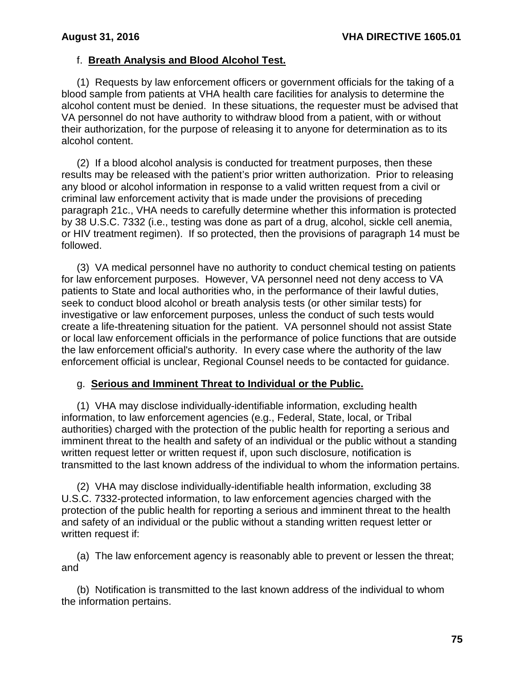## f. **Breath Analysis and Blood Alcohol Test.**

(1) Requests by law enforcement officers or government officials for the taking of a blood sample from patients at VHA health care facilities for analysis to determine the alcohol content must be denied. In these situations, the requester must be advised that VA personnel do not have authority to withdraw blood from a patient, with or without their authorization, for the purpose of releasing it to anyone for determination as to its alcohol content.

(2) If a blood alcohol analysis is conducted for treatment purposes, then these results may be released with the patient's prior written authorization. Prior to releasing any blood or alcohol information in response to a valid written request from a civil or criminal law enforcement activity that is made under the provisions of preceding paragraph 21c., VHA needs to carefully determine whether this information is protected by 38 U.S.C. 7332 (i.e., testing was done as part of a drug, alcohol, sickle cell anemia, or HIV treatment regimen). If so protected, then the provisions of paragraph 14 must be followed.

(3) VA medical personnel have no authority to conduct chemical testing on patients for law enforcement purposes. However, VA personnel need not deny access to VA patients to State and local authorities who, in the performance of their lawful duties, seek to conduct blood alcohol or breath analysis tests (or other similar tests) for investigative or law enforcement purposes, unless the conduct of such tests would create a life-threatening situation for the patient. VA personnel should not assist State or local law enforcement officials in the performance of police functions that are outside the law enforcement official's authority. In every case where the authority of the law enforcement official is unclear, Regional Counsel needs to be contacted for guidance.

### g. **Serious and Imminent Threat to Individual or the Public.**

(1) VHA may disclose individually-identifiable information, excluding health information, to law enforcement agencies (e.g., Federal, State, local, or Tribal authorities) charged with the protection of the public health for reporting a serious and imminent threat to the health and safety of an individual or the public without a standing written request letter or written request if, upon such disclosure, notification is transmitted to the last known address of the individual to whom the information pertains.

(2) VHA may disclose individually-identifiable health information, excluding 38 U.S.C. 7332-protected information, to law enforcement agencies charged with the protection of the public health for reporting a serious and imminent threat to the health and safety of an individual or the public without a standing written request letter or written request if:

(a) The law enforcement agency is reasonably able to prevent or lessen the threat; and

(b) Notification is transmitted to the last known address of the individual to whom the information pertains.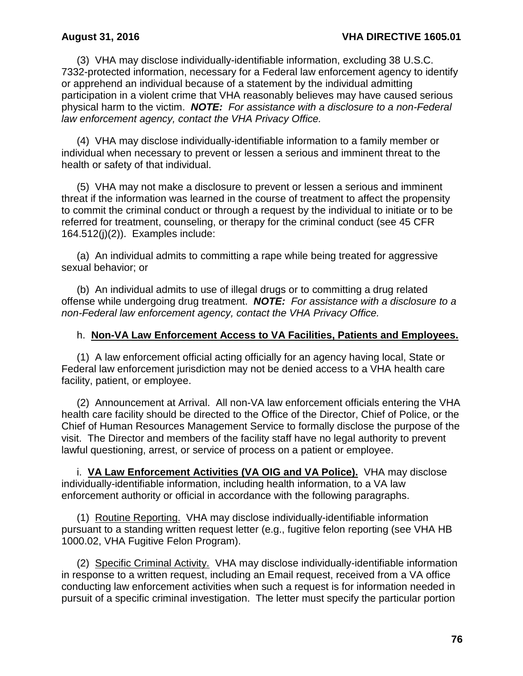(3) VHA may disclose individually-identifiable information, excluding 38 U.S.C. 7332-protected information, necessary for a Federal law enforcement agency to identify or apprehend an individual because of a statement by the individual admitting participation in a violent crime that VHA reasonably believes may have caused serious physical harm to the victim. *NOTE: For assistance with a disclosure to a non-Federal law enforcement agency, contact the VHA Privacy Office.*

(4) VHA may disclose individually-identifiable information to a family member or individual when necessary to prevent or lessen a serious and imminent threat to the health or safety of that individual.

(5) VHA may not make a disclosure to prevent or lessen a serious and imminent threat if the information was learned in the course of treatment to affect the propensity to commit the criminal conduct or through a request by the individual to initiate or to be referred for treatment, counseling, or therapy for the criminal conduct (see 45 CFR 164.512(j)(2)). Examples include:

(a) An individual admits to committing a rape while being treated for aggressive sexual behavior; or

(b) An individual admits to use of illegal drugs or to committing a drug related offense while undergoing drug treatment. *NOTE: For assistance with a disclosure to a non-Federal law enforcement agency, contact the VHA Privacy Office.*

### h. **Non-VA Law Enforcement Access to VA Facilities, Patients and Employees.**

(1) A law enforcement official acting officially for an agency having local, State or Federal law enforcement jurisdiction may not be denied access to a VHA health care facility, patient, or employee.

(2) Announcement at Arrival. All non-VA law enforcement officials entering the VHA health care facility should be directed to the Office of the Director, Chief of Police, or the Chief of Human Resources Management Service to formally disclose the purpose of the visit. The Director and members of the facility staff have no legal authority to prevent lawful questioning, arrest, or service of process on a patient or employee.

 i. **VA Law Enforcement Activities (VA OIG and VA Police).** VHA may disclose individually-identifiable information, including health information, to a VA law enforcement authority or official in accordance with the following paragraphs.

 (1) Routine Reporting. VHA may disclose individually-identifiable information pursuant to a standing written request letter (e.g., fugitive felon reporting (see VHA HB 1000.02, VHA Fugitive Felon Program).

(2) Specific Criminal Activity. VHA may disclose individually-identifiable information in response to a written request, including an Email request, received from a VA office conducting law enforcement activities when such a request is for information needed in pursuit of a specific criminal investigation. The letter must specify the particular portion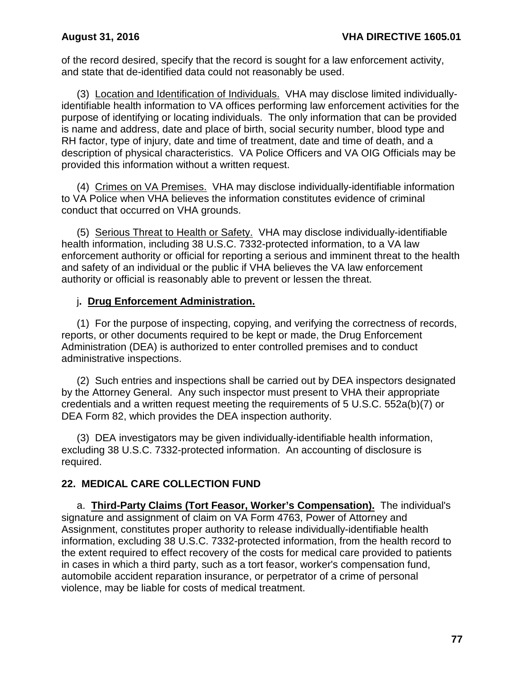of the record desired, specify that the record is sought for a law enforcement activity, and state that de-identified data could not reasonably be used.

(3) Location and Identification of Individuals. VHA may disclose limited individuallyidentifiable health information to VA offices performing law enforcement activities for the purpose of identifying or locating individuals. The only information that can be provided is name and address, date and place of birth, social security number, blood type and RH factor, type of injury, date and time of treatment, date and time of death, and a description of physical characteristics. VA Police Officers and VA OIG Officials may be provided this information without a written request.

 (4) Crimes on VA Premises. VHA may disclose individually-identifiable information to VA Police when VHA believes the information constitutes evidence of criminal conduct that occurred on VHA grounds.

 (5) Serious Threat to Health or Safety. VHA may disclose individually-identifiable health information, including 38 U.S.C. 7332-protected information, to a VA law enforcement authority or official for reporting a serious and imminent threat to the health and safety of an individual or the public if VHA believes the VA law enforcement authority or official is reasonably able to prevent or lessen the threat.

## j**. Drug Enforcement Administration.**

(1) For the purpose of inspecting, copying, and verifying the correctness of records, reports, or other documents required to be kept or made, the Drug Enforcement Administration (DEA) is authorized to enter controlled premises and to conduct administrative inspections.

(2) Such entries and inspections shall be carried out by DEA inspectors designated by the Attorney General. Any such inspector must present to VHA their appropriate credentials and a written request meeting the requirements of 5 U.S.C. 552a(b)(7) or DEA Form 82, which provides the DEA inspection authority.

(3) DEA investigators may be given individually-identifiable health information, excluding 38 U.S.C. 7332-protected information. An accounting of disclosure is required.

## **22. MEDICAL CARE COLLECTION FUND**

a. **Third-Party Claims (Tort Feasor, Worker's Compensation).** The individual's signature and assignment of claim on VA Form 4763, Power of Attorney and Assignment, constitutes proper authority to release individually-identifiable health information, excluding 38 U.S.C. 7332-protected information, from the health record to the extent required to effect recovery of the costs for medical care provided to patients in cases in which a third party, such as a tort feasor, worker's compensation fund, automobile accident reparation insurance, or perpetrator of a crime of personal violence, may be liable for costs of medical treatment.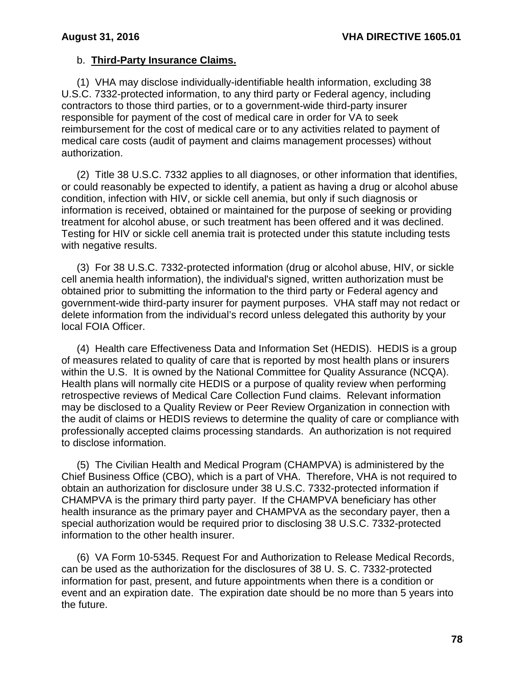## b. **Third-Party Insurance Claims.**

(1) VHA may disclose individually-identifiable health information, excluding 38 U.S.C. 7332-protected information, to any third party or Federal agency, including contractors to those third parties, or to a government-wide third-party insurer responsible for payment of the cost of medical care in order for VA to seek reimbursement for the cost of medical care or to any activities related to payment of medical care costs (audit of payment and claims management processes) without authorization.

(2) Title 38 U.S.C. 7332 applies to all diagnoses, or other information that identifies, or could reasonably be expected to identify, a patient as having a drug or alcohol abuse condition, infection with HIV, or sickle cell anemia, but only if such diagnosis or information is received, obtained or maintained for the purpose of seeking or providing treatment for alcohol abuse, or such treatment has been offered and it was declined. Testing for HIV or sickle cell anemia trait is protected under this statute including tests with negative results.

 (3) For 38 U.S.C. 7332-protected information (drug or alcohol abuse, HIV, or sickle cell anemia health information), the individual's signed, written authorization must be obtained prior to submitting the information to the third party or Federal agency and government-wide third-party insurer for payment purposes. VHA staff may not redact or delete information from the individual's record unless delegated this authority by your local FOIA Officer.

(4) Health care Effectiveness Data and Information Set (HEDIS). HEDIS is a group of measures related to quality of care that is reported by most health plans or insurers within the U.S. It is owned by the National Committee for Quality Assurance (NCQA). Health plans will normally cite HEDIS or a purpose of quality review when performing retrospective reviews of Medical Care Collection Fund claims. Relevant information may be disclosed to a Quality Review or Peer Review Organization in connection with the audit of claims or HEDIS reviews to determine the quality of care or compliance with professionally accepted claims processing standards. An authorization is not required to disclose information.

 (5) The Civilian Health and Medical Program (CHAMPVA) is administered by the Chief Business Office (CBO), which is a part of VHA. Therefore, VHA is not required to obtain an authorization for disclosure under 38 U.S.C. 7332-protected information if CHAMPVA is the primary third party payer. If the CHAMPVA beneficiary has other health insurance as the primary payer and CHAMPVA as the secondary payer, then a special authorization would be required prior to disclosing 38 U.S.C. 7332-protected information to the other health insurer.

 (6) VA Form 10-5345. Request For and Authorization to Release Medical Records, can be used as the authorization for the disclosures of 38 U. S. C. 7332-protected information for past, present, and future appointments when there is a condition or event and an expiration date. The expiration date should be no more than 5 years into the future.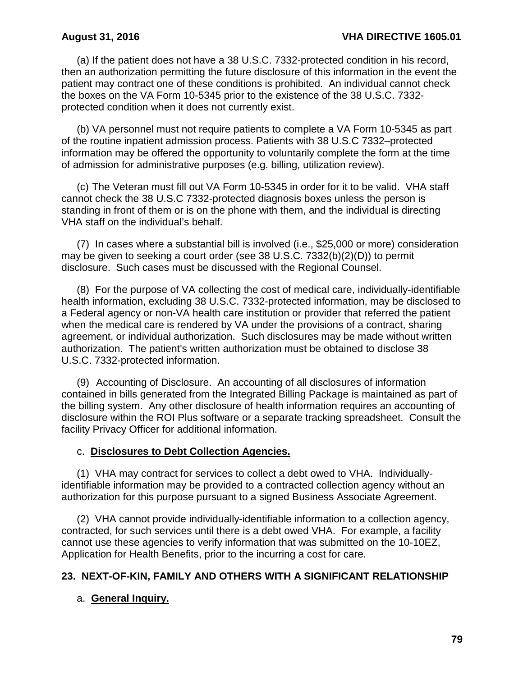(a) If the patient does not have a 38 U.S.C. 7332-protected condition in his record, then an authorization permitting the future disclosure of this information in the event the patient may contract one of these conditions is prohibited. An individual cannot check the boxes on the VA Form 10-5345 prior to the existence of the 38 U.S.C. 7332 protected condition when it does not currently exist.

(b) VA personnel must not require patients to complete a VA Form 10-5345 as part of the routine inpatient admission process. Patients with 38 U.S.C 7332–protected information may be offered the opportunity to voluntarily complete the form at the time of admission for administrative purposes (e.g. billing, utilization review).

(c) The Veteran must fill out VA Form 10-5345 in order for it to be valid. VHA staff cannot check the 38 U.S.C 7332-protected diagnosis boxes unless the person is standing in front of them or is on the phone with them, and the individual is directing VHA staff on the individual's behalf.

 (7) In cases where a substantial bill is involved (i.e., \$25,000 or more) consideration may be given to seeking a court order (see 38 U.S.C. 7332(b)(2)(D)) to permit disclosure. Such cases must be discussed with the Regional Counsel.

 (8) For the purpose of VA collecting the cost of medical care, individually-identifiable health information, excluding 38 U.S.C. 7332-protected information, may be disclosed to a Federal agency or non-VA health care institution or provider that referred the patient when the medical care is rendered by VA under the provisions of a contract, sharing agreement, or individual authorization. Such disclosures may be made without written authorization. The patient's written authorization must be obtained to disclose 38 U.S.C. 7332-protected information.

 (9) Accounting of Disclosure. An accounting of all disclosures of information contained in bills generated from the Integrated Billing Package is maintained as part of the billing system. Any other disclosure of health information requires an accounting of disclosure within the ROI Plus software or a separate tracking spreadsheet. Consult the facility Privacy Officer for additional information.

### c. **Disclosures to Debt Collection Agencies.**

(1) VHA may contract for services to collect a debt owed to VHA. Individuallyidentifiable information may be provided to a contracted collection agency without an authorization for this purpose pursuant to a signed Business Associate Agreement.

(2)VHA cannot provide individually-identifiable information to a collection agency, contracted, for such services until there is a debt owed VHA. For example, a facility cannot use these agencies to verify information that was submitted on the 10-10EZ, Application for Health Benefits, prior to the incurring a cost for care*.*

### **23. NEXT-OF-KIN, FAMILY AND OTHERS WITH A SIGNIFICANT RELATIONSHIP**

## a. **General Inquiry.**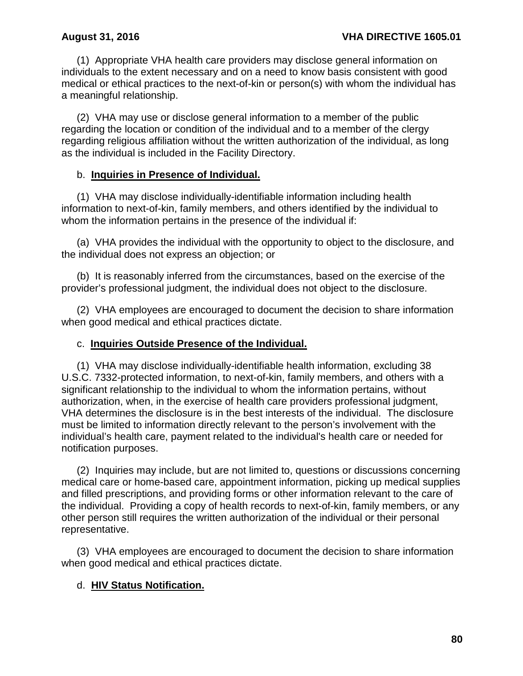(1) Appropriate VHA health care providers may disclose general information on individuals to the extent necessary and on a need to know basis consistent with good medical or ethical practices to the next-of-kin or person(s) with whom the individual has a meaningful relationship.

(2) VHA may use or disclose general information to a member of the public regarding the location or condition of the individual and to a member of the clergy regarding religious affiliation without the written authorization of the individual, as long as the individual is included in the Facility Directory.

### b. **Inquiries in Presence of Individual.**

(1) VHA may disclose individually-identifiable information including health information to next-of-kin, family members, and others identified by the individual to whom the information pertains in the presence of the individual if:

(a) VHA provides the individual with the opportunity to object to the disclosure, and the individual does not express an objection; or

(b) It is reasonably inferred from the circumstances, based on the exercise of the provider's professional judgment, the individual does not object to the disclosure.

(2) VHA employees are encouraged to document the decision to share information when good medical and ethical practices dictate.

### c. **Inquiries Outside Presence of the Individual.**

(1) VHA may disclose individually-identifiable health information, excluding 38 U.S.C. 7332-protected information, to next-of-kin, family members, and others with a significant relationship to the individual to whom the information pertains, without authorization, when, in the exercise of health care providers professional judgment, VHA determines the disclosure is in the best interests of the individual. The disclosure must be limited to information directly relevant to the person's involvement with the individual's health care, payment related to the individual's health care or needed for notification purposes.

(2) Inquiries may include, but are not limited to, questions or discussions concerning medical care or home-based care, appointment information, picking up medical supplies and filled prescriptions, and providing forms or other information relevant to the care of the individual. Providing a copy of health records to next-of-kin, family members, or any other person still requires the written authorization of the individual or their personal representative.

(3) VHA employees are encouraged to document the decision to share information when good medical and ethical practices dictate.

## d. **HIV Status Notification.**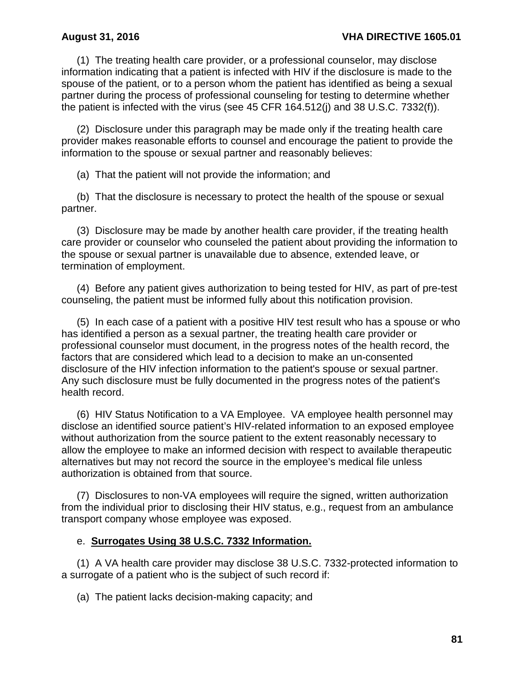(1) The treating health care provider, or a professional counselor, may disclose information indicating that a patient is infected with HIV if the disclosure is made to the spouse of the patient, or to a person whom the patient has identified as being a sexual partner during the process of professional counseling for testing to determine whether the patient is infected with the virus (see 45 CFR 164.512(j) and 38 U.S.C. 7332(f)).

(2) Disclosure under this paragraph may be made only if the treating health care provider makes reasonable efforts to counsel and encourage the patient to provide the information to the spouse or sexual partner and reasonably believes:

(a) That the patient will not provide the information; and

(b) That the disclosure is necessary to protect the health of the spouse or sexual partner.

(3) Disclosure may be made by another health care provider, if the treating health care provider or counselor who counseled the patient about providing the information to the spouse or sexual partner is unavailable due to absence, extended leave, or termination of employment.

(4) Before any patient gives authorization to being tested for HIV, as part of pre-test counseling, the patient must be informed fully about this notification provision.

(5) In each case of a patient with a positive HIV test result who has a spouse or who has identified a person as a sexual partner, the treating health care provider or professional counselor must document, in the progress notes of the health record, the factors that are considered which lead to a decision to make an un-consented disclosure of the HIV infection information to the patient's spouse or sexual partner. Any such disclosure must be fully documented in the progress notes of the patient's health record.

(6) HIV Status Notification to a VA Employee. VA employee health personnel may disclose an identified source patient's HIV-related information to an exposed employee without authorization from the source patient to the extent reasonably necessary to allow the employee to make an informed decision with respect to available therapeutic alternatives but may not record the source in the employee's medical file unless authorization is obtained from that source.

(7) Disclosures to non-VA employees will require the signed, written authorization from the individual prior to disclosing their HIV status, e.g., request from an ambulance transport company whose employee was exposed.

### e. **Surrogates Using 38 U.S.C. 7332 Information.**

(1) A VA health care provider may disclose 38 U.S.C. 7332-protected information to a surrogate of a patient who is the subject of such record if:

(a) The patient lacks decision-making capacity; and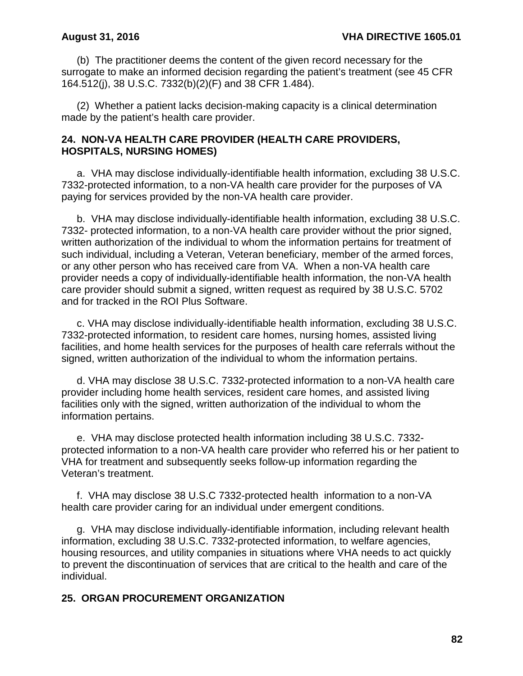(b) The practitioner deems the content of the given record necessary for the surrogate to make an informed decision regarding the patient's treatment (see 45 CFR 164.512(j), 38 U.S.C. 7332(b)(2)(F) and 38 CFR 1.484).

(2) Whether a patient lacks decision-making capacity is a clinical determination made by the patient's health care provider.

### **24. NON-VA HEALTH CARE PROVIDER (HEALTH CARE PROVIDERS, HOSPITALS, NURSING HOMES)**

a. VHA may disclose individually-identifiable health information, excluding 38 U.S.C. 7332-protected information, to a non-VA health care provider for the purposes of VA paying for services provided by the non-VA health care provider.

b. VHA may disclose individually-identifiable health information, excluding 38 U.S.C. 7332- protected information, to a non-VA health care provider without the prior signed, written authorization of the individual to whom the information pertains for treatment of such individual, including a Veteran, Veteran beneficiary, member of the armed forces, or any other person who has received care from VA. When a non-VA health care provider needs a copy of individually-identifiable health information, the non-VA health care provider should submit a signed, written request as required by 38 U.S.C. 5702 and for tracked in the ROI Plus Software.

c. VHA may disclose individually-identifiable health information, excluding 38 U.S.C. 7332-protected information, to resident care homes, nursing homes, assisted living facilities, and home health services for the purposes of health care referrals without the signed, written authorization of the individual to whom the information pertains.

d. VHA may disclose 38 U.S.C. 7332-protected information to a non-VA health care provider including home health services, resident care homes, and assisted living facilities only with the signed, written authorization of the individual to whom the information pertains.

e. VHA may disclose protected health information including 38 U.S.C. 7332 protected information to a non-VA health care provider who referred his or her patient to VHA for treatment and subsequently seeks follow-up information regarding the Veteran's treatment.

f. VHA may disclose 38 U.S.C 7332-protected health information to a non-VA health care provider caring for an individual under emergent conditions.

g. VHA may disclose individually-identifiable information, including relevant health information, excluding 38 U.S.C. 7332-protected information, to welfare agencies, housing resources, and utility companies in situations where VHA needs to act quickly to prevent the discontinuation of services that are critical to the health and care of the individual.

### **25. ORGAN PROCUREMENT ORGANIZATION**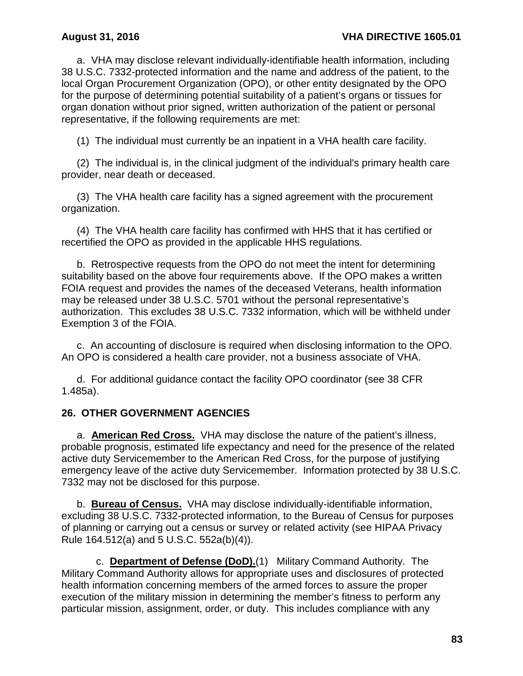a. VHA may disclose relevant individually-identifiable health information, including 38 U.S.C. 7332-protected information and the name and address of the patient, to the local Organ Procurement Organization (OPO), or other entity designated by the OPO for the purpose of determining potential suitability of a patient's organs or tissues for organ donation without prior signed, written authorization of the patient or personal representative, if the following requirements are met:

(1) The individual must currently be an inpatient in a VHA health care facility.

(2) The individual is, in the clinical judgment of the individual's primary health care provider, near death or deceased.

(3) The VHA health care facility has a signed agreement with the procurement organization.

(4) The VHA health care facility has confirmed with HHS that it has certified or recertified the OPO as provided in the applicable HHS regulations.

 b. Retrospective requests from the OPO do not meet the intent for determining suitability based on the above four requirements above. If the OPO makes a written FOIA request and provides the names of the deceased Veterans, health information may be released under 38 U.S.C. 5701 without the personal representative's authorization. This excludes 38 U.S.C. 7332 information, which will be withheld under Exemption 3 of the FOIA.

 c. An accounting of disclosure is required when disclosing information to the OPO. An OPO is considered a health care provider, not a business associate of VHA.

d. For additional guidance contact the facility OPO coordinator (see 38 CFR 1.485a).

### **26. OTHER GOVERNMENT AGENCIES**

a. **American Red Cross.** VHA may disclose the nature of the patient's illness, probable prognosis, estimated life expectancy and need for the presence of the related active duty Servicemember to the American Red Cross, for the purpose of justifying emergency leave of the active duty Servicemember. Information protected by 38 U.S.C. 7332 may not be disclosed for this purpose.

b. **Bureau of Census.** VHA may disclose individually-identifiable information, excluding 38 U.S.C. 7332-protected information, to the Bureau of Census for purposes of planning or carrying out a census or survey or related activity (see HIPAA Privacy Rule 164.512(a) and 5 U.S.C. 552a(b)(4)).

 c. **Department of Defense (DoD).**(1) Military Command Authority. The Military Command Authority allows for appropriate uses and disclosures of protected health information concerning members of the armed forces to assure the proper execution of the military mission in determining the member's fitness to perform any particular mission, assignment, order, or duty. This includes compliance with any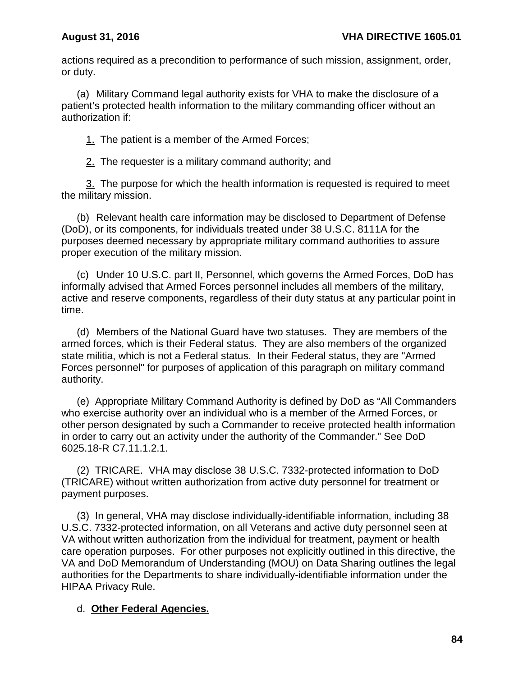actions required as a precondition to performance of such mission, assignment, order, or duty.

(a) Military Command legal authority exists for VHA to make the disclosure of a patient's protected health information to the military commanding officer without an authorization if:

1. The patient is a member of the Armed Forces;

2. The requester is a military command authority; and

3. The purpose for which the health information is requested is required to meet the military mission.

(b) Relevant health care information may be disclosed to Department of Defense (DoD), or its components, for individuals treated under 38 U.S.C. 8111A for the purposes deemed necessary by appropriate military command authorities to assure proper execution of the military mission.

(c) Under 10 U.S.C. part II, Personnel, which governs the Armed Forces, DoD has informally advised that Armed Forces personnel includes all members of the military, active and reserve components, regardless of their duty status at any particular point in time.

(d) Members of the National Guard have two statuses. They are members of the armed forces, which is their Federal status. They are also members of the organized state militia, which is not a Federal status. In their Federal status, they are "Armed Forces personnel" for purposes of application of this paragraph on military command authority.

(e) Appropriate Military Command Authority is defined by DoD as "All Commanders who exercise authority over an individual who is a member of the Armed Forces, or other person designated by such a Commander to receive protected health information in order to carry out an activity under the authority of the Commander." See DoD 6025.18-R C7.11.1.2.1.

(2) TRICARE. VHA may disclose 38 U.S.C. 7332-protected information to DoD (TRICARE) without written authorization from active duty personnel for treatment or payment purposes.

(3) In general, VHA may disclose individually-identifiable information, including 38 U.S.C. 7332-protected information, on all Veterans and active duty personnel seen at VA without written authorization from the individual for treatment, payment or health care operation purposes. For other purposes not explicitly outlined in this directive, the VA and DoD Memorandum of Understanding (MOU) on Data Sharing outlines the legal authorities for the Departments to share individually-identifiable information under the HIPAA Privacy Rule.

## d. **Other Federal Agencies.**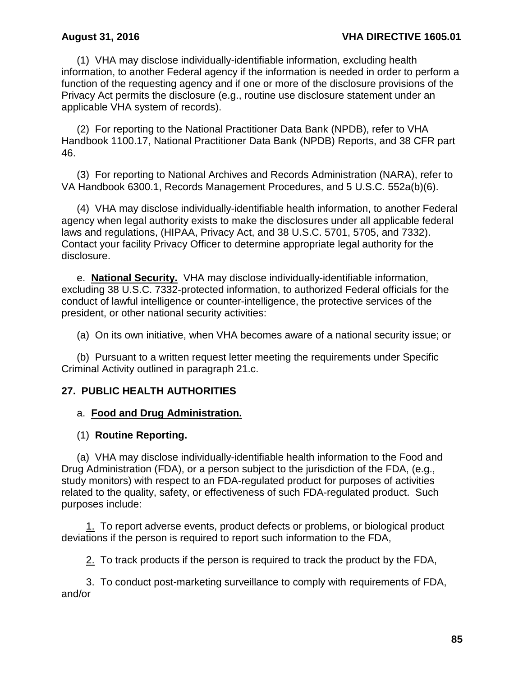(1) VHA may disclose individually-identifiable information, excluding health information, to another Federal agency if the information is needed in order to perform a function of the requesting agency and if one or more of the disclosure provisions of the Privacy Act permits the disclosure (e.g., routine use disclosure statement under an applicable VHA system of records).

 (2) For reporting to the National Practitioner Data Bank (NPDB), refer to VHA Handbook 1100.17, National Practitioner Data Bank (NPDB) Reports, and 38 CFR part 46.

 (3) For reporting to National Archives and Records Administration (NARA), refer to VA Handbook 6300.1, Records Management Procedures, and 5 U.S.C. 552a(b)(6).

 (4) VHA may disclose individually-identifiable health information, to another Federal agency when legal authority exists to make the disclosures under all applicable federal laws and regulations, (HIPAA, Privacy Act, and 38 U.S.C. 5701, 5705, and 7332). Contact your facility Privacy Officer to determine appropriate legal authority for the disclosure.

 e. **National Security.** VHA may disclose individually-identifiable information, excluding 38 U.S.C. 7332-protected information, to authorized Federal officials for the conduct of lawful intelligence or counter-intelligence, the protective services of the president, or other national security activities:

(a) On its own initiative, when VHA becomes aware of a national security issue; or

 (b) Pursuant to a written request letter meeting the requirements under Specific Criminal Activity outlined in paragraph 21.c.

## **27. PUBLIC HEALTH AUTHORITIES**

### a. **Food and Drug Administration.**

### (1) **Routine Reporting.**

(a) VHA may disclose individually-identifiable health information to the Food and Drug Administration (FDA), or a person subject to the jurisdiction of the FDA, (e.g., study monitors) with respect to an FDA-regulated product for purposes of activities related to the quality, safety, or effectiveness of such FDA-regulated product. Such purposes include:

1. To report adverse events, product defects or problems, or biological product deviations if the person is required to report such information to the FDA,

2. To track products if the person is required to track the product by the FDA,

3. To conduct post-marketing surveillance to comply with requirements of FDA, and/or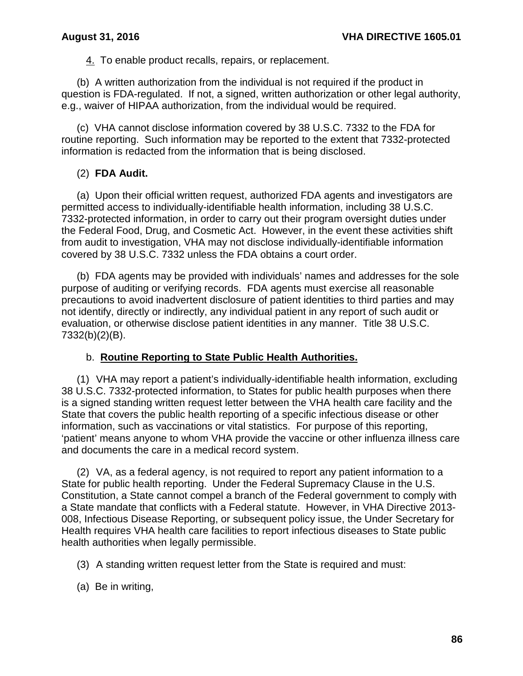4. To enable product recalls, repairs, or replacement.

(b) A written authorization from the individual is not required if the product in question is FDA-regulated. If not, a signed, written authorization or other legal authority, e.g., waiver of HIPAA authorization, from the individual would be required.

(c) VHA cannot disclose information covered by 38 U.S.C. 7332 to the FDA for routine reporting. Such information may be reported to the extent that 7332-protected information is redacted from the information that is being disclosed.

### (2) **FDA Audit.**

(a) Upon their official written request, authorized FDA agents and investigators are permitted access to individually-identifiable health information, including 38 U.S.C. 7332-protected information, in order to carry out their program oversight duties under the Federal Food, Drug, and Cosmetic Act. However, in the event these activities shift from audit to investigation, VHA may not disclose individually-identifiable information covered by 38 U.S.C. 7332 unless the FDA obtains a court order.

(b) FDA agents may be provided with individuals' names and addresses for the sole purpose of auditing or verifying records. FDA agents must exercise all reasonable precautions to avoid inadvertent disclosure of patient identities to third parties and may not identify, directly or indirectly, any individual patient in any report of such audit or evaluation, or otherwise disclose patient identities in any manner. Title 38 U.S.C. 7332(b)(2)(B).

### b. **Routine Reporting to State Public Health Authorities.**

(1) VHA may report a patient's individually-identifiable health information, excluding 38 U.S.C. 7332-protected information, to States for public health purposes when there is a signed standing written request letter between the VHA health care facility and the State that covers the public health reporting of a specific infectious disease or other information, such as vaccinations or vital statistics. For purpose of this reporting, 'patient' means anyone to whom VHA provide the vaccine or other influenza illness care and documents the care in a medical record system.

(2) VA, as a federal agency, is not required to report any patient information to a State for public health reporting. Under the Federal Supremacy Clause in the U.S. Constitution, a State cannot compel a branch of the Federal government to comply with a State mandate that conflicts with a Federal statute. However, in VHA Directive 2013- 008, Infectious Disease Reporting, or subsequent policy issue, the Under Secretary for Health requires VHA health care facilities to report infectious diseases to State public health authorities when legally permissible.

- (3) A standing written request letter from the State is required and must:
- (a) Be in writing,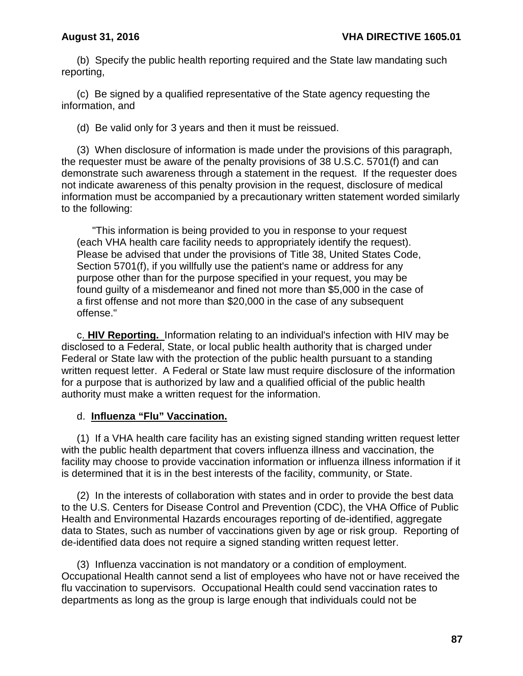(b) Specify the public health reporting required and the State law mandating such reporting,

(c) Be signed by a qualified representative of the State agency requesting the information, and

(d) Be valid only for 3 years and then it must be reissued.

(3) When disclosure of information is made under the provisions of this paragraph, the requester must be aware of the penalty provisions of 38 U.S.C. 5701(f) and can demonstrate such awareness through a statement in the request. If the requester does not indicate awareness of this penalty provision in the request, disclosure of medical information must be accompanied by a precautionary written statement worded similarly to the following:

"This information is being provided to you in response to your request (each VHA health care facility needs to appropriately identify the request). Please be advised that under the provisions of Title 38, United States Code, Section 5701(f), if you willfully use the patient's name or address for any purpose other than for the purpose specified in your request, you may be found guilty of a misdemeanor and fined not more than \$5,000 in the case of a first offense and not more than \$20,000 in the case of any subsequent offense."

 c. **HIV Reporting.** Information relating to an individual's infection with HIV may be disclosed to a Federal, State, or local public health authority that is charged under Federal or State law with the protection of the public health pursuant to a standing written request letter. A Federal or State law must require disclosure of the information for a purpose that is authorized by law and a qualified official of the public health authority must make a written request for the information.

### d. **Influenza "Flu" Vaccination.**

(1) If a VHA health care facility has an existing signed standing written request letter with the public health department that covers influenza illness and vaccination, the facility may choose to provide vaccination information or influenza illness information if it is determined that it is in the best interests of the facility, community, or State.

(2) In the interests of collaboration with states and in order to provide the best data to the U.S. Centers for Disease Control and Prevention (CDC), the VHA Office of Public Health and Environmental Hazards encourages reporting of de-identified, aggregate data to States, such as number of vaccinations given by age or risk group. Reporting of de-identified data does not require a signed standing written request letter.

(3) Influenza vaccination is not mandatory or a condition of employment. Occupational Health cannot send a list of employees who have not or have received the flu vaccination to supervisors. Occupational Health could send vaccination rates to departments as long as the group is large enough that individuals could not be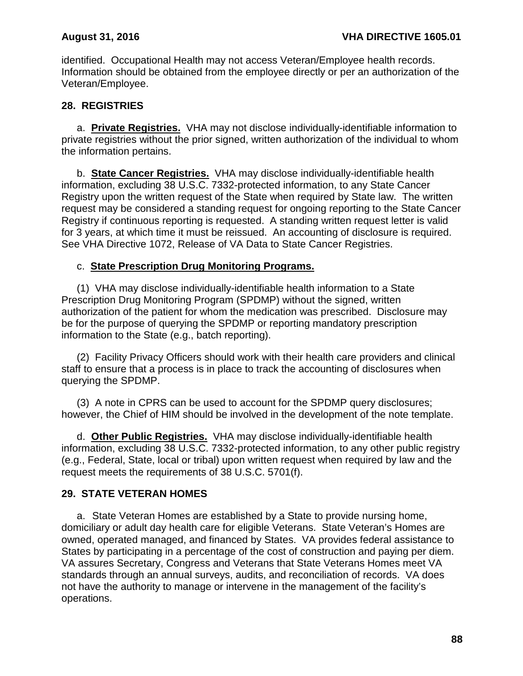identified. Occupational Health may not access Veteran/Employee health records. Information should be obtained from the employee directly or per an authorization of the Veteran/Employee.

### **28. REGISTRIES**

a. **Private Registries.** VHA may not disclose individually-identifiable information to private registries without the prior signed, written authorization of the individual to whom the information pertains.

 b. **State Cancer Registries.** VHA may disclose individually-identifiable health information, excluding 38 U.S.C. 7332-protected information, to any State Cancer Registry upon the written request of the State when required by State law. The written request may be considered a standing request for ongoing reporting to the State Cancer Registry if continuous reporting is requested. A standing written request letter is valid for 3 years, at which time it must be reissued. An accounting of disclosure is required. See VHA Directive 1072, Release of VA Data to State Cancer Registries.

### c. **State Prescription Drug Monitoring Programs.**

(1) VHA may disclose individually-identifiable health information to a State Prescription Drug Monitoring Program (SPDMP) without the signed, written authorization of the patient for whom the medication was prescribed. Disclosure may be for the purpose of querying the SPDMP or reporting mandatory prescription information to the State (e.g., batch reporting).

(2) Facility Privacy Officers should work with their health care providers and clinical staff to ensure that a process is in place to track the accounting of disclosures when querying the SPDMP.

(3) A note in CPRS can be used to account for the SPDMP query disclosures; however, the Chief of HIM should be involved in the development of the note template.

 d. **Other Public Registries.** VHA may disclose individually-identifiable health information, excluding 38 U.S.C. 7332-protected information, to any other public registry (e.g., Federal, State, local or tribal) upon written request when required by law and the request meets the requirements of 38 U.S.C. 5701(f).

## **29. STATE VETERAN HOMES**

a. State Veteran Homes are established by a State to provide nursing home, domiciliary or adult day health care for eligible Veterans. State Veteran's Homes are owned, operated managed, and financed by States. VA provides federal assistance to States by participating in a percentage of the cost of construction and paying per diem. VA assures Secretary, Congress and Veterans that State Veterans Homes meet VA standards through an annual surveys, audits, and reconciliation of records. VA does not have the authority to manage or intervene in the management of the facility's operations.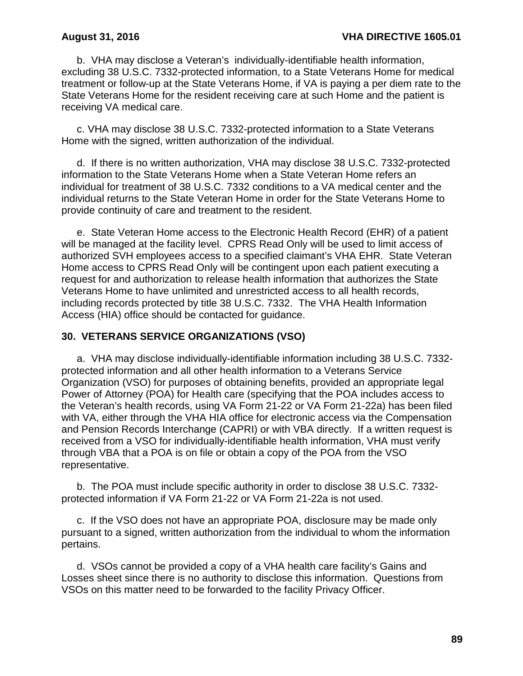b. VHA may disclose a Veteran's individually-identifiable health information, excluding 38 U.S.C. 7332-protected information, to a State Veterans Home for medical treatment or follow-up at the State Veterans Home, if VA is paying a per diem rate to the State Veterans Home for the resident receiving care at such Home and the patient is receiving VA medical care.

 c. VHA may disclose 38 U.S.C. 7332-protected information to a State Veterans Home with the signed, written authorization of the individual.

 d. If there is no written authorization, VHA may disclose 38 U.S.C. 7332-protected information to the State Veterans Home when a State Veteran Home refers an individual for treatment of 38 U.S.C. 7332 conditions to a VA medical center and the individual returns to the State Veteran Home in order for the State Veterans Home to provide continuity of care and treatment to the resident.

e. State Veteran Home access to the Electronic Health Record (EHR) of a patient will be managed at the facility level. CPRS Read Only will be used to limit access of authorized SVH employees access to a specified claimant's VHA EHR. State Veteran Home access to CPRS Read Only will be contingent upon each patient executing a request for and authorization to release health information that authorizes the State Veterans Home to have unlimited and unrestricted access to all health records, including records protected by title 38 U.S.C. 7332. The VHA Health Information Access (HIA) office should be contacted for guidance.

### **30. VETERANS SERVICE ORGANIZATIONS (VSO)**

a. VHA may disclose individually-identifiable information including 38 U.S.C. 7332 protected information and all other health information to a Veterans Service Organization (VSO) for purposes of obtaining benefits, provided an appropriate legal Power of Attorney (POA) for Health care (specifying that the POA includes access to the Veteran's health records, using VA Form 21-22 or VA Form 21-22a) has been filed with VA, either through the VHA HIA office for electronic access via the Compensation and Pension Records Interchange (CAPRI) or with VBA directly. If a written request is received from a VSO for individually-identifiable health information, VHA must verify through VBA that a POA is on file or obtain a copy of the POA from the VSO representative.

b. The POA must include specific authority in order to disclose 38 U.S.C. 7332 protected information if VA Form 21-22 or VA Form 21-22a is not used.

 c. If the VSO does not have an appropriate POA, disclosure may be made only pursuant to a signed, written authorization from the individual to whom the information pertains.

d. VSOs cannot be provided a copy of a VHA health care facility's Gains and Losses sheet since there is no authority to disclose this information. Questions from VSOs on this matter need to be forwarded to the facility Privacy Officer.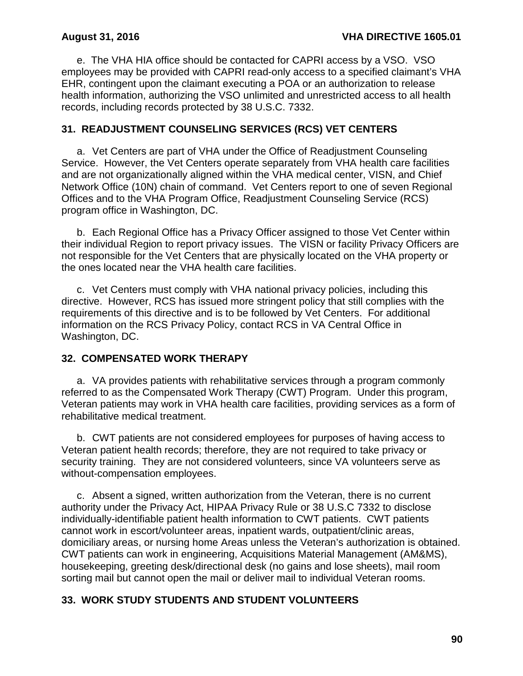e. The VHA HIA office should be contacted for CAPRI access by a VSO. VSO employees may be provided with CAPRI read-only access to a specified claimant's VHA EHR, contingent upon the claimant executing a POA or an authorization to release health information, authorizing the VSO unlimited and unrestricted access to all health records, including records protected by 38 U.S.C. 7332.

### **31. READJUSTMENT COUNSELING SERVICES (RCS) VET CENTERS**

a. Vet Centers are part of VHA under the Office of Readjustment Counseling Service. However, the Vet Centers operate separately from VHA health care facilities and are not organizationally aligned within the VHA medical center, VISN, and Chief Network Office (10N) chain of command. Vet Centers report to one of seven Regional Offices and to the VHA Program Office, Readjustment Counseling Service (RCS) program office in Washington, DC.

b. Each Regional Office has a Privacy Officer assigned to those Vet Center within their individual Region to report privacy issues. The VISN or facility Privacy Officers are not responsible for the Vet Centers that are physically located on the VHA property or the ones located near the VHA health care facilities.

c. Vet Centers must comply with VHA national privacy policies, including this directive. However, RCS has issued more stringent policy that still complies with the requirements of this directive and is to be followed by Vet Centers. For additional information on the RCS Privacy Policy, contact RCS in VA Central Office in Washington, DC.

## **32. COMPENSATED WORK THERAPY**

a. VA provides patients with rehabilitative services through a program commonly referred to as the Compensated Work Therapy (CWT) Program. Under this program, Veteran patients may work in VHA health care facilities, providing services as a form of rehabilitative medical treatment.

b. CWT patients are not considered employees for purposes of having access to Veteran patient health records; therefore, they are not required to take privacy or security training. They are not considered volunteers, since VA volunteers serve as without-compensation employees.

c. Absent a signed, written authorization from the Veteran, there is no current authority under the Privacy Act, HIPAA Privacy Rule or 38 U.S.C 7332 to disclose individually-identifiable patient health information to CWT patients. CWT patients cannot work in escort/volunteer areas, inpatient wards, outpatient/clinic areas, domiciliary areas, or nursing home Areas unless the Veteran's authorization is obtained. CWT patients can work in engineering, Acquisitions Material Management (AM&MS), housekeeping, greeting desk/directional desk (no gains and lose sheets), mail room sorting mail but cannot open the mail or deliver mail to individual Veteran rooms.

# **33. WORK STUDY STUDENTS AND STUDENT VOLUNTEERS**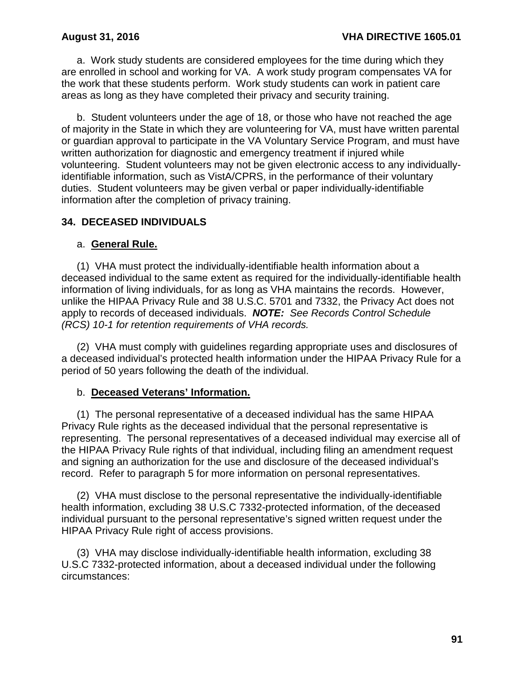a. Work study students are considered employees for the time during which they are enrolled in school and working for VA. A work study program compensates VA for the work that these students perform. Work study students can work in patient care areas as long as they have completed their privacy and security training.

b. Student volunteers under the age of 18, or those who have not reached the age of majority in the State in which they are volunteering for VA, must have written parental or guardian approval to participate in the VA Voluntary Service Program, and must have written authorization for diagnostic and emergency treatment if injured while volunteering. Student volunteers may not be given electronic access to any individuallyidentifiable information, such as VistA/CPRS, in the performance of their voluntary duties. Student volunteers may be given verbal or paper individually-identifiable information after the completion of privacy training.

# **34. DECEASED INDIVIDUALS**

## a. **General Rule.**

(1) VHA must protect the individually-identifiable health information about a deceased individual to the same extent as required for the individually-identifiable health information of living individuals, for as long as VHA maintains the records. However, unlike the HIPAA Privacy Rule and 38 U.S.C. 5701 and 7332, the Privacy Act does not apply to records of deceased individuals. *NOTE: See Records Control Schedule (RCS) 10-1 for retention requirements of VHA records.*

(2) VHA must comply with guidelines regarding appropriate uses and disclosures of a deceased individual's protected health information under the HIPAA Privacy Rule for a period of 50 years following the death of the individual.

### b. **Deceased Veterans' Information.**

(1) The personal representative of a deceased individual has the same HIPAA Privacy Rule rights as the deceased individual that the personal representative is representing. The personal representatives of a deceased individual may exercise all of the HIPAA Privacy Rule rights of that individual, including filing an amendment request and signing an authorization for the use and disclosure of the deceased individual's record. Refer to paragraph 5 for more information on personal representatives.

(2) VHA must disclose to the personal representative the individually-identifiable health information, excluding 38 U.S.C 7332-protected information, of the deceased individual pursuant to the personal representative's signed written request under the HIPAA Privacy Rule right of access provisions.

 (3) VHA may disclose individually-identifiable health information, excluding 38 U.S.C 7332-protected information, about a deceased individual under the following circumstances: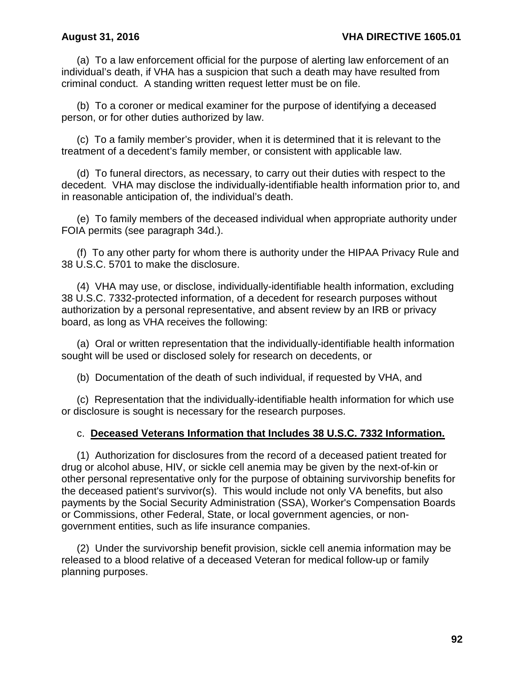(a) To a law enforcement official for the purpose of alerting law enforcement of an individual's death, if VHA has a suspicion that such a death may have resulted from criminal conduct. A standing written request letter must be on file.

(b) To a coroner or medical examiner for the purpose of identifying a deceased person, or for other duties authorized by law.

(c) To a family member's provider, when it is determined that it is relevant to the treatment of a decedent's family member, or consistent with applicable law.

(d) To funeral directors, as necessary, to carry out their duties with respect to the decedent. VHA may disclose the individually-identifiable health information prior to, and in reasonable anticipation of, the individual's death.

(e) To family members of the deceased individual when appropriate authority under FOIA permits (see paragraph 34d.).

(f) To any other party for whom there is authority under the HIPAA Privacy Rule and 38 U.S.C. 5701 to make the disclosure.

 (4) VHA may use, or disclose, individually-identifiable health information, excluding 38 U.S.C. 7332-protected information, of a decedent for research purposes without authorization by a personal representative, and absent review by an IRB or privacy board, as long as VHA receives the following:

(a) Oral or written representation that the individually-identifiable health information sought will be used or disclosed solely for research on decedents, or

(b) Documentation of the death of such individual, if requested by VHA, and

(c) Representation that the individually-identifiable health information for which use or disclosure is sought is necessary for the research purposes.

## c. **Deceased Veterans Information that Includes 38 U.S.C. 7332 Information.**

(1) Authorization for disclosures from the record of a deceased patient treated for drug or alcohol abuse, HIV, or sickle cell anemia may be given by the next-of-kin or other personal representative only for the purpose of obtaining survivorship benefits for the deceased patient's survivor(s). This would include not only VA benefits, but also payments by the Social Security Administration (SSA), Worker's Compensation Boards or Commissions, other Federal, State, or local government agencies, or nongovernment entities, such as life insurance companies.

(2) Under the survivorship benefit provision, sickle cell anemia information may be released to a blood relative of a deceased Veteran for medical follow-up or family planning purposes.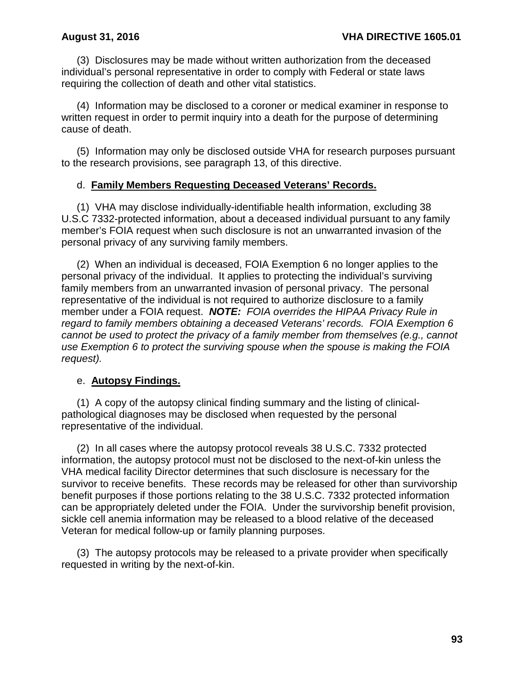(3) Disclosures may be made without written authorization from the deceased individual's personal representative in order to comply with Federal or state laws requiring the collection of death and other vital statistics.

(4) Information may be disclosed to a coroner or medical examiner in response to written request in order to permit inquiry into a death for the purpose of determining cause of death.

(5) Information may only be disclosed outside VHA for research purposes pursuant to the research provisions, see paragraph 13, of this directive.

## d. **Family Members Requesting Deceased Veterans' Records.**

(1) VHA may disclose individually-identifiable health information, excluding 38 U.S.C 7332-protected information, about a deceased individual pursuant to any family member's FOIA request when such disclosure is not an unwarranted invasion of the personal privacy of any surviving family members.

(2) When an individual is deceased, FOIA Exemption 6 no longer applies to the personal privacy of the individual. It applies to protecting the individual's surviving family members from an unwarranted invasion of personal privacy. The personal representative of the individual is not required to authorize disclosure to a family member under a FOIA request. *NOTE: FOIA overrides the HIPAA Privacy Rule in regard to family members obtaining a deceased Veterans' records. FOIA Exemption 6 cannot be used to protect the privacy of a family member from themselves (e.g., cannot use Exemption 6 to protect the surviving spouse when the spouse is making the FOIA request).*

## e. **Autopsy Findings.**

(1) A copy of the autopsy clinical finding summary and the listing of clinicalpathological diagnoses may be disclosed when requested by the personal representative of the individual.

 (2) In all cases where the autopsy protocol reveals 38 U.S.C. 7332 protected information, the autopsy protocol must not be disclosed to the next-of-kin unless the VHA medical facility Director determines that such disclosure is necessary for the survivor to receive benefits. These records may be released for other than survivorship benefit purposes if those portions relating to the 38 U.S.C. 7332 protected information can be appropriately deleted under the FOIA. Under the survivorship benefit provision, sickle cell anemia information may be released to a blood relative of the deceased Veteran for medical follow-up or family planning purposes.

(3) The autopsy protocols may be released to a private provider when specifically requested in writing by the next-of-kin.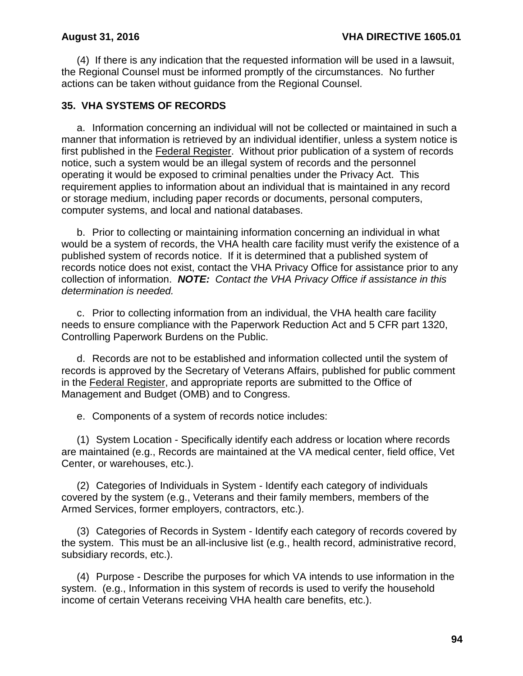(4) If there is any indication that the requested information will be used in a lawsuit, the Regional Counsel must be informed promptly of the circumstances. No further actions can be taken without guidance from the Regional Counsel.

### **35. VHA SYSTEMS OF RECORDS**

a. Information concerning an individual will not be collected or maintained in such a manner that information is retrieved by an individual identifier, unless a system notice is first published in the Federal Register. Without prior publication of a system of records notice, such a system would be an illegal system of records and the personnel operating it would be exposed to criminal penalties under the Privacy Act. This requirement applies to information about an individual that is maintained in any record or storage medium, including paper records or documents, personal computers, computer systems, and local and national databases.

b. Prior to collecting or maintaining information concerning an individual in what would be a system of records, the VHA health care facility must verify the existence of a published system of records notice. If it is determined that a published system of records notice does not exist, contact the VHA Privacy Office for assistance prior to any collection of information. *NOTE: Contact the VHA Privacy Office if assistance in this determination is needed.*

c. Prior to collecting information from an individual, the VHA health care facility needs to ensure compliance with the Paperwork Reduction Act and 5 CFR part 1320, Controlling Paperwork Burdens on the Public.

d. Records are not to be established and information collected until the system of records is approved by the Secretary of Veterans Affairs, published for public comment in the Federal Register, and appropriate reports are submitted to the Office of Management and Budget (OMB) and to Congress.

e. Components of a system of records notice includes:

(1) System Location - Specifically identify each address or location where records are maintained (e.g., Records are maintained at the VA medical center, field office, Vet Center, or warehouses, etc.).

(2) Categories of Individuals in System - Identify each category of individuals covered by the system (e.g., Veterans and their family members, members of the Armed Services, former employers, contractors, etc.).

(3) Categories of Records in System - Identify each category of records covered by the system. This must be an all-inclusive list (e.g., health record, administrative record, subsidiary records, etc.).

(4) Purpose - Describe the purposes for which VA intends to use information in the system. (e.g., Information in this system of records is used to verify the household income of certain Veterans receiving VHA health care benefits, etc.).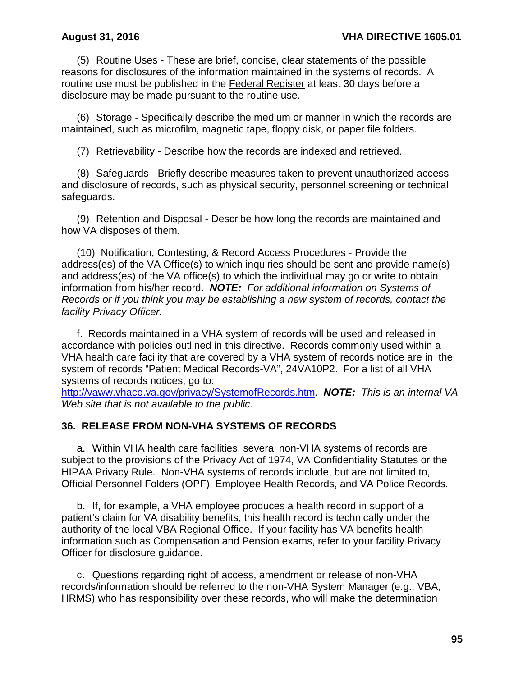(5) Routine Uses - These are brief, concise, clear statements of the possible reasons for disclosures of the information maintained in the systems of records. A routine use must be published in the Federal Register at least 30 days before a disclosure may be made pursuant to the routine use.

(6) Storage - Specifically describe the medium or manner in which the records are maintained, such as microfilm, magnetic tape, floppy disk, or paper file folders.

(7) Retrievability - Describe how the records are indexed and retrieved.

(8) Safeguards - Briefly describe measures taken to prevent unauthorized access and disclosure of records, such as physical security, personnel screening or technical safeguards.

(9) Retention and Disposal - Describe how long the records are maintained and how VA disposes of them.

(10) Notification, Contesting, & Record Access Procedures - Provide the address(es) of the VA Office(s) to which inquiries should be sent and provide name(s) and address(es) of the VA office(s) to which the individual may go or write to obtain information from his/her record. *NOTE: For additional information on Systems of Records or if you think you may be establishing a new system of records, contact the facility Privacy Officer.*

f. Records maintained in a VHA system of records will be used and released in accordance with policies outlined in this directive. Records commonly used within a VHA health care facility that are covered by a VHA system of records notice are in the system of records "Patient Medical Records-VA", 24VA10P2. For a list of all VHA systems of records notices, go to:

[http://vaww.vhaco.va.gov/privacy/SystemofRecords.htm.](http://vaww.vhaco.va.gov/privacy/SystemofRecords.htm) *NOTE: This is an internal VA Web site that is not available to the public.*

### **36. RELEASE FROM NON-VHA SYSTEMS OF RECORDS**

a. Within VHA health care facilities, several non-VHA systems of records are subject to the provisions of the Privacy Act of 1974, VA Confidentiality Statutes or the HIPAA Privacy Rule. Non-VHA systems of records include, but are not limited to, Official Personnel Folders (OPF), Employee Health Records, and VA Police Records.

b. If, for example, a VHA employee produces a health record in support of a patient's claim for VA disability benefits, this health record is technically under the authority of the local VBA Regional Office. If your facility has VA benefits health information such as Compensation and Pension exams, refer to your facility Privacy Officer for disclosure guidance.

c. Questions regarding right of access, amendment or release of non-VHA records/information should be referred to the non-VHA System Manager (e.g., VBA, HRMS) who has responsibility over these records, who will make the determination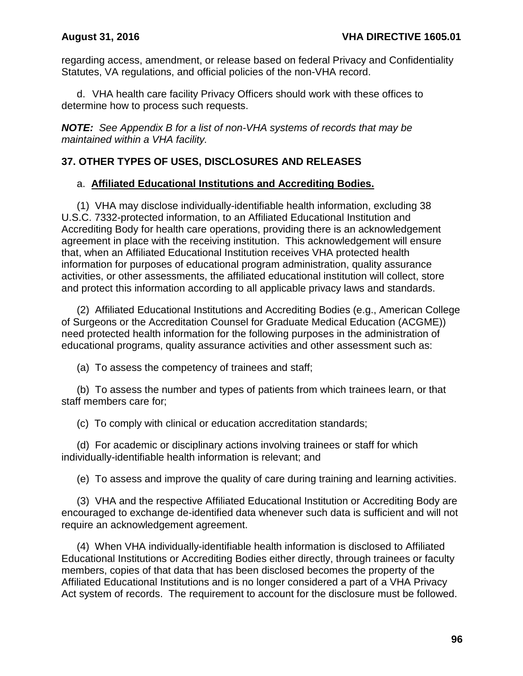regarding access, amendment, or release based on federal Privacy and Confidentiality Statutes, VA regulations, and official policies of the non-VHA record.

d. VHA health care facility Privacy Officers should work with these offices to determine how to process such requests.

*NOTE: See Appendix B for a list of non-VHA systems of records that may be maintained within a VHA facility.*

### **37. OTHER TYPES OF USES, DISCLOSURES AND RELEASES**

### a. **Affiliated Educational Institutions and Accrediting Bodies.**

(1) VHA may disclose individually-identifiable health information, excluding 38 U.S.C. 7332-protected information, to an Affiliated Educational Institution and Accrediting Body for health care operations, providing there is an acknowledgement agreement in place with the receiving institution. This acknowledgement will ensure that, when an Affiliated Educational Institution receives VHA protected health information for purposes of educational program administration, quality assurance activities, or other assessments, the affiliated educational institution will collect, store and protect this information according to all applicable privacy laws and standards.

(2) Affiliated Educational Institutions and Accrediting Bodies (e.g., American College of Surgeons or the Accreditation Counsel for Graduate Medical Education (ACGME)) need protected health information for the following purposes in the administration of educational programs, quality assurance activities and other assessment such as:

(a) To assess the competency of trainees and staff;

(b) To assess the number and types of patients from which trainees learn, or that staff members care for;

(c) To comply with clinical or education accreditation standards;

(d) For academic or disciplinary actions involving trainees or staff for which individually-identifiable health information is relevant; and

(e) To assess and improve the quality of care during training and learning activities.

(3) VHA and the respective Affiliated Educational Institution or Accrediting Body are encouraged to exchange de-identified data whenever such data is sufficient and will not require an acknowledgement agreement.

(4) When VHA individually-identifiable health information is disclosed to Affiliated Educational Institutions or Accrediting Bodies either directly, through trainees or faculty members, copies of that data that has been disclosed becomes the property of the Affiliated Educational Institutions and is no longer considered a part of a VHA Privacy Act system of records. The requirement to account for the disclosure must be followed.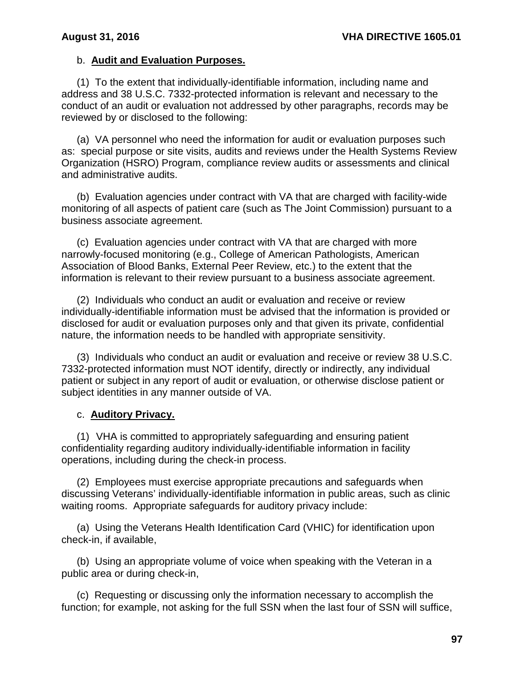### b. **Audit and Evaluation Purposes.**

(1) To the extent that individually-identifiable information, including name and address and 38 U.S.C. 7332-protected information is relevant and necessary to the conduct of an audit or evaluation not addressed by other paragraphs, records may be reviewed by or disclosed to the following:

(a) VA personnel who need the information for audit or evaluation purposes such as: special purpose or site visits, audits and reviews under the Health Systems Review Organization (HSRO) Program, compliance review audits or assessments and clinical and administrative audits.

(b) Evaluation agencies under contract with VA that are charged with facility-wide monitoring of all aspects of patient care (such as The Joint Commission) pursuant to a business associate agreement.

(c) Evaluation agencies under contract with VA that are charged with more narrowly-focused monitoring (e.g., College of American Pathologists, American Association of Blood Banks, External Peer Review, etc.) to the extent that the information is relevant to their review pursuant to a business associate agreement.

(2) Individuals who conduct an audit or evaluation and receive or review individually-identifiable information must be advised that the information is provided or disclosed for audit or evaluation purposes only and that given its private, confidential nature, the information needs to be handled with appropriate sensitivity.

(3) Individuals who conduct an audit or evaluation and receive or review 38 U.S.C. 7332-protected information must NOT identify, directly or indirectly, any individual patient or subject in any report of audit or evaluation, or otherwise disclose patient or subject identities in any manner outside of VA.

### c. **Auditory Privacy.**

(1) VHA is committed to appropriately safeguarding and ensuring patient confidentiality regarding auditory individually-identifiable information in facility operations, including during the check-in process.

(2) Employees must exercise appropriate precautions and safeguards when discussing Veterans' individually-identifiable information in public areas, such as clinic waiting rooms. Appropriate safeguards for auditory privacy include:

(a) Using the Veterans Health Identification Card (VHIC) for identification upon check-in, if available,

(b) Using an appropriate volume of voice when speaking with the Veteran in a public area or during check-in,

(c) Requesting or discussing only the information necessary to accomplish the function; for example, not asking for the full SSN when the last four of SSN will suffice,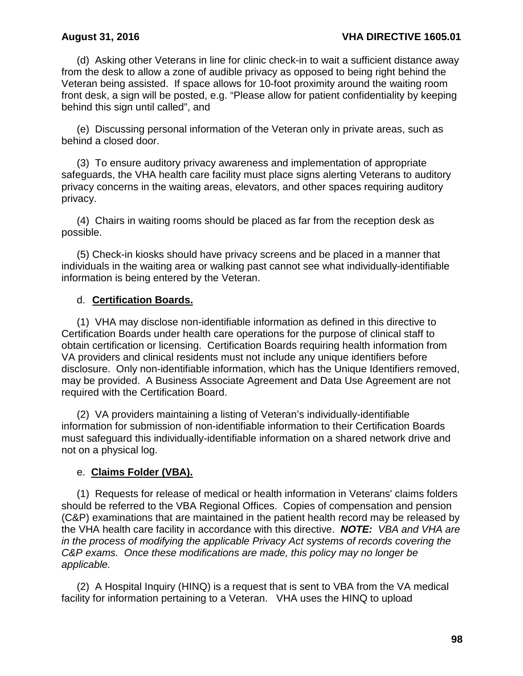(d) Asking other Veterans in line for clinic check-in to wait a sufficient distance away from the desk to allow a zone of audible privacy as opposed to being right behind the Veteran being assisted. If space allows for 10-foot proximity around the waiting room front desk, a sign will be posted, e.g. "Please allow for patient confidentiality by keeping behind this sign until called", and

(e) Discussing personal information of the Veteran only in private areas, such as behind a closed door.

(3) To ensure auditory privacy awareness and implementation of appropriate safeguards, the VHA health care facility must place signs alerting Veterans to auditory privacy concerns in the waiting areas, elevators, and other spaces requiring auditory privacy.

(4) Chairs in waiting rooms should be placed as far from the reception desk as possible.

(5) Check-in kiosks should have privacy screens and be placed in a manner that individuals in the waiting area or walking past cannot see what individually-identifiable information is being entered by the Veteran.

### d. **Certification Boards.**

(1) VHA may disclose non-identifiable information as defined in this directive to Certification Boards under health care operations for the purpose of clinical staff to obtain certification or licensing. Certification Boards requiring health information from VA providers and clinical residents must not include any unique identifiers before disclosure. Only non-identifiable information, which has the Unique Identifiers removed, may be provided. A Business Associate Agreement and Data Use Agreement are not required with the Certification Board.

(2) VA providers maintaining a listing of Veteran's individually-identifiable information for submission of non-identifiable information to their Certification Boards must safeguard this individually-identifiable information on a shared network drive and not on a physical log.

## e. **Claims Folder (VBA).**

(1) Requests for release of medical or health information in Veterans' claims folders should be referred to the VBA Regional Offices. Copies of compensation and pension (C&P) examinations that are maintained in the patient health record may be released by the VHA health care facility in accordance with this directive. *NOTE: VBA and VHA are in the process of modifying the applicable Privacy Act systems of records covering the C&P exams. Once these modifications are made, this policy may no longer be applicable.*

 (2) A Hospital Inquiry (HINQ) is a request that is sent to VBA from the VA medical facility for information pertaining to a Veteran. VHA uses the HINQ to upload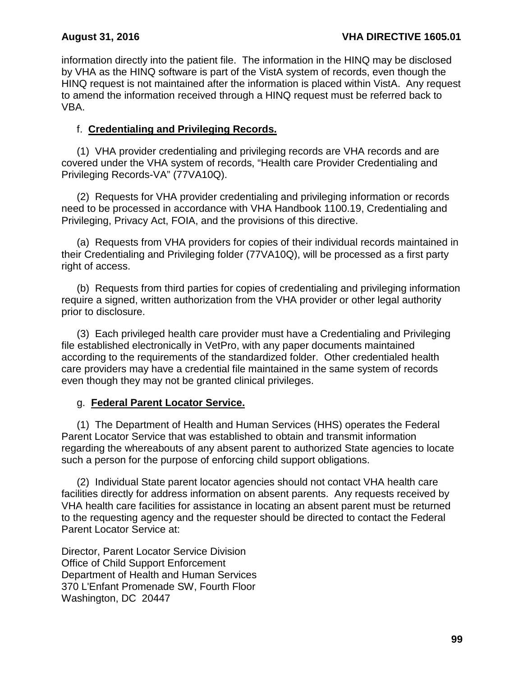information directly into the patient file. The information in the HINQ may be disclosed by VHA as the HINQ software is part of the VistA system of records, even though the HINQ request is not maintained after the information is placed within VistA. Any request to amend the information received through a HINQ request must be referred back to VBA.

# f. **Credentialing and Privileging Records.**

(1) VHA provider credentialing and privileging records are VHA records and are covered under the VHA system of records, "Health care Provider Credentialing and Privileging Records-VA" (77VA10Q).

(2) Requests for VHA provider credentialing and privileging information or records need to be processed in accordance with VHA Handbook 1100.19, Credentialing and Privileging, Privacy Act, FOIA, and the provisions of this directive.

(a) Requests from VHA providers for copies of their individual records maintained in their Credentialing and Privileging folder (77VA10Q), will be processed as a first party right of access.

(b) Requests from third parties for copies of credentialing and privileging information require a signed, written authorization from the VHA provider or other legal authority prior to disclosure.

(3) Each privileged health care provider must have a Credentialing and Privileging file established electronically in VetPro, with any paper documents maintained according to the requirements of the standardized folder. Other credentialed health care providers may have a credential file maintained in the same system of records even though they may not be granted clinical privileges.

## g. **Federal Parent Locator Service.**

(1) The Department of Health and Human Services (HHS) operates the Federal Parent Locator Service that was established to obtain and transmit information regarding the whereabouts of any absent parent to authorized State agencies to locate such a person for the purpose of enforcing child support obligations.

(2) Individual State parent locator agencies should not contact VHA health care facilities directly for address information on absent parents. Any requests received by VHA health care facilities for assistance in locating an absent parent must be returned to the requesting agency and the requester should be directed to contact the Federal Parent Locator Service at:

Director, Parent Locator Service Division Office of Child Support Enforcement Department of Health and Human Services 370 L'Enfant Promenade SW, Fourth Floor Washington, DC 20447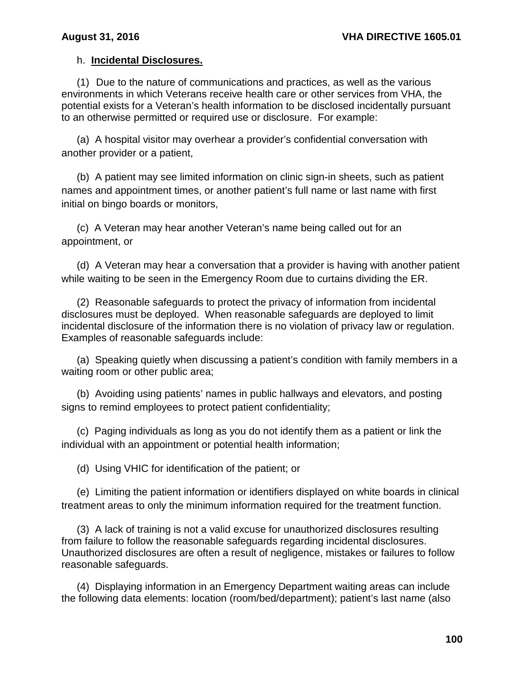## h. **Incidental Disclosures.**

(1) Due to the nature of communications and practices, as well as the various environments in which Veterans receive health care or other services from VHA, the potential exists for a Veteran's health information to be disclosed incidentally pursuant to an otherwise permitted or required use or disclosure. For example:

(a) A hospital visitor may overhear a provider's confidential conversation with another provider or a patient,

(b) A patient may see limited information on clinic sign-in sheets, such as patient names and appointment times, or another patient's full name or last name with first initial on bingo boards or monitors,

(c) A Veteran may hear another Veteran's name being called out for an appointment, or

(d) A Veteran may hear a conversation that a provider is having with another patient while waiting to be seen in the Emergency Room due to curtains dividing the ER.

(2) Reasonable safeguards to protect the privacy of information from incidental disclosures must be deployed. When reasonable safeguards are deployed to limit incidental disclosure of the information there is no violation of privacy law or regulation. Examples of reasonable safeguards include:

(a) Speaking quietly when discussing a patient's condition with family members in a waiting room or other public area;

(b) Avoiding using patients' names in public hallways and elevators, and posting signs to remind employees to protect patient confidentiality;

(c) Paging individuals as long as you do not identify them as a patient or link the individual with an appointment or potential health information;

(d) Using VHIC for identification of the patient; or

(e) Limiting the patient information or identifiers displayed on white boards in clinical treatment areas to only the minimum information required for the treatment function.

(3) A lack of training is not a valid excuse for unauthorized disclosures resulting from failure to follow the reasonable safeguards regarding incidental disclosures. Unauthorized disclosures are often a result of negligence, mistakes or failures to follow reasonable safeguards.

(4) Displaying information in an Emergency Department waiting areas can include the following data elements: location (room/bed/department); patient's last name (also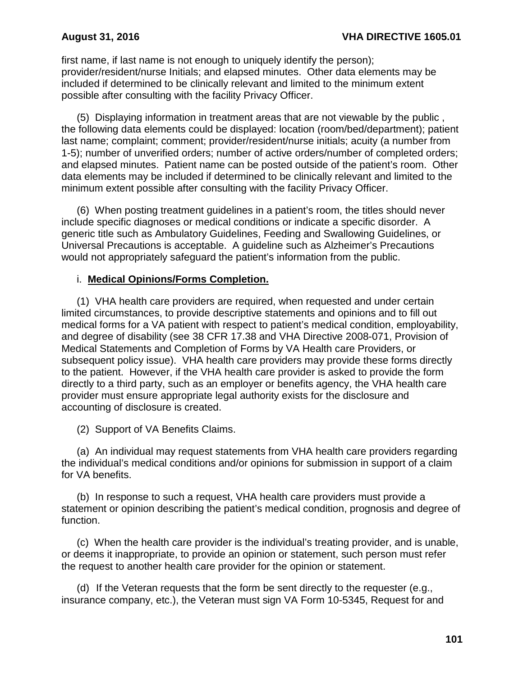first name, if last name is not enough to uniquely identify the person); provider/resident/nurse Initials; and elapsed minutes. Other data elements may be included if determined to be clinically relevant and limited to the minimum extent possible after consulting with the facility Privacy Officer.

(5) Displaying information in treatment areas that are not viewable by the public , the following data elements could be displayed: location (room/bed/department); patient last name; complaint; comment; provider/resident/nurse initials; acuity (a number from 1-5); number of unverified orders; number of active orders/number of completed orders; and elapsed minutes. Patient name can be posted outside of the patient's room. Other data elements may be included if determined to be clinically relevant and limited to the minimum extent possible after consulting with the facility Privacy Officer.

(6) When posting treatment guidelines in a patient's room, the titles should never include specific diagnoses or medical conditions or indicate a specific disorder. A generic title such as Ambulatory Guidelines, Feeding and Swallowing Guidelines, or Universal Precautions is acceptable. A guideline such as Alzheimer's Precautions would not appropriately safeguard the patient's information from the public.

## i. **Medical Opinions/Forms Completion.**

(1) VHA health care providers are required, when requested and under certain limited circumstances, to provide descriptive statements and opinions and to fill out medical forms for a VA patient with respect to patient's medical condition, employability, and degree of disability (see 38 CFR 17.38 and VHA Directive 2008-071, Provision of Medical Statements and Completion of Forms by VA Health care Providers, or subsequent policy issue). VHA health care providers may provide these forms directly to the patient. However, if the VHA health care provider is asked to provide the form directly to a third party, such as an employer or benefits agency, the VHA health care provider must ensure appropriate legal authority exists for the disclosure and accounting of disclosure is created.

(2) Support of VA Benefits Claims.

(a) An individual may request statements from VHA health care providers regarding the individual's medical conditions and/or opinions for submission in support of a claim for VA benefits.

(b) In response to such a request, VHA health care providers must provide a statement or opinion describing the patient's medical condition, prognosis and degree of function.

(c) When the health care provider is the individual's treating provider, and is unable, or deems it inappropriate, to provide an opinion or statement, such person must refer the request to another health care provider for the opinion or statement.

(d) If the Veteran requests that the form be sent directly to the requester (e.g., insurance company, etc.), the Veteran must sign VA Form 10-5345, Request for and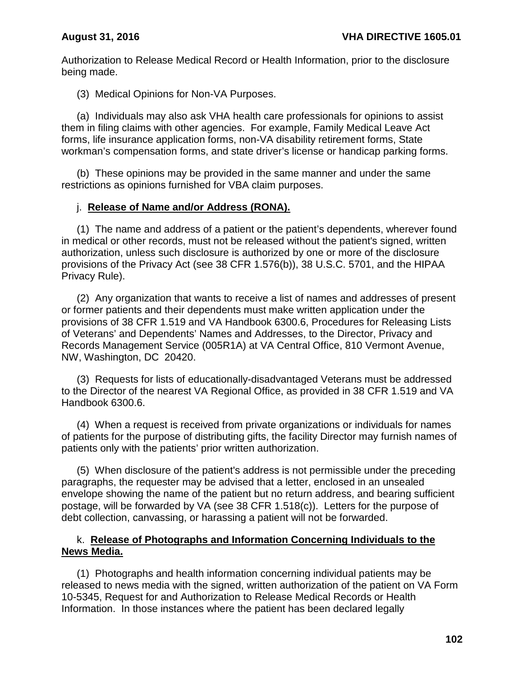Authorization to Release Medical Record or Health Information, prior to the disclosure being made.

(3) Medical Opinions for Non-VA Purposes.

(a) Individuals may also ask VHA health care professionals for opinions to assist them in filing claims with other agencies. For example, Family Medical Leave Act forms, life insurance application forms, non-VA disability retirement forms, State workman's compensation forms, and state driver's license or handicap parking forms.

(b) These opinions may be provided in the same manner and under the same restrictions as opinions furnished for VBA claim purposes.

## j. **Release of Name and/or Address (RONA).**

(1) The name and address of a patient or the patient's dependents, wherever found in medical or other records, must not be released without the patient's signed, written authorization, unless such disclosure is authorized by one or more of the disclosure provisions of the Privacy Act (see 38 CFR 1.576(b)), 38 U.S.C. 5701, and the HIPAA Privacy Rule).

(2) Any organization that wants to receive a list of names and addresses of present or former patients and their dependents must make written application under the provisions of 38 CFR 1.519 and VA Handbook 6300.6, Procedures for Releasing Lists of Veterans' and Dependents' Names and Addresses, to the Director, Privacy and Records Management Service (005R1A) at VA Central Office, 810 Vermont Avenue, NW, Washington, DC 20420.

(3) Requests for lists of educationally-disadvantaged Veterans must be addressed to the Director of the nearest VA Regional Office, as provided in 38 CFR 1.519 and VA Handbook 6300.6.

(4) When a request is received from private organizations or individuals for names of patients for the purpose of distributing gifts, the facility Director may furnish names of patients only with the patients' prior written authorization.

(5) When disclosure of the patient's address is not permissible under the preceding paragraphs, the requester may be advised that a letter, enclosed in an unsealed envelope showing the name of the patient but no return address, and bearing sufficient postage, will be forwarded by VA (see 38 CFR 1.518(c)). Letters for the purpose of debt collection, canvassing, or harassing a patient will not be forwarded.

### k. **Release of Photographs and Information Concerning Individuals to the News Media.**

(1) Photographs and health information concerning individual patients may be released to news media with the signed, written authorization of the patient on VA Form 10-5345, Request for and Authorization to Release Medical Records or Health Information. In those instances where the patient has been declared legally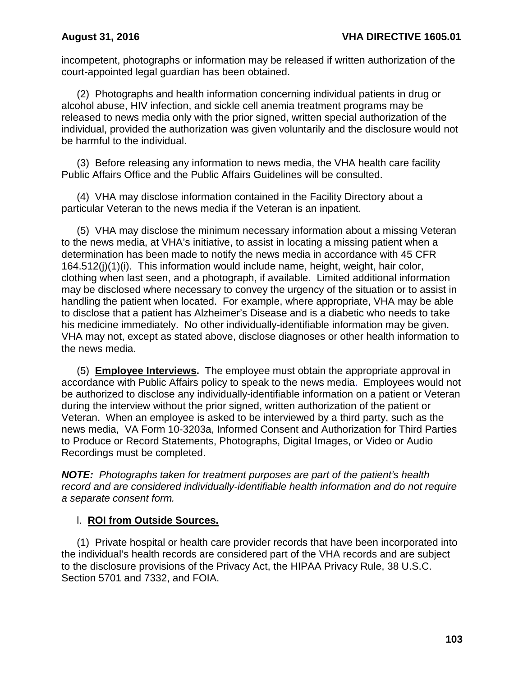incompetent, photographs or information may be released if written authorization of the court-appointed legal guardian has been obtained.

(2) Photographs and health information concerning individual patients in drug or alcohol abuse, HIV infection, and sickle cell anemia treatment programs may be released to news media only with the prior signed, written special authorization of the individual, provided the authorization was given voluntarily and the disclosure would not be harmful to the individual.

(3) Before releasing any information to news media, the VHA health care facility Public Affairs Office and the Public Affairs Guidelines will be consulted.

(4) VHA may disclose information contained in the Facility Directory about a particular Veteran to the news media if the Veteran is an inpatient.

(5) VHA may disclose the minimum necessary information about a missing Veteran to the news media, at VHA's initiative, to assist in locating a missing patient when a determination has been made to notify the news media in accordance with 45 CFR 164.512(j)(1)(i). This information would include name, height, weight, hair color, clothing when last seen, and a photograph, if available. Limited additional information may be disclosed where necessary to convey the urgency of the situation or to assist in handling the patient when located. For example, where appropriate, VHA may be able to disclose that a patient has Alzheimer's Disease and is a diabetic who needs to take his medicine immediately. No other individually-identifiable information may be given. VHA may not, except as stated above, disclose diagnoses or other health information to the news media.

(5) **Employee Interviews.** The employee must obtain the appropriate approval in accordance with Public Affairs policy to speak to the news media. Employees would not be authorized to disclose any individually-identifiable information on a patient or Veteran during the interview without the prior signed, written authorization of the patient or Veteran. When an employee is asked to be interviewed by a third party, such as the news media, VA Form 10-3203a, Informed Consent and Authorization for Third Parties to Produce or Record Statements, Photographs, Digital Images, or Video or Audio Recordings must be completed.

*NOTE: Photographs taken for treatment purposes are part of the patient's health record and are considered individually-identifiable health information and do not require a separate consent form.*

## l. **ROI from Outside Sources.**

(1) Private hospital or health care provider records that have been incorporated into the individual's health records are considered part of the VHA records and are subject to the disclosure provisions of the Privacy Act, the HIPAA Privacy Rule, 38 U.S.C. Section 5701 and 7332, and FOIA.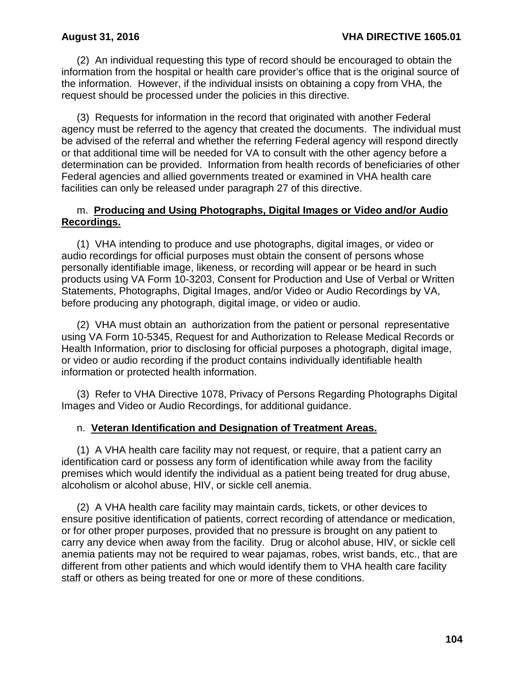(2) An individual requesting this type of record should be encouraged to obtain the information from the hospital or health care provider's office that is the original source of the information. However, if the individual insists on obtaining a copy from VHA, the request should be processed under the policies in this directive.

(3) Requests for information in the record that originated with another Federal agency must be referred to the agency that created the documents. The individual must be advised of the referral and whether the referring Federal agency will respond directly or that additional time will be needed for VA to consult with the other agency before a determination can be provided. Information from health records of beneficiaries of other Federal agencies and allied governments treated or examined in VHA health care facilities can only be released under paragraph 27 of this directive.

### m. **Producing and Using Photographs, Digital Images or Video and/or Audio Recordings.**

(1) VHA intending to produce and use photographs, digital images, or video or audio recordings for official purposes must obtain the consent of persons whose personally identifiable image, likeness, or recording will appear or be heard in such products using VA Form 10-3203, Consent for Production and Use of Verbal or Written Statements, Photographs, Digital Images, and/or Video or Audio Recordings by VA, before producing any photograph, digital image, or video or audio.

(2) VHA must obtain an authorization from the patient or personal representative using VA Form 10-5345, Request for and Authorization to Release Medical Records or Health Information, prior to disclosing for official purposes a photograph, digital image, or video or audio recording if the product contains individually identifiable health information or protected health information.

(3) Refer to VHA Directive 1078, Privacy of Persons Regarding Photographs Digital Images and Video or Audio Recordings, for additional guidance.

## n. **Veteran Identification and Designation of Treatment Areas.**

(1) A VHA health care facility may not request, or require, that a patient carry an identification card or possess any form of identification while away from the facility premises which would identify the individual as a patient being treated for drug abuse, alcoholism or alcohol abuse, HIV, or sickle cell anemia.

(2) A VHA health care facility may maintain cards, tickets, or other devices to ensure positive identification of patients, correct recording of attendance or medication, or for other proper purposes, provided that no pressure is brought on any patient to carry any device when away from the facility. Drug or alcohol abuse, HIV, or sickle cell anemia patients may not be required to wear pajamas, robes, wrist bands, etc., that are different from other patients and which would identify them to VHA health care facility staff or others as being treated for one or more of these conditions.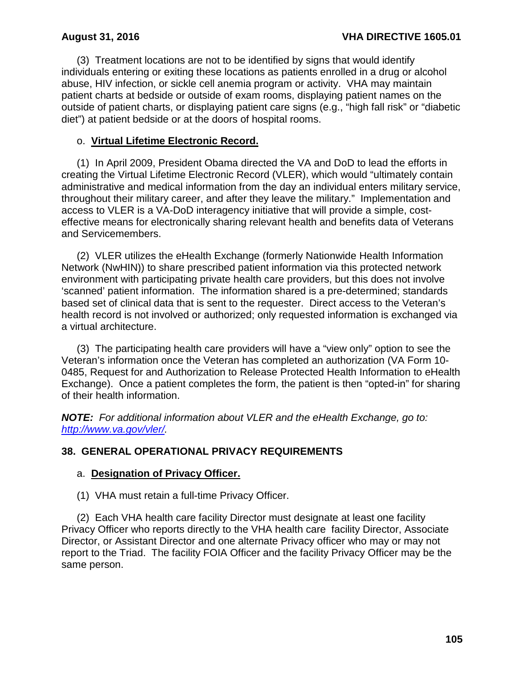(3) Treatment locations are not to be identified by signs that would identify individuals entering or exiting these locations as patients enrolled in a drug or alcohol abuse, HIV infection, or sickle cell anemia program or activity. VHA may maintain patient charts at bedside or outside of exam rooms, displaying patient names on the outside of patient charts, or displaying patient care signs (e.g., "high fall risk" or "diabetic diet") at patient bedside or at the doors of hospital rooms.

### o. **Virtual Lifetime Electronic Record.**

(1) In April 2009, President Obama directed the VA and DoD to lead the efforts in creating the Virtual Lifetime Electronic Record (VLER), which would "ultimately contain administrative and medical information from the day an individual enters military service, throughout their military career, and after they leave the military." Implementation and access to VLER is a VA-DoD interagency initiative that will provide a simple, costeffective means for electronically sharing relevant health and benefits data of Veterans and Servicemembers.

(2) VLER utilizes the eHealth Exchange (formerly Nationwide Health Information Network (NwHIN)) to share prescribed patient information via this protected network environment with participating private health care providers, but this does not involve 'scanned' patient information. The information shared is a pre-determined; standards based set of clinical data that is sent to the requester. Direct access to the Veteran's health record is not involved or authorized; only requested information is exchanged via a virtual architecture.

(3) The participating health care providers will have a "view only" option to see the Veteran's information once the Veteran has completed an authorization (VA Form 10- 0485, Request for and Authorization to Release Protected Health Information to eHealth Exchange). Once a patient completes the form, the patient is then "opted-in" for sharing of their health information.

*NOTE: For additional information about VLER and the eHealth Exchange, go to: [http://www.va.gov/vler/.](http://www.va.gov/vler/)* 

## **38. GENERAL OPERATIONAL PRIVACY REQUIREMENTS**

## a. **Designation of Privacy Officer.**

(1) VHA must retain a full-time Privacy Officer.

(2) Each VHA health care facility Director must designate at least one facility Privacy Officer who reports directly to the VHA health care facility Director, Associate Director, or Assistant Director and one alternate Privacy officer who may or may not report to the Triad. The facility FOIA Officer and the facility Privacy Officer may be the same person.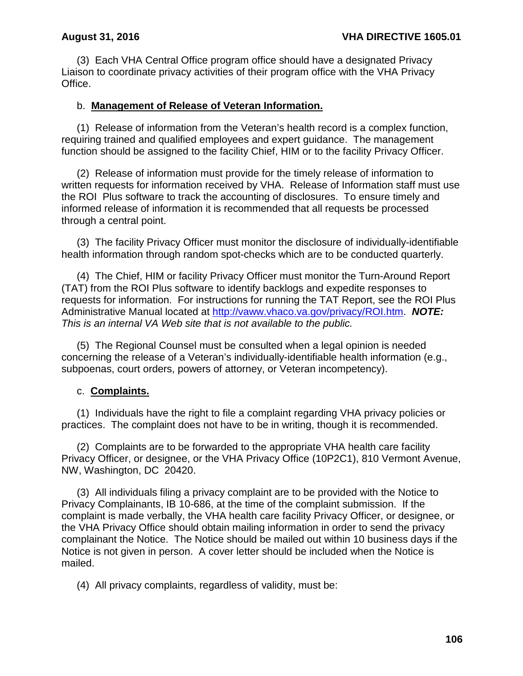(3) Each VHA Central Office program office should have a designated Privacy Liaison to coordinate privacy activities of their program office with the VHA Privacy Office.

## b. **Management of Release of Veteran Information.**

(1) Release of information from the Veteran's health record is a complex function, requiring trained and qualified employees and expert guidance. The management function should be assigned to the facility Chief, HIM or to the facility Privacy Officer.

(2) Release of information must provide for the timely release of information to written requests for information received by VHA. Release of Information staff must use the ROI Plus software to track the accounting of disclosures. To ensure timely and informed release of information it is recommended that all requests be processed through a central point.

(3) The facility Privacy Officer must monitor the disclosure of individually-identifiable health information through random spot-checks which are to be conducted quarterly.

(4) The Chief, HIM or facility Privacy Officer must monitor the Turn-Around Report (TAT) from the ROI Plus software to identify backlogs and expedite responses to requests for information. For instructions for running the TAT Report, see the ROI Plus Administrative Manual located at [http://vaww.vhaco.va.gov/privacy/ROI.htm.](http://vaww.vhaco.va.gov/privacy/ROI.htm) *NOTE: This is an internal VA Web site that is not available to the public.*

(5) The Regional Counsel must be consulted when a legal opinion is needed concerning the release of a Veteran's individually-identifiable health information (e.g., subpoenas, court orders, powers of attorney, or Veteran incompetency).

### c. **Complaints.**

(1) Individuals have the right to file a complaint regarding VHA privacy policies or practices. The complaint does not have to be in writing, though it is recommended.

(2) Complaints are to be forwarded to the appropriate VHA health care facility Privacy Officer, or designee, or the VHA Privacy Office (10P2C1), 810 Vermont Avenue, NW, Washington, DC 20420.

(3) All individuals filing a privacy complaint are to be provided with the Notice to Privacy Complainants, IB 10-686, at the time of the complaint submission. If the complaint is made verbally, the VHA health care facility Privacy Officer, or designee, or the VHA Privacy Office should obtain mailing information in order to send the privacy complainant the Notice. The Notice should be mailed out within 10 business days if the Notice is not given in person. A cover letter should be included when the Notice is mailed.

(4) All privacy complaints, regardless of validity, must be: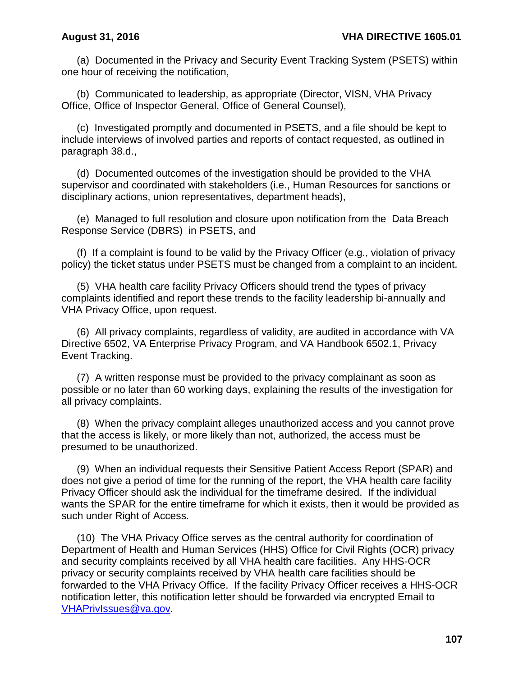(a) Documented in the Privacy and Security Event Tracking System (PSETS) within one hour of receiving the notification,

(b) Communicated to leadership, as appropriate (Director, VISN, VHA Privacy Office, Office of Inspector General, Office of General Counsel),

(c) Investigated promptly and documented in PSETS, and a file should be kept to include interviews of involved parties and reports of contact requested, as outlined in paragraph 38.d.,

(d) Documented outcomes of the investigation should be provided to the VHA supervisor and coordinated with stakeholders (i.e., Human Resources for sanctions or disciplinary actions, union representatives, department heads),

(e) Managed to full resolution and closure upon notification from the Data Breach Response Service (DBRS) in PSETS, and

(f) If a complaint is found to be valid by the Privacy Officer (e.g., violation of privacy policy) the ticket status under PSETS must be changed from a complaint to an incident.

(5) VHA health care facility Privacy Officers should trend the types of privacy complaints identified and report these trends to the facility leadership bi-annually and VHA Privacy Office, upon request.

(6) All privacy complaints, regardless of validity, are audited in accordance with VA Directive 6502, VA Enterprise Privacy Program, and VA Handbook 6502.1, Privacy Event Tracking.

(7) A written response must be provided to the privacy complainant as soon as possible or no later than 60 working days, explaining the results of the investigation for all privacy complaints.

(8) When the privacy complaint alleges unauthorized access and you cannot prove that the access is likely, or more likely than not, authorized, the access must be presumed to be unauthorized.

(9) When an individual requests their Sensitive Patient Access Report (SPAR) and does not give a period of time for the running of the report, the VHA health care facility Privacy Officer should ask the individual for the timeframe desired. If the individual wants the SPAR for the entire timeframe for which it exists, then it would be provided as such under Right of Access.

 (10) The VHA Privacy Office serves as the central authority for coordination of Department of Health and Human Services (HHS) Office for Civil Rights (OCR) privacy and security complaints received by all VHA health care facilities. Any HHS-OCR privacy or security complaints received by VHA health care facilities should be forwarded to the VHA Privacy Office. If the facility Privacy Officer receives a HHS-OCR notification letter, this notification letter should be forwarded via encrypted Email to VHAPrivIssues@va.gov.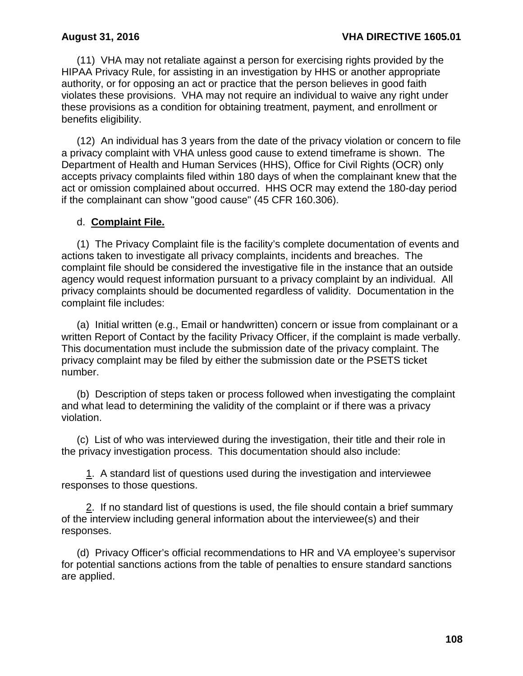(11) VHA may not retaliate against a person for exercising rights provided by the HIPAA Privacy Rule, for assisting in an investigation by HHS or another appropriate authority, or for opposing an act or practice that the person believes in good faith violates these provisions. VHA may not require an individual to waive any right under these provisions as a condition for obtaining treatment, payment, and enrollment or benefits eligibility.

(12) An individual has 3 years from the date of the privacy violation or concern to file a privacy complaint with VHA unless good cause to extend timeframe is shown. The Department of Health and Human Services (HHS), Office for Civil Rights (OCR) only accepts privacy complaints filed within 180 days of when the complainant knew that the act or omission complained about occurred. HHS OCR may extend the 180-day period if the complainant can show "good cause" (45 CFR 160.306).

## d. **Complaint File.**

(1) The Privacy Complaint file is the facility's complete documentation of events and actions taken to investigate all privacy complaints, incidents and breaches. The complaint file should be considered the investigative file in the instance that an outside agency would request information pursuant to a privacy complaint by an individual. All privacy complaints should be documented regardless of validity. Documentation in the complaint file includes:

 (a) Initial written (e.g., Email or handwritten) concern or issue from complainant or a written Report of Contact by the facility Privacy Officer, if the complaint is made verbally. This documentation must include the submission date of the privacy complaint. The privacy complaint may be filed by either the submission date or the PSETS ticket number.

 (b) Description of steps taken or process followed when investigating the complaint and what lead to determining the validity of the complaint or if there was a privacy violation.

 (c) List of who was interviewed during the investigation, their title and their role in the privacy investigation process. This documentation should also include:

 1. A standard list of questions used during the investigation and interviewee responses to those questions.

 2. If no standard list of questions is used, the file should contain a brief summary of the interview including general information about the interviewee(s) and their responses.

 (d) Privacy Officer's official recommendations to HR and VA employee's supervisor for potential sanctions actions from the table of penalties to ensure standard sanctions are applied.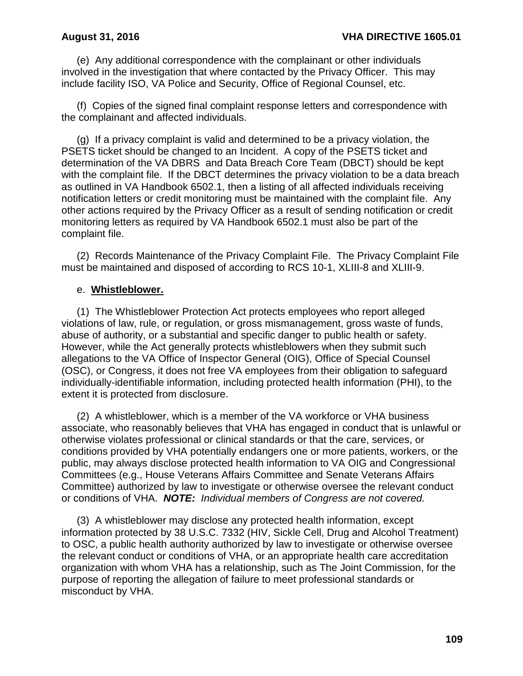(e) Any additional correspondence with the complainant or other individuals involved in the investigation that where contacted by the Privacy Officer. This may include facility ISO, VA Police and Security, Office of Regional Counsel, etc.

 (f) Copies of the signed final complaint response letters and correspondence with the complainant and affected individuals.

 (g) If a privacy complaint is valid and determined to be a privacy violation, the PSETS ticket should be changed to an Incident. A copy of the PSETS ticket and determination of the VA DBRS and Data Breach Core Team (DBCT) should be kept with the complaint file. If the DBCT determines the privacy violation to be a data breach as outlined in VA Handbook 6502.1, then a listing of all affected individuals receiving notification letters or credit monitoring must be maintained with the complaint file. Any other actions required by the Privacy Officer as a result of sending notification or credit monitoring letters as required by VA Handbook 6502.1 must also be part of the complaint file.

(2) Records Maintenance of the Privacy Complaint File. The Privacy Complaint File must be maintained and disposed of according to RCS 10-1, XLIII-8 and XLIII-9.

### e. **Whistleblower.**

(1) The Whistleblower Protection Act protects employees who report alleged violations of law, rule, or regulation, or gross mismanagement, gross waste of funds, abuse of authority, or a substantial and specific danger to public health or safety. However, while the Act generally protects whistleblowers when they submit such allegations to the VA Office of Inspector General (OIG), Office of Special Counsel (OSC), or Congress, it does not free VA employees from their obligation to safeguard individually-identifiable information, including protected health information (PHI), to the extent it is protected from disclosure.

(2) A whistleblower, which is a member of the VA workforce or VHA business associate, who reasonably believes that VHA has engaged in conduct that is unlawful or otherwise violates professional or clinical standards or that the care, services, or conditions provided by VHA potentially endangers one or more patients, workers, or the public, may always disclose protected health information to VA OIG and Congressional Committees (e.g., House Veterans Affairs Committee and Senate Veterans Affairs Committee) authorized by law to investigate or otherwise oversee the relevant conduct or conditions of VHA. *NOTE: Individual members of Congress are not covered.* 

(3) A whistleblower may disclose any protected health information, except information protected by 38 U.S.C. 7332 (HIV, Sickle Cell, Drug and Alcohol Treatment) to OSC, a public health authority authorized by law to investigate or otherwise oversee the relevant conduct or conditions of VHA, or an appropriate health care accreditation organization with whom VHA has a relationship, such as The Joint Commission, for the purpose of reporting the allegation of failure to meet professional standards or misconduct by VHA.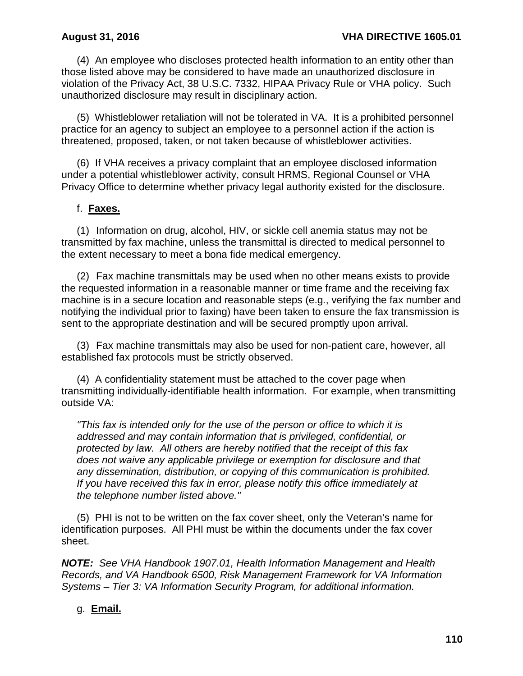(4) An employee who discloses protected health information to an entity other than those listed above may be considered to have made an unauthorized disclosure in violation of the Privacy Act, 38 U.S.C. 7332, HIPAA Privacy Rule or VHA policy. Such unauthorized disclosure may result in disciplinary action.

(5) Whistleblower retaliation will not be tolerated in VA. It is a prohibited personnel practice for an agency to subject an employee to a personnel action if the action is threatened, proposed, taken, or not taken because of whistleblower activities.

(6) If VHA receives a privacy complaint that an employee disclosed information under a potential whistleblower activity, consult HRMS, Regional Counsel or VHA Privacy Office to determine whether privacy legal authority existed for the disclosure.

## f. **Faxes.**

(1) Information on drug, alcohol, HIV, or sickle cell anemia status may not be transmitted by fax machine, unless the transmittal is directed to medical personnel to the extent necessary to meet a bona fide medical emergency.

(2) Fax machine transmittals may be used when no other means exists to provide the requested information in a reasonable manner or time frame and the receiving fax machine is in a secure location and reasonable steps (e.g., verifying the fax number and notifying the individual prior to faxing) have been taken to ensure the fax transmission is sent to the appropriate destination and will be secured promptly upon arrival.

(3) Fax machine transmittals may also be used for non-patient care, however, all established fax protocols must be strictly observed.

(4) A confidentiality statement must be attached to the cover page when transmitting individually-identifiable health information. For example, when transmitting outside VA:

*"This fax is intended only for the use of the person or office to which it is addressed and may contain information that is privileged, confidential, or protected by law. All others are hereby notified that the receipt of this fax does not waive any applicable privilege or exemption for disclosure and that any dissemination, distribution, or copying of this communication is prohibited. If you have received this fax in error, please notify this office immediately at the telephone number listed above."*

(5) PHI is not to be written on the fax cover sheet, only the Veteran's name for identification purposes. All PHI must be within the documents under the fax cover sheet.

*NOTE: See VHA Handbook 1907.01, Health Information Management and Health Records, and VA Handbook 6500, Risk Management Framework for VA Information Systems – Tier 3: VA Information Security Program, for additional information.*

# g. **Email.**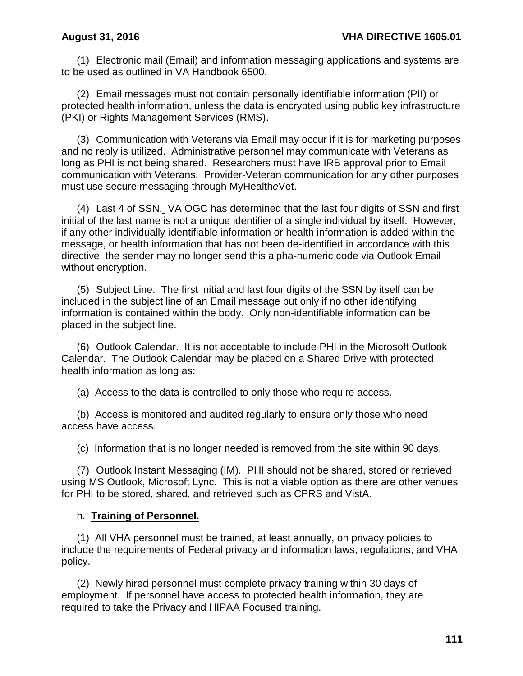(1) Electronic mail (Email) and information messaging applications and systems are to be used as outlined in VA Handbook 6500.

(2) Email messages must not contain personally identifiable information (PII) or protected health information, unless the data is encrypted using public key infrastructure (PKI) or Rights Management Services (RMS).

(3) Communication with Veterans via Email may occur if it is for marketing purposes and no reply is utilized. Administrative personnel may communicate with Veterans as long as PHI is not being shared. Researchers must have IRB approval prior to Email communication with Veterans. Provider-Veteran communication for any other purposes must use secure messaging through MyHealth*e*Vet.

(4) Last 4 of SSN. VA OGC has determined that the last four digits of SSN and first initial of the last name is not a unique identifier of a single individual by itself. However, if any other individually-identifiable information or health information is added within the message, or health information that has not been de-identified in accordance with this directive, the sender may no longer send this alpha-numeric code via Outlook Email without encryption.

(5) Subject Line. The first initial and last four digits of the SSN by itself can be included in the subject line of an Email message but only if no other identifying information is contained within the body. Only non-identifiable information can be placed in the subject line.

(6) Outlook Calendar. It is not acceptable to include PHI in the Microsoft Outlook Calendar. The Outlook Calendar may be placed on a Shared Drive with protected health information as long as:

(a) Access to the data is controlled to only those who require access.

(b) Access is monitored and audited regularly to ensure only those who need access have access.

(c) Information that is no longer needed is removed from the site within 90 days.

(7) Outlook Instant Messaging (IM). PHI should not be shared, stored or retrieved using MS Outlook, Microsoft Lync. This is not a viable option as there are other venues for PHI to be stored, shared, and retrieved such as CPRS and VistA.

### h. **Training of Personnel.**

(1) All VHA personnel must be trained, at least annually, on privacy policies to include the requirements of Federal privacy and information laws, regulations, and VHA policy.

(2) Newly hired personnel must complete privacy training within 30 days of employment. If personnel have access to protected health information, they are required to take the Privacy and HIPAA Focused training.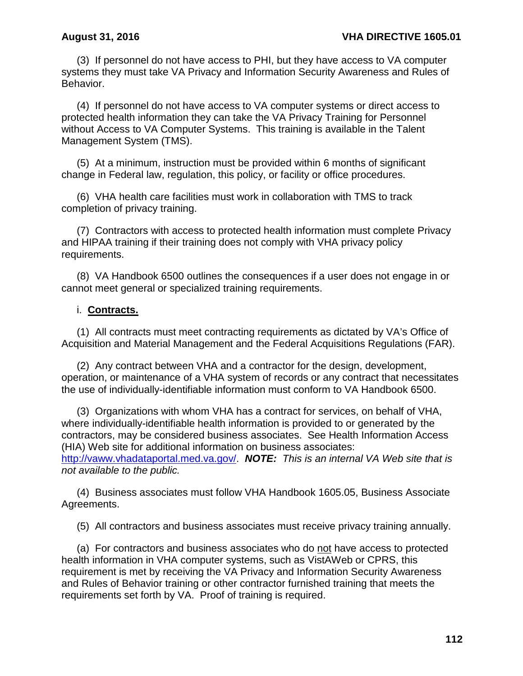(3) If personnel do not have access to PHI, but they have access to VA computer systems they must take VA Privacy and Information Security Awareness and Rules of Behavior.

(4) If personnel do not have access to VA computer systems or direct access to protected health information they can take the VA Privacy Training for Personnel without Access to VA Computer Systems. This training is available in the Talent Management System (TMS).

 (5) At a minimum, instruction must be provided within 6 months of significant change in Federal law, regulation, this policy, or facility or office procedures.

 (6) VHA health care facilities must work in collaboration with TMS to track completion of privacy training.

 (7) Contractors with access to protected health information must complete Privacy and HIPAA training if their training does not comply with VHA privacy policy requirements.

 (8) VA Handbook 6500 outlines the consequences if a user does not engage in or cannot meet general or specialized training requirements.

### i. **Contracts.**

(1) All contracts must meet contracting requirements as dictated by VA's Office of Acquisition and Material Management and the Federal Acquisitions Regulations (FAR).

(2) Any contract between VHA and a contractor for the design, development, operation, or maintenance of a VHA system of records or any contract that necessitates the use of individually-identifiable information must conform to VA Handbook 6500.

(3) Organizations with whom VHA has a contract for services, on behalf of VHA, where individually-identifiable health information is provided to or generated by the contractors, may be considered business associates. See Health Information Access (HIA) Web site for additional information on business associates: [http://vaww.vhadataportal.med.va.gov/.](http://vaww.vhadataportal.med.va.gov/) *NOTE: This is an internal VA Web site that is not available to the public.*

(4) Business associates must follow VHA Handbook 1605.05, Business Associate Agreements.

(5) All contractors and business associates must receive privacy training annually.

(a) For contractors and business associates who do not have access to protected health information in VHA computer systems, such as VistAWeb or CPRS, this requirement is met by receiving the VA Privacy and Information Security Awareness and Rules of Behavior training or other contractor furnished training that meets the requirements set forth by VA. Proof of training is required.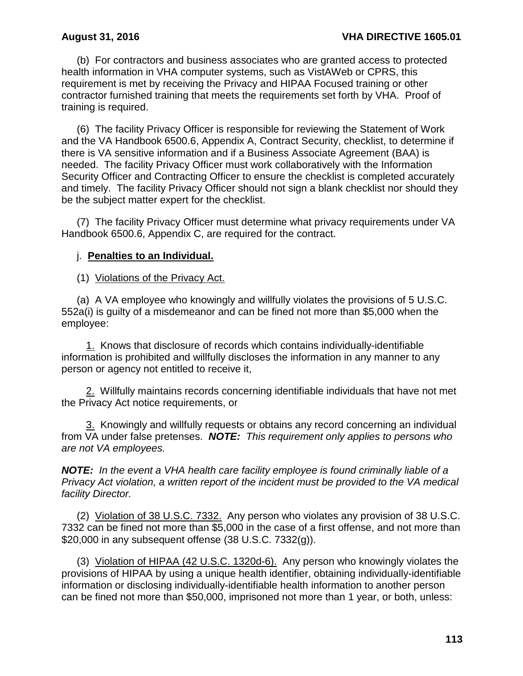(b) For contractors and business associates who are granted access to protected health information in VHA computer systems, such as VistAWeb or CPRS, this requirement is met by receiving the Privacy and HIPAA Focused training or other contractor furnished training that meets the requirements set forth by VHA. Proof of training is required.

(6) The facility Privacy Officer is responsible for reviewing the Statement of Work and the VA Handbook 6500.6, Appendix A, Contract Security, checklist, to determine if there is VA sensitive information and if a Business Associate Agreement (BAA) is needed. The facility Privacy Officer must work collaboratively with the Information Security Officer and Contracting Officer to ensure the checklist is completed accurately and timely. The facility Privacy Officer should not sign a blank checklist nor should they be the subject matter expert for the checklist.

(7) The facility Privacy Officer must determine what privacy requirements under VA Handbook 6500.6, Appendix C, are required for the contract.

## j. **Penalties to an Individual.**

(1) Violations of the Privacy Act.

(a) A VA employee who knowingly and willfully violates the provisions of 5 U.S.C. 552a(i) is guilty of a misdemeanor and can be fined not more than \$5,000 when the employee:

1. Knows that disclosure of records which contains individually-identifiable information is prohibited and willfully discloses the information in any manner to any person or agency not entitled to receive it,

2. Willfully maintains records concerning identifiable individuals that have not met the Privacy Act notice requirements, or

3. Knowingly and willfully requests or obtains any record concerning an individual from VA under false pretenses. *NOTE: This requirement only applies to persons who are not VA employees.*

*NOTE: In the event a VHA health care facility employee is found criminally liable of a Privacy Act violation, a written report of the incident must be provided to the VA medical facility Director.*

(2) Violation of 38 U.S.C. 7332. Any person who violates any provision of 38 U.S.C. 7332 can be fined not more than \$5,000 in the case of a first offense, and not more than \$20,000 in any subsequent offense (38 U.S.C. 7332(g)).

(3) Violation of HIPAA (42 U.S.C. 1320d-6). Any person who knowingly violates the provisions of HIPAA by using a unique health identifier, obtaining individually-identifiable information or disclosing individually-identifiable health information to another person can be fined not more than \$50,000, imprisoned not more than 1 year, or both, unless: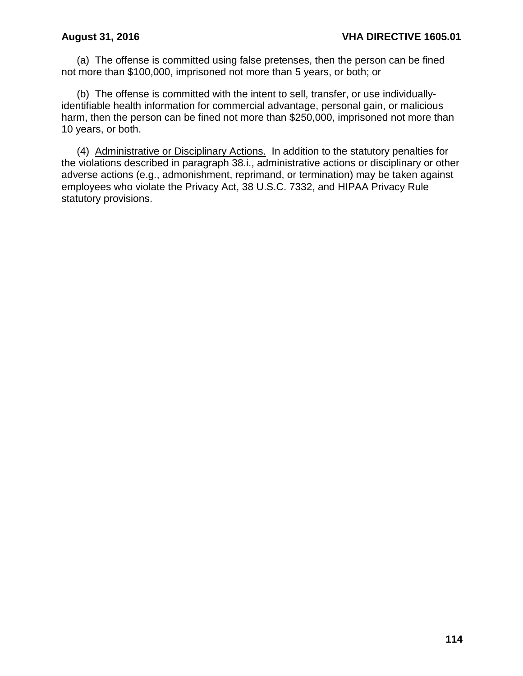(a) The offense is committed using false pretenses, then the person can be fined not more than \$100,000, imprisoned not more than 5 years, or both; or

(b) The offense is committed with the intent to sell, transfer, or use individuallyidentifiable health information for commercial advantage, personal gain, or malicious harm, then the person can be fined not more than \$250,000, imprisoned not more than 10 years, or both.

(4) Administrative or Disciplinary Actions. In addition to the statutory penalties for the violations described in paragraph 38.i., administrative actions or disciplinary or other adverse actions (e.g., admonishment, reprimand, or termination) may be taken against employees who violate the Privacy Act, 38 U.S.C. 7332, and HIPAA Privacy Rule statutory provisions.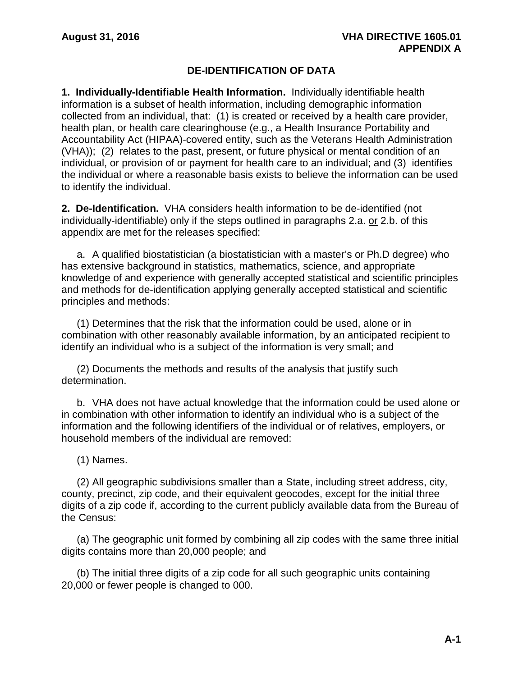# **DE-IDENTIFICATION OF DATA**

**1. Individually-Identifiable Health Information.** Individually identifiable health information is a subset of health information, including demographic information collected from an individual, that: (1) is created or received by a health care provider, health plan, or health care clearinghouse (e.g., a Health Insurance Portability and Accountability Act (HIPAA)-covered entity, such as the Veterans Health Administration (VHA)); (2) relates to the past, present, or future physical or mental condition of an individual, or provision of or payment for health care to an individual; and (3) identifies the individual or where a reasonable basis exists to believe the information can be used to identify the individual.

**2. De-Identification.** VHA considers health information to be de-identified (not individually-identifiable) only if the steps outlined in paragraphs 2.a. or 2.b. of this appendix are met for the releases specified:

a. A qualified biostatistician (a biostatistician with a master's or Ph.D degree) who has extensive background in statistics, mathematics, science, and appropriate knowledge of and experience with generally accepted statistical and scientific principles and methods for de-identification applying generally accepted statistical and scientific principles and methods:

(1) Determines that the risk that the information could be used, alone or in combination with other reasonably available information, by an anticipated recipient to identify an individual who is a subject of the information is very small; and

(2) Documents the methods and results of the analysis that justify such determination.

b. VHA does not have actual knowledge that the information could be used alone or in combination with other information to identify an individual who is a subject of the information and the following identifiers of the individual or of relatives, employers, or household members of the individual are removed:

(1) Names.

(2) All geographic subdivisions smaller than a State, including street address, city, county, precinct, zip code, and their equivalent geocodes, except for the initial three digits of a zip code if, according to the current publicly available data from the Bureau of the Census:

(a) The geographic unit formed by combining all zip codes with the same three initial digits contains more than 20,000 people; and

(b) The initial three digits of a zip code for all such geographic units containing 20,000 or fewer people is changed to 000.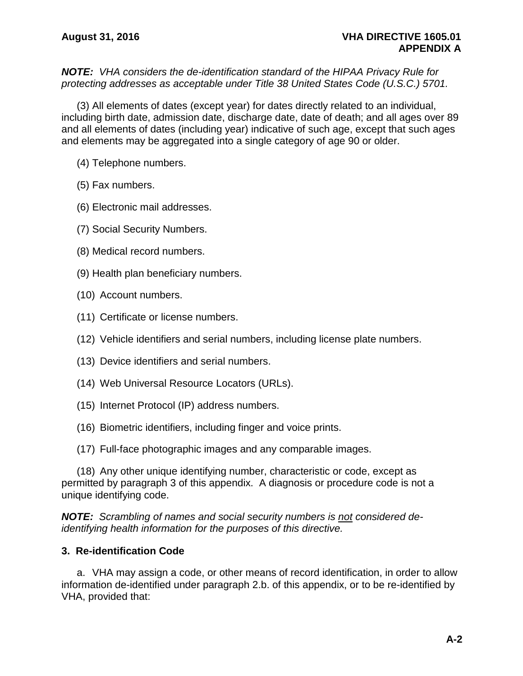*NOTE: VHA considers the de-identification standard of the HIPAA Privacy Rule for protecting addresses as acceptable under Title 38 United States Code (U.S.C.) 5701.*

(3) All elements of dates (except year) for dates directly related to an individual, including birth date, admission date, discharge date, date of death; and all ages over 89 and all elements of dates (including year) indicative of such age, except that such ages and elements may be aggregated into a single category of age 90 or older.

- (4) Telephone numbers.
- (5) Fax numbers.
- (6) Electronic mail addresses.
- (7) Social Security Numbers.
- (8) Medical record numbers.
- (9) Health plan beneficiary numbers.
- (10) Account numbers.
- (11) Certificate or license numbers.
- (12) Vehicle identifiers and serial numbers, including license plate numbers.
- (13) Device identifiers and serial numbers.
- (14) Web Universal Resource Locators (URLs).
- (15) Internet Protocol (IP) address numbers.
- (16) Biometric identifiers, including finger and voice prints.
- (17) Full-face photographic images and any comparable images.

(18) Any other unique identifying number, characteristic or code, except as permitted by paragraph 3 of this appendix. A diagnosis or procedure code is not a unique identifying code.

*NOTE: Scrambling of names and social security numbers is not considered deidentifying health information for the purposes of this directive.* 

### **3. Re-identification Code**

a. VHA may assign a code, or other means of record identification, in order to allow information de-identified under paragraph 2.b. of this appendix, or to be re-identified by VHA, provided that: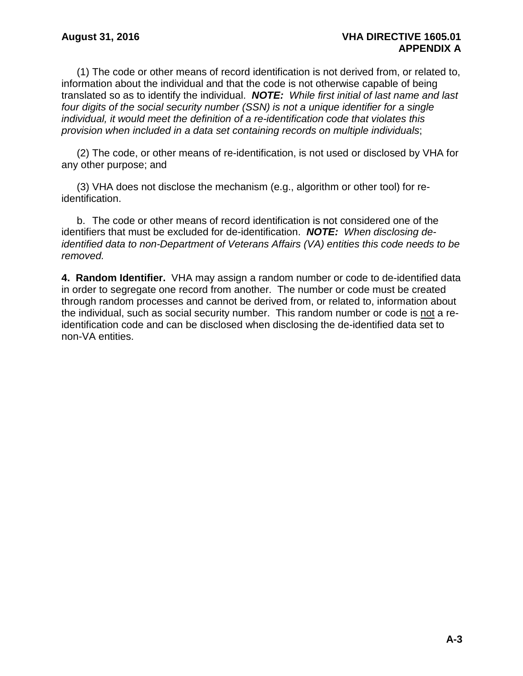(1) The code or other means of record identification is not derived from, or related to, information about the individual and that the code is not otherwise capable of being translated so as to identify the individual. *NOTE: While first initial of last name and last four digits of the social security number (SSN) is not a unique identifier for a single individual, it would meet the definition of a re-identification code that violates this provision when included in a data set containing records on multiple individuals*;

(2) The code, or other means of re-identification, is not used or disclosed by VHA for any other purpose; and

(3) VHA does not disclose the mechanism (e.g., algorithm or other tool) for reidentification.

b. The code or other means of record identification is not considered one of the identifiers that must be excluded for de-identification. *NOTE: When disclosing deidentified data to non-Department of Veterans Affairs (VA) entities this code needs to be removed.*

**4. Random Identifier.** VHA may assign a random number or code to de-identified data in order to segregate one record from another. The number or code must be created through random processes and cannot be derived from, or related to, information about the individual, such as social security number. This random number or code is not a reidentification code and can be disclosed when disclosing the de-identified data set to non-VA entities.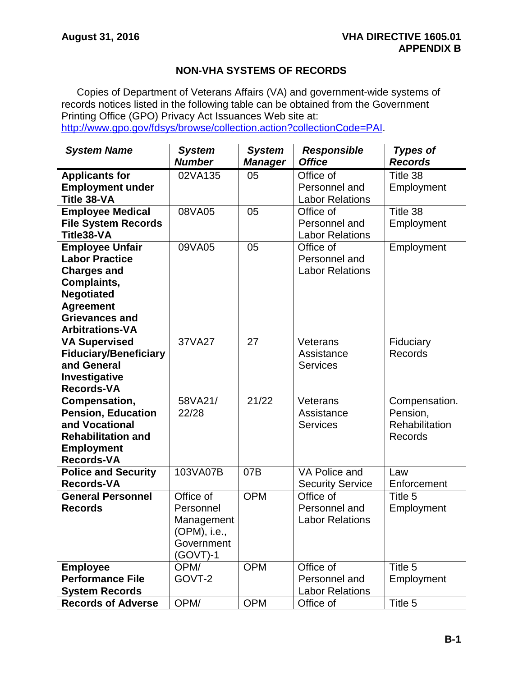# **NON-VHA SYSTEMS OF RECORDS**

Copies of Department of Veterans Affairs (VA) and government-wide systems of records notices listed in the following table can be obtained from the Government Printing Office (GPO) Privacy Act Issuances Web site at: [http://www.gpo.gov/fdsys/browse/collection.action?collectionCode=PAI.](http://www.gpo.gov/fdsys/browse/collection.action?collectionCode=PAI)

| <b>System Name</b>           | <b>System</b> | <b>System</b>  | <b>Responsible</b>      | <b>Types of</b>       |
|------------------------------|---------------|----------------|-------------------------|-----------------------|
|                              | <b>Number</b> | <b>Manager</b> | <b>Office</b>           | <b>Records</b>        |
| <b>Applicants for</b>        | 02VA135       | 05             | Office of               | Title 38              |
| <b>Employment under</b>      |               |                | Personnel and           | Employment            |
| Title 38-VA                  |               |                | <b>Labor Relations</b>  |                       |
| <b>Employee Medical</b>      | 08VA05        | 05             | Office of               | Title 38              |
| <b>File System Records</b>   |               |                | Personnel and           | Employment            |
| Title38-VA                   |               |                | <b>Labor Relations</b>  |                       |
| <b>Employee Unfair</b>       | 09VA05        | 05             | Office of               | Employment            |
| <b>Labor Practice</b>        |               |                | Personnel and           |                       |
| <b>Charges and</b>           |               |                | <b>Labor Relations</b>  |                       |
| Complaints,                  |               |                |                         |                       |
| <b>Negotiated</b>            |               |                |                         |                       |
| <b>Agreement</b>             |               |                |                         |                       |
| <b>Grievances and</b>        |               |                |                         |                       |
| <b>Arbitrations-VA</b>       |               |                |                         |                       |
| <b>VA Supervised</b>         | 37VA27        | 27             | Veterans                | Fiduciary             |
| <b>Fiduciary/Beneficiary</b> |               |                | Assistance              | Records               |
| and General                  |               |                | <b>Services</b>         |                       |
| Investigative                |               |                |                         |                       |
| <b>Records-VA</b>            |               |                |                         |                       |
| Compensation,                | 58VA21/       | 21/22          | Veterans                | Compensation.         |
| <b>Pension, Education</b>    | 22/28         |                | Assistance              | Pension,              |
| and Vocational               |               |                | <b>Services</b>         | <b>Rehabilitation</b> |
| <b>Rehabilitation and</b>    |               |                |                         | <b>Records</b>        |
| <b>Employment</b>            |               |                |                         |                       |
| <b>Records-VA</b>            |               |                |                         |                       |
| <b>Police and Security</b>   | 103VA07B      | 07B            | VA Police and           | Law                   |
| <b>Records-VA</b>            |               |                | <b>Security Service</b> | Enforcement           |
| <b>General Personnel</b>     | Office of     | <b>OPM</b>     | Office of               | Title 5               |
| <b>Records</b>               | Personnel     |                | Personnel and           | Employment            |
|                              | Management    |                | <b>Labor Relations</b>  |                       |
|                              | (OPM), i.e.,  |                |                         |                       |
|                              | Government    |                |                         |                       |
|                              | $(GOVT)-1$    |                |                         |                       |
| <b>Employee</b>              | OPM/          | <b>OPM</b>     | Office of               | Title 5               |
| <b>Performance File</b>      | GOVT-2        |                | Personnel and           | Employment            |
| <b>System Records</b>        |               |                | <b>Labor Relations</b>  |                       |
| <b>Records of Adverse</b>    | OPM/          | <b>OPM</b>     | Office of               | Title 5               |